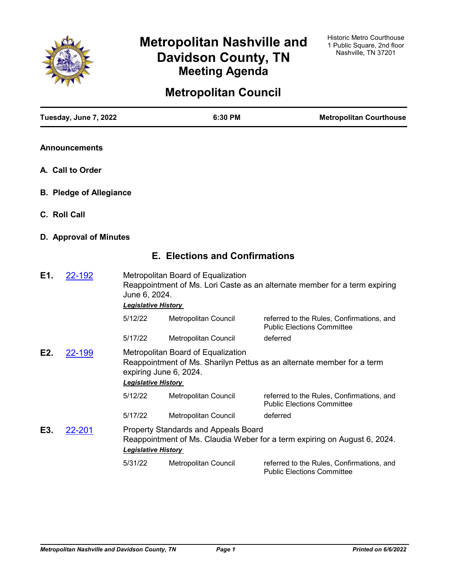

# **Metropolitan Nashville and Davidson County, TN Meeting Agenda**

# **Metropolitan Council**

|              | Tuesday, June 7, 2022          |                                             | 6:30 PM                                                      | <b>Metropolitan Courthouse</b>                                                 |
|--------------|--------------------------------|---------------------------------------------|--------------------------------------------------------------|--------------------------------------------------------------------------------|
|              | <b>Announcements</b>           |                                             |                                                              |                                                                                |
|              | A. Call to Order               |                                             |                                                              |                                                                                |
|              | <b>B. Pledge of Allegiance</b> |                                             |                                                              |                                                                                |
| C. Roll Call |                                |                                             |                                                              |                                                                                |
|              | D. Approval of Minutes         |                                             |                                                              |                                                                                |
|              |                                |                                             | <b>E. Elections and Confirmations</b>                        |                                                                                |
| E1.          | 22-192                         | June 6, 2024.<br><b>Legislative History</b> | Metropolitan Board of Equalization                           | Reappointment of Ms. Lori Caste as an alternate member for a term expiring     |
|              |                                | 5/12/22                                     | Metropolitan Council                                         | referred to the Rules, Confirmations, and<br><b>Public Elections Committee</b> |
|              |                                | 5/17/22                                     | Metropolitan Council                                         | deferred                                                                       |
| E2.          | 22-199                         | <b>Legislative History</b>                  | Metropolitan Board of Equalization<br>expiring June 6, 2024. | Reappointment of Ms. Sharilyn Pettus as an alternate member for a term         |
|              |                                | 5/12/22                                     | Metropolitan Council                                         | referred to the Rules, Confirmations, and<br><b>Public Elections Committee</b> |
|              |                                | 5/17/22                                     | Metropolitan Council                                         | deferred                                                                       |
| E3.          | 22-201                         | <b>Legislative History</b>                  | <b>Property Standards and Appeals Board</b>                  | Reappointment of Ms. Claudia Weber for a term expiring on August 6, 2024.      |
|              |                                | 5/31/22                                     | Metropolitan Council                                         | referred to the Rules, Confirmations, and<br><b>Public Elections Committee</b> |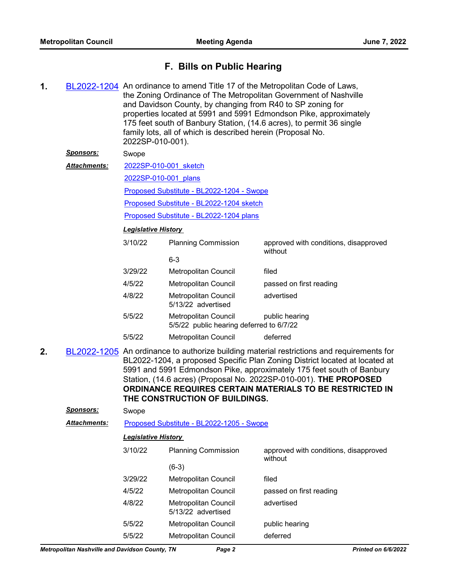# **F. Bills on Public Hearing**

- **1.** [BL2022-1204](http://nashville.legistar.com/gateway.aspx?m=l&id=/matter.aspx?key=14306) An ordinance to amend Title 17 of the Metropolitan Code of Laws, the Zoning Ordinance of The Metropolitan Government of Nashville and Davidson County, by changing from R40 to SP zoning for properties located at 5991 and 5991 Edmondson Pike, approximately 175 feet south of Banbury Station, (14.6 acres), to permit 36 single family lots, all of which is described herein (Proposal No. 2022SP-010-001). *Sponsors:* Swope [2022SP-010-001\\_sketch](http://nashville.legistar.com/gateway.aspx?M=F&ID=5c58524f-5892-4cc8-bf14-c7f5a0af214e.docx) [2022SP-010-001\\_plans](http://nashville.legistar.com/gateway.aspx?M=F&ID=f8c04dbf-380f-4df3-8068-07d1cb123617.pdf) [Proposed Substitute - BL2022-1204 - Swope](http://nashville.legistar.com/gateway.aspx?M=F&ID=4579450f-e1b2-4672-b35d-e01c589d707b.docx) [Proposed Substitute - BL2022-1204 sketch](http://nashville.legistar.com/gateway.aspx?M=F&ID=11af74a4-3f6b-46a4-b682-2db0f31be726.docx) [Proposed Substitute - BL2022-1204 plans](http://nashville.legistar.com/gateway.aspx?M=F&ID=7ec1b063-7a6e-413f-8aa1-edf5b6a10769.pdf) *Attachments: Legislative History*  3/10/22 Planning Commission approved with conditions, disapproved without 6-3 3/29/22 Metropolitan Council filed 4/5/22 Metropolitan Council passed on first reading 4/8/22 Metropolitan Council advertised 5/13/22 advertised 5/5/22 Metropolitan Council public hearing 5/5/22 public hearing deferred to 6/7/22 5/5/22 Metropolitan Council deferred
- **2.** [BL2022-1205](http://nashville.legistar.com/gateway.aspx?m=l&id=/matter.aspx?key=14307) An ordinance to authorize building material restrictions and requirements for BL2022-1204, a proposed Specific Plan Zoning District located at located at 5991 and 5991 Edmondson Pike, approximately 175 feet south of Banbury Station, (14.6 acres) (Proposal No. 2022SP-010-001). **THE PROPOSED ORDINANCE REQUIRES CERTAIN MATERIALS TO BE RESTRICTED IN THE CONSTRUCTION OF BUILDINGS.**

| <b>Sponsors:</b>    | Swope                                     |                                                   |                                                  |  |
|---------------------|-------------------------------------------|---------------------------------------------------|--------------------------------------------------|--|
| <b>Attachments:</b> | Proposed Substitute - BL2022-1205 - Swope |                                                   |                                                  |  |
|                     | <b>Legislative History</b>                |                                                   |                                                  |  |
|                     | 3/10/22                                   | <b>Planning Commission</b>                        | approved with conditions, disapproved<br>without |  |
|                     |                                           | $(6-3)$                                           |                                                  |  |
|                     | 3/29/22                                   | <b>Metropolitan Council</b>                       | filed                                            |  |
|                     | 4/5/22                                    | Metropolitan Council                              | passed on first reading                          |  |
|                     | 4/8/22                                    | <b>Metropolitan Council</b><br>5/13/22 advertised | advertised                                       |  |
|                     | 5/5/22                                    | <b>Metropolitan Council</b>                       | public hearing                                   |  |
|                     | 5/5/22                                    | Metropolitan Council                              | deferred                                         |  |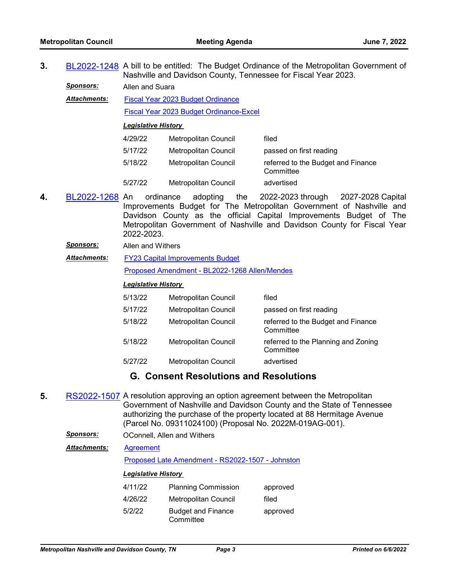**3.** [BL2022-1248](http://nashville.legistar.com/gateway.aspx?m=l&id=/matter.aspx?key=14439) A bill to be entitled: The Budget Ordinance of the Metropolitan Government of Nashville and Davidson County, Tennessee for Fiscal Year 2023.

*Sponsors:* Allen and Suara

[Fiscal Year 2023 Budget Ordinance](http://nashville.legistar.com/gateway.aspx?M=F&ID=f49fa7f5-601b-4a72-9cc7-f9fb6e80d047.pdf) *Attachments:*

[Fiscal Year 2023 Budget Ordinance-Excel](http://nashville.legistar.com/gateway.aspx?M=F&ID=299b43d1-0c6f-4ec5-a8a5-3afb8514d390.xlsx)

*Legislative History* 

| 4/29/22 | Metropolitan Council | filed                                           |
|---------|----------------------|-------------------------------------------------|
| 5/17/22 | Metropolitan Council | passed on first reading                         |
| 5/18/22 | Metropolitan Council | referred to the Budget and Finance<br>Committee |
| 5/27/22 | Metropolitan Council | advertised                                      |

- **4.** [BL2022-1268](http://nashville.legistar.com/gateway.aspx?m=l&id=/matter.aspx?key=14516) An ordinance adopting the 2022-2023 through 2027-2028 Capital Improvements Budget for The Metropolitan Government of Nashville and Davidson County as the official Capital Improvements Budget of The Metropolitan Government of Nashville and Davidson County for Fiscal Year 2022-2023.
	- *Sponsors:* Allen and Withers
	- [FY23 Capital Improvements Budget](http://nashville.legistar.com/gateway.aspx?M=F&ID=faf8d717-8207-49d9-bf26-87567383abf7.pdf) [Proposed Amendment - BL2022-1268 Allen/Mendes](http://nashville.legistar.com/gateway.aspx?M=F&ID=15c8ac3b-29f1-472e-80f7-5a956e3b3bbf.docx) *Attachments:*

### *Legislative History*

| 5/13/22 | Metropolitan Council | filed                                            |
|---------|----------------------|--------------------------------------------------|
| 5/17/22 | Metropolitan Council | passed on first reading                          |
| 5/18/22 | Metropolitan Council | referred to the Budget and Finance<br>Committee  |
| 5/18/22 | Metropolitan Council | referred to the Planning and Zoning<br>Committee |
| 5/27/22 | Metropolitan Council | advertised                                       |

# **G. Consent Resolutions and Resolutions**

- **5.** [RS2022-1507](http://nashville.legistar.com/gateway.aspx?m=l&id=/matter.aspx?key=14404) A resolution approving an option agreement between the Metropolitan Government of Nashville and Davidson County and the State of Tennessee authorizing the purchase of the property located at 88 Hermitage Avenue (Parcel No. 09311024100) (Proposal No. 2022M-019AG-001).
	- *Sponsors:* OConnell, Allen and Withers

**[Agreement](http://nashville.legistar.com/gateway.aspx?M=F&ID=2a099f88-2cf6-460a-b014-29b5a29164f8.pdf)** *Attachments:*

[Proposed Late Amendment - RS2022-1507 - Johnston](http://nashville.legistar.com/gateway.aspx?M=F&ID=6b3d1f3a-1744-47a8-83db-84077a84f6a3.docx)

| 4/11/22 | <b>Planning Commission</b>             | approved |
|---------|----------------------------------------|----------|
| 4/26/22 | Metropolitan Council                   | filed    |
| 5/2/22  | <b>Budget and Finance</b><br>Committee | approved |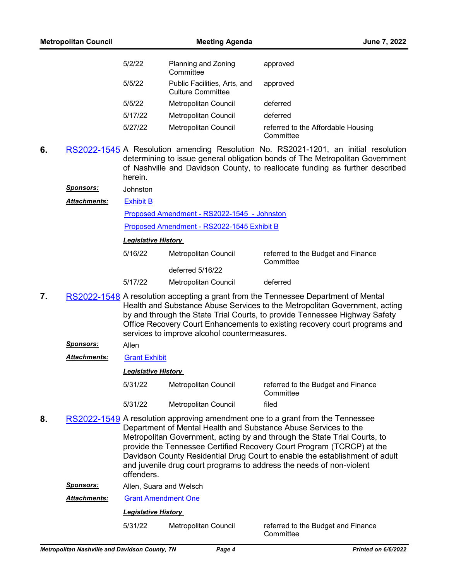| 5/2/22  | Planning and Zoning<br>Committee                         | approved                                        |
|---------|----------------------------------------------------------|-------------------------------------------------|
| 5/5/22  | Public Facilities, Arts, and<br><b>Culture Committee</b> | approved                                        |
| 5/5/22  | <b>Metropolitan Council</b>                              | deferred                                        |
| 5/17/22 | <b>Metropolitan Council</b>                              | deferred                                        |
| 5/27/22 | <b>Metropolitan Council</b>                              | referred to the Affordable Housing<br>Committee |

- **6.** [RS2022-1545](http://nashville.legistar.com/gateway.aspx?m=l&id=/matter.aspx?key=14518) A Resolution amending Resolution No. RS2021-1201, an initial resolution determining to issue general obligation bonds of The Metropolitan Government of Nashville and Davidson County, to reallocate funding as further described herein.
	- *Sponsors:* Johnston

[Exhibit B](http://nashville.legistar.com/gateway.aspx?M=F&ID=ebf76f1d-58ab-46da-a25d-638f7c88fa51.pdf) *Attachments:*

[Proposed Amendment - RS2022-1545 - Johnston](http://nashville.legistar.com/gateway.aspx?M=F&ID=80773501-7727-4688-bb95-8516e49e7dfd.docx)

[Proposed Amendment - RS2022-1545 Exhibit B](http://nashville.legistar.com/gateway.aspx?M=F&ID=9553a372-70a3-420a-b0a5-f4bdcf9cc64a.xlsx)

#### *Legislative History*

| 5/16/22 | Metropolitan Council | referred to the Budget and Finance<br>Committee |
|---------|----------------------|-------------------------------------------------|
|         | deferred 5/16/22     |                                                 |
| 5/17/22 | Metropolitan Council | deferred                                        |

- **7.** [RS2022-1548](http://nashville.legistar.com/gateway.aspx?m=l&id=/matter.aspx?key=14594) A resolution accepting a grant from the Tennessee Department of Mental Health and Substance Abuse Services to the Metropolitan Government, acting by and through the State Trial Courts, to provide Tennessee Highway Safety Office Recovery Court Enhancements to existing recovery court programs and services to improve alcohol countermeasures.
	- *Sponsors:* Allen
	- *Attachments:* [Grant Exhibit](http://nashville.legistar.com/gateway.aspx?M=F&ID=5e2abc97-3575-4027-9668-d6001879562f.pdf)

*Legislative History* 

- 5/31/22 Metropolitan Council referred to the Budget and Finance **Committee** 5/31/22 Metropolitan Council filed
- **8.** [RS2022-1549](http://nashville.legistar.com/gateway.aspx?m=l&id=/matter.aspx?key=14551) A resolution approving amendment one to a grant from the Tennessee Department of Mental Health and Substance Abuse Services to the Metropolitan Government, acting by and through the State Trial Courts, to provide the Tennessee Certified Recovery Court Program (TCRCP) at the Davidson County Residential Drug Court to enable the establishment of adult and juvenile drug court programs to address the needs of non-violent offenders.
	- *Sponsors:* Allen, Suara and Welsch

*Attachments:* [Grant Amendment One](http://nashville.legistar.com/gateway.aspx?M=F&ID=2a4b4833-7c4c-4b0d-8fcf-ed5d3df4753c.pdf)

*Legislative History* 

5/31/22 Metropolitan Council referred to the Budget and Finance

**Committee**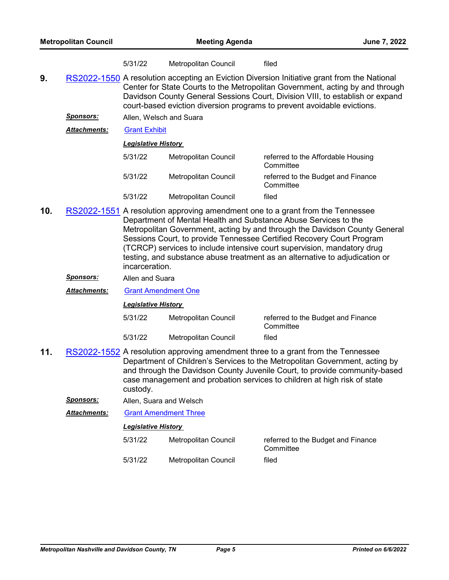|  | 5/31/22 | Metropolitan Council | filed |
|--|---------|----------------------|-------|
|--|---------|----------------------|-------|

- **9.** [RS2022-1550](http://nashville.legistar.com/gateway.aspx?m=l&id=/matter.aspx?key=14592) A resolution accepting an Eviction Diversion Initiative grant from the National Center for State Courts to the Metropolitan Government, acting by and through Davidson County General Sessions Court, Division VIII, to establish or expand court-based eviction diversion programs to prevent avoidable evictions.
	- *Sponsors:* Allen, Welsch and Suara
	- *Attachments:* [Grant Exhibit](http://nashville.legistar.com/gateway.aspx?M=F&ID=f8d8d54c-e543-400e-94cc-84aeab6ce477.pdf)

#### *Legislative History*

| 5/31/22 | Metropolitan Council | referred to the Affordable Housing<br>Committee |
|---------|----------------------|-------------------------------------------------|
| 5/31/22 | Metropolitan Council | referred to the Budget and Finance<br>Committee |
| 5/31/22 | Metropolitan Council | filed                                           |

- **10.** [RS2022-1551](http://nashville.legistar.com/gateway.aspx?m=l&id=/matter.aspx?key=14590) A resolution approving amendment one to a grant from the Tennessee Department of Mental Health and Substance Abuse Services to the Metropolitan Government, acting by and through the Davidson County General Sessions Court, to provide Tennessee Certified Recovery Court Program (TCRCP) services to include intensive court supervision, mandatory drug testing, and substance abuse treatment as an alternative to adjudication or incarceration.
	- *Sponsors:* Allen and Suara
	- *Attachments:* [Grant Amendment One](http://nashville.legistar.com/gateway.aspx?M=F&ID=42ab2f84-12f9-47ed-83df-a2e5174fa056.pdf)

#### *Legislative History*

| 5/31/22 | Metropolitan Council | referred to the Budget and Finance<br>Committee |
|---------|----------------------|-------------------------------------------------|
| 5/31/22 | Metropolitan Council | filed                                           |

- **11.** [RS2022-1552](http://nashville.legistar.com/gateway.aspx?m=l&id=/matter.aspx?key=14611) A resolution approving amendment three to a grant from the Tennessee Department of Children's Services to the Metropolitan Government, acting by and through the Davidson County Juvenile Court, to provide community-based case management and probation services to children at high risk of state custody.
	- *Sponsors:* Allen, Suara and Welsch
	- *Attachments:* [Grant Amendment Three](http://nashville.legistar.com/gateway.aspx?M=F&ID=1be7dfc3-fe4a-4e4a-9a91-e3ecddb886b7.pdf)

| 5/31/22 | Metropolitan Council | referred to the Budget and Finance<br>Committee |
|---------|----------------------|-------------------------------------------------|
| 5/31/22 | Metropolitan Council | filed                                           |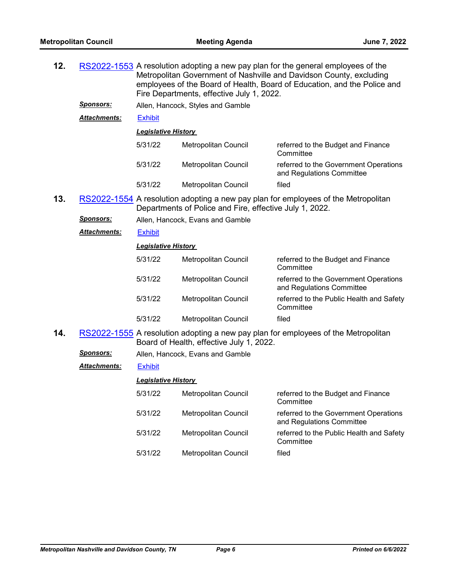| 12. |                     | RS2022-1553 A resolution adopting a new pay plan for the general employees of the<br>Metropolitan Government of Nashville and Davidson County, excluding<br>employees of the Board of Health, Board of Education, and the Police and<br>Fire Departments, effective July 1, 2022. |                                                                                                                                               |                                                                                    |  |
|-----|---------------------|-----------------------------------------------------------------------------------------------------------------------------------------------------------------------------------------------------------------------------------------------------------------------------------|-----------------------------------------------------------------------------------------------------------------------------------------------|------------------------------------------------------------------------------------|--|
|     | <b>Sponsors:</b>    |                                                                                                                                                                                                                                                                                   |                                                                                                                                               |                                                                                    |  |
|     | Attachments:        | <b>Exhibit</b>                                                                                                                                                                                                                                                                    |                                                                                                                                               |                                                                                    |  |
|     |                     | <b>Legislative History</b>                                                                                                                                                                                                                                                        |                                                                                                                                               |                                                                                    |  |
|     |                     | 5/31/22                                                                                                                                                                                                                                                                           | Metropolitan Council                                                                                                                          | referred to the Budget and Finance<br>Committee                                    |  |
|     |                     | 5/31/22                                                                                                                                                                                                                                                                           | Metropolitan Council                                                                                                                          | referred to the Government Operations<br>and Regulations Committee                 |  |
|     |                     | 5/31/22                                                                                                                                                                                                                                                                           | Metropolitan Council                                                                                                                          | filed                                                                              |  |
| 13. |                     |                                                                                                                                                                                                                                                                                   | RS2022-1554 A resolution adopting a new pay plan for employees of the Metropolitan<br>Departments of Police and Fire, effective July 1, 2022. |                                                                                    |  |
|     | <b>Sponsors:</b>    |                                                                                                                                                                                                                                                                                   | Allen, Hancock, Evans and Gamble                                                                                                              |                                                                                    |  |
|     | <b>Attachments:</b> | <b>Exhibit</b>                                                                                                                                                                                                                                                                    |                                                                                                                                               |                                                                                    |  |
|     |                     | <b>Legislative History</b>                                                                                                                                                                                                                                                        |                                                                                                                                               |                                                                                    |  |
|     |                     | 5/31/22                                                                                                                                                                                                                                                                           | Metropolitan Council                                                                                                                          | referred to the Budget and Finance<br>Committee                                    |  |
|     |                     | 5/31/22                                                                                                                                                                                                                                                                           | Metropolitan Council                                                                                                                          | referred to the Government Operations<br>and Regulations Committee                 |  |
|     |                     | 5/31/22                                                                                                                                                                                                                                                                           | Metropolitan Council                                                                                                                          | referred to the Public Health and Safety<br>Committee                              |  |
|     |                     | 5/31/22                                                                                                                                                                                                                                                                           | <b>Metropolitan Council</b>                                                                                                                   | filed                                                                              |  |
| 14. |                     |                                                                                                                                                                                                                                                                                   | Board of Health, effective July 1, 2022.                                                                                                      | RS2022-1555 A resolution adopting a new pay plan for employees of the Metropolitan |  |
|     | Sponsors:           |                                                                                                                                                                                                                                                                                   | Allen, Hancock, Evans and Gamble                                                                                                              |                                                                                    |  |
|     | Attachments:        | <b>Exhibit</b>                                                                                                                                                                                                                                                                    |                                                                                                                                               |                                                                                    |  |
|     |                     | <b>Legislative History</b>                                                                                                                                                                                                                                                        |                                                                                                                                               |                                                                                    |  |
|     |                     | 5/31/22                                                                                                                                                                                                                                                                           | Metropolitan Council                                                                                                                          | referred to the Budget and Finance<br>Committee                                    |  |
|     |                     | 5/31/22                                                                                                                                                                                                                                                                           | Metropolitan Council                                                                                                                          | referred to the Government Operations<br>and Regulations Committee                 |  |
|     |                     | 5/31/22                                                                                                                                                                                                                                                                           | Metropolitan Council                                                                                                                          | referred to the Public Health and Safety<br>Committee                              |  |
|     |                     | 5/31/22                                                                                                                                                                                                                                                                           | Metropolitan Council                                                                                                                          | filed                                                                              |  |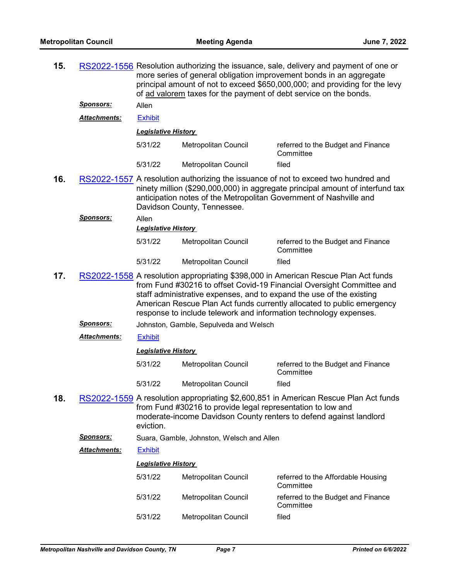| 15. |                     | RS2022-1556 Resolution authorizing the issuance, sale, delivery and payment of one or<br>more series of general obligation improvement bonds in an aggregate<br>principal amount of not to exceed \$650,000,000; and providing for the levy<br>of ad valorem taxes for the payment of debt service on the bonds.                                                                   |                                                             |                                                                                                                                                                                                                                           |
|-----|---------------------|------------------------------------------------------------------------------------------------------------------------------------------------------------------------------------------------------------------------------------------------------------------------------------------------------------------------------------------------------------------------------------|-------------------------------------------------------------|-------------------------------------------------------------------------------------------------------------------------------------------------------------------------------------------------------------------------------------------|
|     | <u>Sponsors:</u>    | Allen                                                                                                                                                                                                                                                                                                                                                                              |                                                             |                                                                                                                                                                                                                                           |
|     | <b>Attachments:</b> | <b>Exhibit</b>                                                                                                                                                                                                                                                                                                                                                                     |                                                             |                                                                                                                                                                                                                                           |
|     |                     | <b>Legislative History</b>                                                                                                                                                                                                                                                                                                                                                         |                                                             |                                                                                                                                                                                                                                           |
|     |                     | 5/31/22                                                                                                                                                                                                                                                                                                                                                                            | <b>Metropolitan Council</b>                                 | referred to the Budget and Finance<br>Committee                                                                                                                                                                                           |
|     |                     | 5/31/22                                                                                                                                                                                                                                                                                                                                                                            | <b>Metropolitan Council</b>                                 | filed                                                                                                                                                                                                                                     |
| 16. |                     |                                                                                                                                                                                                                                                                                                                                                                                    | Davidson County, Tennessee.                                 | RS2022-1557 A resolution authorizing the issuance of not to exceed two hundred and<br>ninety million (\$290,000,000) in aggregate principal amount of interfund tax<br>anticipation notes of the Metropolitan Government of Nashville and |
|     | Sponsors:           | Allen                                                                                                                                                                                                                                                                                                                                                                              |                                                             |                                                                                                                                                                                                                                           |
|     |                     | <b>Legislative History</b>                                                                                                                                                                                                                                                                                                                                                         |                                                             |                                                                                                                                                                                                                                           |
|     |                     | 5/31/22                                                                                                                                                                                                                                                                                                                                                                            | Metropolitan Council                                        | referred to the Budget and Finance<br>Committee                                                                                                                                                                                           |
|     |                     | 5/31/22                                                                                                                                                                                                                                                                                                                                                                            | <b>Metropolitan Council</b>                                 | filed                                                                                                                                                                                                                                     |
| 17. |                     | RS2022-1558 A resolution appropriating \$398,000 in American Rescue Plan Act funds<br>from Fund #30216 to offset Covid-19 Financial Oversight Committee and<br>staff administrative expenses, and to expand the use of the existing<br>American Rescue Plan Act funds currently allocated to public emergency<br>response to include telework and information technology expenses. |                                                             |                                                                                                                                                                                                                                           |
|     | <u>Sponsors:</u>    |                                                                                                                                                                                                                                                                                                                                                                                    | Johnston, Gamble, Sepulveda and Welsch                      |                                                                                                                                                                                                                                           |
|     | <b>Attachments:</b> | <b>Exhibit</b>                                                                                                                                                                                                                                                                                                                                                                     |                                                             |                                                                                                                                                                                                                                           |
|     |                     | <b>Legislative History</b>                                                                                                                                                                                                                                                                                                                                                         |                                                             |                                                                                                                                                                                                                                           |
|     |                     | 5/31/22                                                                                                                                                                                                                                                                                                                                                                            | Metropolitan Council                                        | referred to the Budget and Finance<br>Committee                                                                                                                                                                                           |
|     |                     | 5/31/22                                                                                                                                                                                                                                                                                                                                                                            | Metropolitan Council                                        | filed                                                                                                                                                                                                                                     |
| 18. |                     | eviction.                                                                                                                                                                                                                                                                                                                                                                          | from Fund #30216 to provide legal representation to low and | RS2022-1559 A resolution appropriating \$2,600,851 in American Rescue Plan Act funds<br>moderate-income Davidson County renters to defend against landlord                                                                                |
|     | <u>Sponsors:</u>    |                                                                                                                                                                                                                                                                                                                                                                                    | Suara, Gamble, Johnston, Welsch and Allen                   |                                                                                                                                                                                                                                           |
|     | <b>Attachments:</b> | <b>Exhibit</b>                                                                                                                                                                                                                                                                                                                                                                     |                                                             |                                                                                                                                                                                                                                           |
|     |                     | <b>Legislative History</b>                                                                                                                                                                                                                                                                                                                                                         |                                                             |                                                                                                                                                                                                                                           |
|     |                     | 5/31/22                                                                                                                                                                                                                                                                                                                                                                            | Metropolitan Council                                        | referred to the Affordable Housing<br>Committee                                                                                                                                                                                           |
|     |                     | 5/31/22                                                                                                                                                                                                                                                                                                                                                                            | Metropolitan Council                                        | referred to the Budget and Finance<br>Committee                                                                                                                                                                                           |
|     |                     | 5/31/22                                                                                                                                                                                                                                                                                                                                                                            | Metropolitan Council                                        | filed                                                                                                                                                                                                                                     |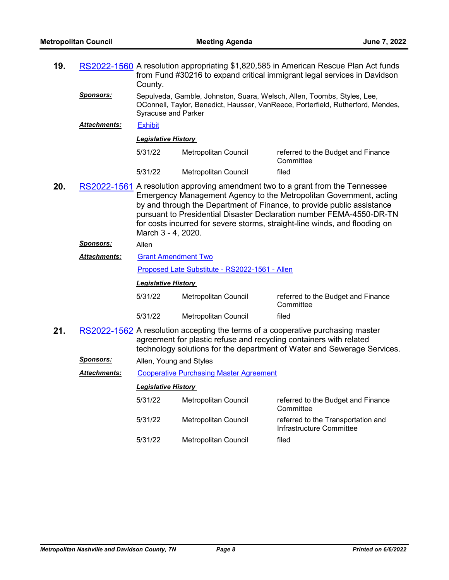| 19. |                     | RS2022-1560 A resolution appropriating \$1,820,585 in American Rescue Plan Act funds<br>from Fund #30216 to expand critical immigrant legal services in Davidson<br>County.              |                      |                                                                                                                                                                                                                                                                                                                                                                                      |  |
|-----|---------------------|------------------------------------------------------------------------------------------------------------------------------------------------------------------------------------------|----------------------|--------------------------------------------------------------------------------------------------------------------------------------------------------------------------------------------------------------------------------------------------------------------------------------------------------------------------------------------------------------------------------------|--|
|     | <u>Sponsors:</u>    | Sepulveda, Gamble, Johnston, Suara, Welsch, Allen, Toombs, Styles, Lee,<br>OConnell, Taylor, Benedict, Hausser, VanReece, Porterfield, Rutherford, Mendes,<br><b>Syracuse and Parker</b> |                      |                                                                                                                                                                                                                                                                                                                                                                                      |  |
|     | Attachments:        | <b>Exhibit</b>                                                                                                                                                                           |                      |                                                                                                                                                                                                                                                                                                                                                                                      |  |
|     |                     | <b>Legislative History</b>                                                                                                                                                               |                      |                                                                                                                                                                                                                                                                                                                                                                                      |  |
|     |                     | 5/31/22                                                                                                                                                                                  | Metropolitan Council | referred to the Budget and Finance<br>Committee                                                                                                                                                                                                                                                                                                                                      |  |
|     |                     | 5/31/22                                                                                                                                                                                  | Metropolitan Council | filed                                                                                                                                                                                                                                                                                                                                                                                |  |
| 20. |                     | March 3 - 4, 2020.                                                                                                                                                                       |                      | RS2022-1561 A resolution approving amendment two to a grant from the Tennessee<br>Emergency Management Agency to the Metropolitan Government, acting<br>by and through the Department of Finance, to provide public assistance<br>pursuant to Presidential Disaster Declaration number FEMA-4550-DR-TN<br>for costs incurred for severe storms, straight-line winds, and flooding on |  |
|     | <u>Sponsors:</u>    | Allen                                                                                                                                                                                    |                      |                                                                                                                                                                                                                                                                                                                                                                                      |  |
|     | <b>Attachments:</b> | <b>Grant Amendment Two</b>                                                                                                                                                               |                      |                                                                                                                                                                                                                                                                                                                                                                                      |  |
|     |                     | Proposed Late Substitute - RS2022-1561 - Allen                                                                                                                                           |                      |                                                                                                                                                                                                                                                                                                                                                                                      |  |
|     |                     | <b>Legislative History</b>                                                                                                                                                               |                      |                                                                                                                                                                                                                                                                                                                                                                                      |  |
|     |                     | 5/31/22                                                                                                                                                                                  | Metropolitan Council | referred to the Budget and Finance<br>Committee                                                                                                                                                                                                                                                                                                                                      |  |
|     |                     | 5/31/22                                                                                                                                                                                  | Metropolitan Council | filed                                                                                                                                                                                                                                                                                                                                                                                |  |
| 21. |                     |                                                                                                                                                                                          |                      | RS2022-1562 A resolution accepting the terms of a cooperative purchasing master<br>agreement for plastic refuse and recycling containers with related<br>technology solutions for the department of Water and Sewerage Services.                                                                                                                                                     |  |
|     | <u>Sponsors:</u>    | Allen, Young and Styles                                                                                                                                                                  |                      |                                                                                                                                                                                                                                                                                                                                                                                      |  |
|     | <b>Attachments:</b> | <b>Cooperative Purchasing Master Agreement</b>                                                                                                                                           |                      |                                                                                                                                                                                                                                                                                                                                                                                      |  |
|     |                     | <b>Legislative History</b>                                                                                                                                                               |                      |                                                                                                                                                                                                                                                                                                                                                                                      |  |
|     |                     | 5/31/22                                                                                                                                                                                  | Metropolitan Council | referred to the Budget and Finance<br>Committee                                                                                                                                                                                                                                                                                                                                      |  |
|     |                     | 5/31/22                                                                                                                                                                                  | Metropolitan Council | referred to the Transportation and<br>Infrastructure Committee                                                                                                                                                                                                                                                                                                                       |  |
|     |                     | 5/31/22                                                                                                                                                                                  | Metropolitan Council | filed                                                                                                                                                                                                                                                                                                                                                                                |  |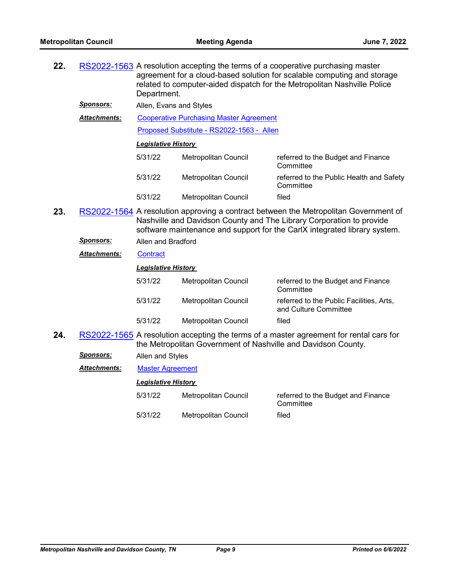| 22. |                     | RS2022-1563 A resolution accepting the terms of a cooperative purchasing master<br>agreement for a cloud-based solution for scalable computing and storage<br>related to computer-aided dispatch for the Metropolitan Nashville Police<br>Department. |                                                               |                                                                                                                                                                                                                                           |  |  |
|-----|---------------------|-------------------------------------------------------------------------------------------------------------------------------------------------------------------------------------------------------------------------------------------------------|---------------------------------------------------------------|-------------------------------------------------------------------------------------------------------------------------------------------------------------------------------------------------------------------------------------------|--|--|
|     | <u>Sponsors:</u>    | Allen, Evans and Styles                                                                                                                                                                                                                               |                                                               |                                                                                                                                                                                                                                           |  |  |
|     | <b>Attachments:</b> | <b>Cooperative Purchasing Master Agreement</b>                                                                                                                                                                                                        |                                                               |                                                                                                                                                                                                                                           |  |  |
|     |                     | Proposed Substitute - RS2022-1563 - Allen                                                                                                                                                                                                             |                                                               |                                                                                                                                                                                                                                           |  |  |
|     |                     | <b>Legislative History</b>                                                                                                                                                                                                                            |                                                               |                                                                                                                                                                                                                                           |  |  |
|     |                     | 5/31/22                                                                                                                                                                                                                                               | Metropolitan Council                                          | referred to the Budget and Finance<br>Committee                                                                                                                                                                                           |  |  |
|     |                     | 5/31/22                                                                                                                                                                                                                                               | Metropolitan Council                                          | referred to the Public Health and Safety<br>Committee                                                                                                                                                                                     |  |  |
|     |                     | 5/31/22                                                                                                                                                                                                                                               | Metropolitan Council                                          | filed                                                                                                                                                                                                                                     |  |  |
| 23. |                     |                                                                                                                                                                                                                                                       |                                                               | RS2022-1564 A resolution approving a contract between the Metropolitan Government of<br>Nashville and Davidson County and The Library Corporation to provide<br>software maintenance and support for the CarlX integrated library system. |  |  |
|     | Sponsors:           | Allen and Bradford                                                                                                                                                                                                                                    |                                                               |                                                                                                                                                                                                                                           |  |  |
|     | <b>Attachments:</b> | <b>Contract</b>                                                                                                                                                                                                                                       |                                                               |                                                                                                                                                                                                                                           |  |  |
|     |                     | <b>Legislative History</b>                                                                                                                                                                                                                            |                                                               |                                                                                                                                                                                                                                           |  |  |
|     |                     | 5/31/22                                                                                                                                                                                                                                               | Metropolitan Council                                          | referred to the Budget and Finance<br>Committee                                                                                                                                                                                           |  |  |
|     |                     | 5/31/22                                                                                                                                                                                                                                               | Metropolitan Council                                          | referred to the Public Facilities, Arts,<br>and Culture Committee                                                                                                                                                                         |  |  |
|     |                     | 5/31/22                                                                                                                                                                                                                                               | Metropolitan Council                                          | filed                                                                                                                                                                                                                                     |  |  |
| 24. |                     |                                                                                                                                                                                                                                                       | the Metropolitan Government of Nashville and Davidson County. | RS2022-1565 A resolution accepting the terms of a master agreement for rental cars for                                                                                                                                                    |  |  |
|     | <b>Sponsors:</b>    | Allen and Styles                                                                                                                                                                                                                                      |                                                               |                                                                                                                                                                                                                                           |  |  |
|     | <b>Attachments:</b> | <b>Master Agreement</b>                                                                                                                                                                                                                               |                                                               |                                                                                                                                                                                                                                           |  |  |
|     |                     | <b>Legislative History</b>                                                                                                                                                                                                                            |                                                               |                                                                                                                                                                                                                                           |  |  |
|     |                     | 5/31/22                                                                                                                                                                                                                                               | Metropolitan Council                                          | referred to the Budget and Finance<br>Committee                                                                                                                                                                                           |  |  |

5/31/22 Metropolitan Council filed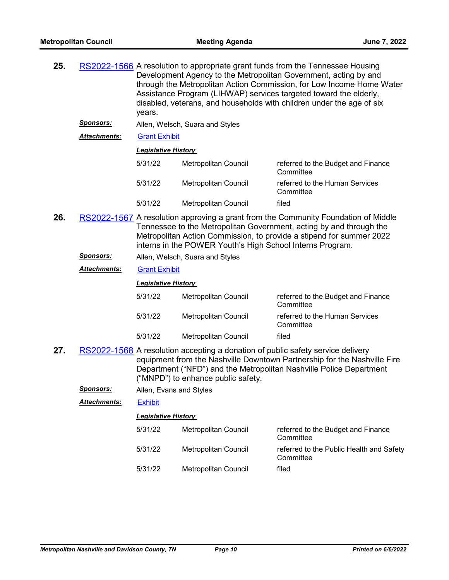| 25. |                     | RS2022-1566 A resolution to appropriate grant funds from the Tennessee Housing<br>Development Agency to the Metropolitan Government, acting by and<br>through the Metropolitan Action Commission, for Low Income Home Water<br>Assistance Program (LIHWAP) services targeted toward the elderly,<br>disabled, veterans, and households with children under the age of six<br>years. |                                                                                                                       |                                                                                                                                                 |  |  |
|-----|---------------------|-------------------------------------------------------------------------------------------------------------------------------------------------------------------------------------------------------------------------------------------------------------------------------------------------------------------------------------------------------------------------------------|-----------------------------------------------------------------------------------------------------------------------|-------------------------------------------------------------------------------------------------------------------------------------------------|--|--|
|     | Sponsors:           | Allen, Welsch, Suara and Styles                                                                                                                                                                                                                                                                                                                                                     |                                                                                                                       |                                                                                                                                                 |  |  |
|     | <b>Attachments:</b> | <b>Grant Exhibit</b>                                                                                                                                                                                                                                                                                                                                                                |                                                                                                                       |                                                                                                                                                 |  |  |
|     |                     | <b>Legislative History</b>                                                                                                                                                                                                                                                                                                                                                          |                                                                                                                       |                                                                                                                                                 |  |  |
|     |                     | 5/31/22                                                                                                                                                                                                                                                                                                                                                                             | Metropolitan Council                                                                                                  | referred to the Budget and Finance<br>Committee                                                                                                 |  |  |
|     |                     | 5/31/22                                                                                                                                                                                                                                                                                                                                                                             | Metropolitan Council                                                                                                  | referred to the Human Services<br>Committee                                                                                                     |  |  |
|     |                     | 5/31/22                                                                                                                                                                                                                                                                                                                                                                             | <b>Metropolitan Council</b>                                                                                           | filed                                                                                                                                           |  |  |
| 26. |                     | RS2022-1567 A resolution approving a grant from the Community Foundation of Middle<br>Tennessee to the Metropolitan Government, acting by and through the<br>Metropolitan Action Commission, to provide a stipend for summer 2022<br>interns in the POWER Youth's High School Interns Program.                                                                                      |                                                                                                                       |                                                                                                                                                 |  |  |
|     | <u>Sponsors:</u>    | Allen, Welsch, Suara and Styles                                                                                                                                                                                                                                                                                                                                                     |                                                                                                                       |                                                                                                                                                 |  |  |
|     | Attachments:        | <b>Grant Exhibit</b>                                                                                                                                                                                                                                                                                                                                                                |                                                                                                                       |                                                                                                                                                 |  |  |
|     |                     | <b>Legislative History</b>                                                                                                                                                                                                                                                                                                                                                          |                                                                                                                       |                                                                                                                                                 |  |  |
|     |                     | 5/31/22                                                                                                                                                                                                                                                                                                                                                                             | Metropolitan Council                                                                                                  | referred to the Budget and Finance<br>Committee                                                                                                 |  |  |
|     |                     | 5/31/22                                                                                                                                                                                                                                                                                                                                                                             | Metropolitan Council                                                                                                  | referred to the Human Services<br>Committee                                                                                                     |  |  |
|     |                     | 5/31/22                                                                                                                                                                                                                                                                                                                                                                             | Metropolitan Council                                                                                                  | filed                                                                                                                                           |  |  |
| 27. |                     |                                                                                                                                                                                                                                                                                                                                                                                     | RS2022-1568 A resolution accepting a donation of public safety service delivery<br>("MNPD") to enhance public safety. | equipment from the Nashville Downtown Partnership for the Nashville Fire<br>Department ("NFD") and the Metropolitan Nashville Police Department |  |  |
|     | <b>Sponsors:</b>    | Allen, Evans and Styles                                                                                                                                                                                                                                                                                                                                                             |                                                                                                                       |                                                                                                                                                 |  |  |

*Attachments:* [Exhibit](http://nashville.legistar.com/gateway.aspx?M=F&ID=d0ca0e79-c2a3-43ea-9536-32a19a25be05.pdf)

| 5/31/22 | Metropolitan Council | referred to the Budget and Finance<br>Committee       |
|---------|----------------------|-------------------------------------------------------|
| 5/31/22 | Metropolitan Council | referred to the Public Health and Safety<br>Committee |
| 5/31/22 | Metropolitan Council | filed                                                 |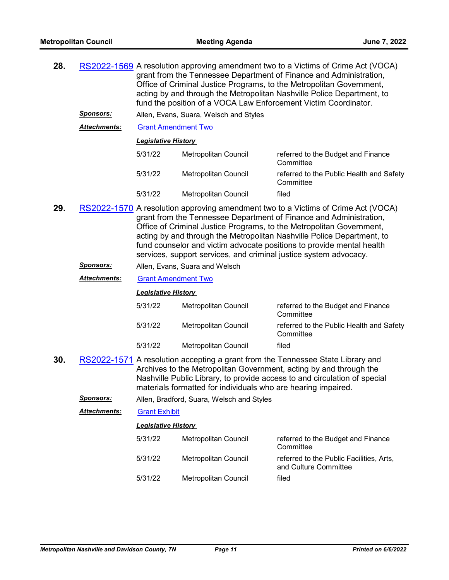| 28.                                                                                                                                                                                                                                                                                                                                                                                                                                                            |                     | RS2022-1569 A resolution approving amendment two to a Victims of Crime Act (VOCA)<br>grant from the Tennessee Department of Finance and Administration,<br>Office of Criminal Justice Programs, to the Metropolitan Government,<br>acting by and through the Metropolitan Nashville Police Department, to<br>fund the position of a VOCA Law Enforcement Victim Coordinator. |                                           |                                                                   |  |
|----------------------------------------------------------------------------------------------------------------------------------------------------------------------------------------------------------------------------------------------------------------------------------------------------------------------------------------------------------------------------------------------------------------------------------------------------------------|---------------------|------------------------------------------------------------------------------------------------------------------------------------------------------------------------------------------------------------------------------------------------------------------------------------------------------------------------------------------------------------------------------|-------------------------------------------|-------------------------------------------------------------------|--|
|                                                                                                                                                                                                                                                                                                                                                                                                                                                                | <u>Sponsors:</u>    |                                                                                                                                                                                                                                                                                                                                                                              | Allen, Evans, Suara, Welsch and Styles    |                                                                   |  |
|                                                                                                                                                                                                                                                                                                                                                                                                                                                                | Attachments:        | <b>Grant Amendment Two</b>                                                                                                                                                                                                                                                                                                                                                   |                                           |                                                                   |  |
|                                                                                                                                                                                                                                                                                                                                                                                                                                                                |                     | <b>Legislative History</b>                                                                                                                                                                                                                                                                                                                                                   |                                           |                                                                   |  |
|                                                                                                                                                                                                                                                                                                                                                                                                                                                                |                     | 5/31/22                                                                                                                                                                                                                                                                                                                                                                      | Metropolitan Council                      | referred to the Budget and Finance<br>Committee                   |  |
|                                                                                                                                                                                                                                                                                                                                                                                                                                                                |                     | 5/31/22                                                                                                                                                                                                                                                                                                                                                                      | Metropolitan Council                      | referred to the Public Health and Safety<br>Committee             |  |
|                                                                                                                                                                                                                                                                                                                                                                                                                                                                |                     | 5/31/22                                                                                                                                                                                                                                                                                                                                                                      | Metropolitan Council                      | filed                                                             |  |
| 29.<br>RS2022-1570 A resolution approving amendment two to a Victims of Crime Act (VOCA)<br>grant from the Tennessee Department of Finance and Administration,<br>Office of Criminal Justice Programs, to the Metropolitan Government,<br>acting by and through the Metropolitan Nashville Police Department, to<br>fund counselor and victim advocate positions to provide mental health<br>services, support services, and criminal justice system advocacy. |                     |                                                                                                                                                                                                                                                                                                                                                                              |                                           |                                                                   |  |
|                                                                                                                                                                                                                                                                                                                                                                                                                                                                | Sponsors:           |                                                                                                                                                                                                                                                                                                                                                                              | Allen, Evans, Suara and Welsch            |                                                                   |  |
|                                                                                                                                                                                                                                                                                                                                                                                                                                                                | Attachments:        | <b>Grant Amendment Two</b>                                                                                                                                                                                                                                                                                                                                                   |                                           |                                                                   |  |
|                                                                                                                                                                                                                                                                                                                                                                                                                                                                |                     | <b>Legislative History</b>                                                                                                                                                                                                                                                                                                                                                   |                                           |                                                                   |  |
|                                                                                                                                                                                                                                                                                                                                                                                                                                                                |                     | 5/31/22                                                                                                                                                                                                                                                                                                                                                                      | Metropolitan Council                      | referred to the Budget and Finance<br>Committee                   |  |
|                                                                                                                                                                                                                                                                                                                                                                                                                                                                |                     | 5/31/22                                                                                                                                                                                                                                                                                                                                                                      | Metropolitan Council                      | referred to the Public Health and Safety<br>Committee             |  |
|                                                                                                                                                                                                                                                                                                                                                                                                                                                                |                     | 5/31/22                                                                                                                                                                                                                                                                                                                                                                      | Metropolitan Council                      | filed                                                             |  |
| 30.<br>RS2022-1571 A resolution accepting a grant from the Tennessee State Library and<br>Archives to the Metropolitan Government, acting by and through the<br>Nashville Public Library, to provide access to and circulation of special<br>materials formatted for individuals who are hearing impaired.                                                                                                                                                     |                     |                                                                                                                                                                                                                                                                                                                                                                              |                                           |                                                                   |  |
|                                                                                                                                                                                                                                                                                                                                                                                                                                                                | <u>Sponsors:</u>    |                                                                                                                                                                                                                                                                                                                                                                              | Allen, Bradford, Suara, Welsch and Styles |                                                                   |  |
|                                                                                                                                                                                                                                                                                                                                                                                                                                                                | <b>Attachments:</b> | <b>Grant Exhibit</b>                                                                                                                                                                                                                                                                                                                                                         |                                           |                                                                   |  |
|                                                                                                                                                                                                                                                                                                                                                                                                                                                                |                     | <b>Legislative History</b>                                                                                                                                                                                                                                                                                                                                                   |                                           |                                                                   |  |
|                                                                                                                                                                                                                                                                                                                                                                                                                                                                |                     | 5/31/22                                                                                                                                                                                                                                                                                                                                                                      | Metropolitan Council                      | referred to the Budget and Finance<br>Committee                   |  |
|                                                                                                                                                                                                                                                                                                                                                                                                                                                                |                     | 5/31/22                                                                                                                                                                                                                                                                                                                                                                      | Metropolitan Council                      | referred to the Public Facilities, Arts,<br>and Culture Committee |  |
|                                                                                                                                                                                                                                                                                                                                                                                                                                                                |                     | 5/31/22                                                                                                                                                                                                                                                                                                                                                                      | Metropolitan Council                      | filed                                                             |  |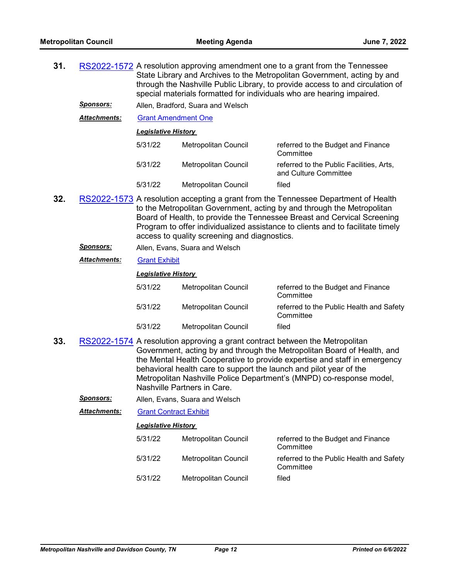| 31. |                     | RS2022-1572 A resolution approving amendment one to a grant from the Tennessee<br>State Library and Archives to the Metropolitan Government, acting by and<br>through the Nashville Public Library, to provide access to and circulation of<br>special materials formatted for individuals who are hearing impaired.                                                      |                                                                                                                                                                                   |                                                                                                                                                                                                                              |
|-----|---------------------|---------------------------------------------------------------------------------------------------------------------------------------------------------------------------------------------------------------------------------------------------------------------------------------------------------------------------------------------------------------------------|-----------------------------------------------------------------------------------------------------------------------------------------------------------------------------------|------------------------------------------------------------------------------------------------------------------------------------------------------------------------------------------------------------------------------|
|     | Sponsors:           |                                                                                                                                                                                                                                                                                                                                                                           | Allen, Bradford, Suara and Welsch                                                                                                                                                 |                                                                                                                                                                                                                              |
|     | <b>Attachments:</b> | <b>Grant Amendment One</b>                                                                                                                                                                                                                                                                                                                                                |                                                                                                                                                                                   |                                                                                                                                                                                                                              |
|     |                     | <b>Legislative History</b>                                                                                                                                                                                                                                                                                                                                                |                                                                                                                                                                                   |                                                                                                                                                                                                                              |
|     |                     | 5/31/22                                                                                                                                                                                                                                                                                                                                                                   | Metropolitan Council                                                                                                                                                              | referred to the Budget and Finance<br>Committee                                                                                                                                                                              |
|     |                     | 5/31/22                                                                                                                                                                                                                                                                                                                                                                   | Metropolitan Council                                                                                                                                                              | referred to the Public Facilities, Arts,<br>and Culture Committee                                                                                                                                                            |
|     |                     | 5/31/22                                                                                                                                                                                                                                                                                                                                                                   | Metropolitan Council                                                                                                                                                              | filed                                                                                                                                                                                                                        |
| 32. |                     | RS2022-1573 A resolution accepting a grant from the Tennessee Department of Health<br>to the Metropolitan Government, acting by and through the Metropolitan<br>Board of Health, to provide the Tennessee Breast and Cervical Screening<br>Program to offer individualized assistance to clients and to facilitate timely<br>access to quality screening and diagnostics. |                                                                                                                                                                                   |                                                                                                                                                                                                                              |
|     | <u>Sponsors:</u>    |                                                                                                                                                                                                                                                                                                                                                                           | Allen, Evans, Suara and Welsch                                                                                                                                                    |                                                                                                                                                                                                                              |
|     | <b>Attachments:</b> | <b>Grant Exhibit</b>                                                                                                                                                                                                                                                                                                                                                      |                                                                                                                                                                                   |                                                                                                                                                                                                                              |
|     |                     | <b>Legislative History</b>                                                                                                                                                                                                                                                                                                                                                |                                                                                                                                                                                   |                                                                                                                                                                                                                              |
|     |                     | 5/31/22                                                                                                                                                                                                                                                                                                                                                                   | Metropolitan Council                                                                                                                                                              | referred to the Budget and Finance<br>Committee                                                                                                                                                                              |
|     |                     | 5/31/22                                                                                                                                                                                                                                                                                                                                                                   | Metropolitan Council                                                                                                                                                              | referred to the Public Health and Safety<br>Committee                                                                                                                                                                        |
|     |                     | 5/31/22                                                                                                                                                                                                                                                                                                                                                                   | <b>Metropolitan Council</b>                                                                                                                                                       | filed                                                                                                                                                                                                                        |
| 33. |                     |                                                                                                                                                                                                                                                                                                                                                                           | RS2022-1574 A resolution approving a grant contract between the Metropolitan<br>behavioral health care to support the launch and pilot year of the<br>Nashville Partners in Care. | Government, acting by and through the Metropolitan Board of Health, and<br>the Mental Health Cooperative to provide expertise and staff in emergency<br>Metropolitan Nashville Police Department's (MNPD) co-response model, |
|     | <u>Sponsors:</u>    |                                                                                                                                                                                                                                                                                                                                                                           | Allen, Evans, Suara and Welsch                                                                                                                                                    |                                                                                                                                                                                                                              |
|     | Attachments:        | <b>Grant Contract Exhibit</b>                                                                                                                                                                                                                                                                                                                                             |                                                                                                                                                                                   |                                                                                                                                                                                                                              |

| 5/31/22 | Metropolitan Council | referred to the Budget and Finance<br>Committee       |
|---------|----------------------|-------------------------------------------------------|
| 5/31/22 | Metropolitan Council | referred to the Public Health and Safety<br>Committee |
| 5/31/22 | Metropolitan Council | filed                                                 |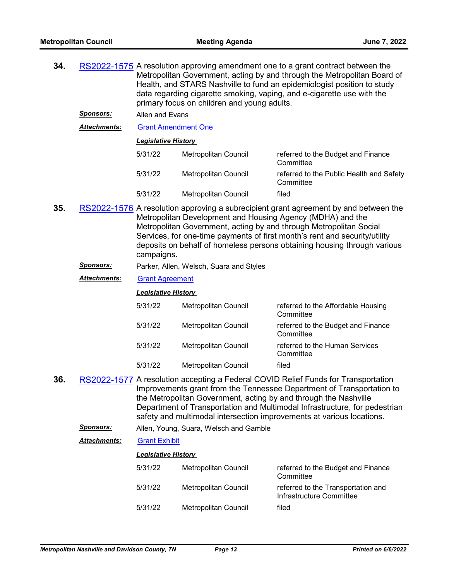| 34.                                                                                                                                                                                                                                                                                                                                                                                                     |                     | RS2022-1575 A resolution approving amendment one to a grant contract between the<br>Metropolitan Government, acting by and through the Metropolitan Board of<br>Health, and STARS Nashville to fund an epidemiologist position to study<br>data regarding cigarette smoking, vaping, and e-cigarette use with the<br>primary focus on children and young adults. |                                         |                                                                                                                                                                                                                                                                                                                                                                                        |  |  |  |
|---------------------------------------------------------------------------------------------------------------------------------------------------------------------------------------------------------------------------------------------------------------------------------------------------------------------------------------------------------------------------------------------------------|---------------------|------------------------------------------------------------------------------------------------------------------------------------------------------------------------------------------------------------------------------------------------------------------------------------------------------------------------------------------------------------------|-----------------------------------------|----------------------------------------------------------------------------------------------------------------------------------------------------------------------------------------------------------------------------------------------------------------------------------------------------------------------------------------------------------------------------------------|--|--|--|
|                                                                                                                                                                                                                                                                                                                                                                                                         | <b>Sponsors:</b>    | Allen and Evans                                                                                                                                                                                                                                                                                                                                                  |                                         |                                                                                                                                                                                                                                                                                                                                                                                        |  |  |  |
|                                                                                                                                                                                                                                                                                                                                                                                                         | Attachments:        | <b>Grant Amendment One</b>                                                                                                                                                                                                                                                                                                                                       |                                         |                                                                                                                                                                                                                                                                                                                                                                                        |  |  |  |
|                                                                                                                                                                                                                                                                                                                                                                                                         |                     | <b>Legislative History</b>                                                                                                                                                                                                                                                                                                                                       |                                         |                                                                                                                                                                                                                                                                                                                                                                                        |  |  |  |
|                                                                                                                                                                                                                                                                                                                                                                                                         |                     | 5/31/22                                                                                                                                                                                                                                                                                                                                                          | Metropolitan Council                    | referred to the Budget and Finance<br>Committee                                                                                                                                                                                                                                                                                                                                        |  |  |  |
|                                                                                                                                                                                                                                                                                                                                                                                                         |                     | 5/31/22                                                                                                                                                                                                                                                                                                                                                          | Metropolitan Council                    | referred to the Public Health and Safety<br>Committee                                                                                                                                                                                                                                                                                                                                  |  |  |  |
|                                                                                                                                                                                                                                                                                                                                                                                                         |                     | 5/31/22                                                                                                                                                                                                                                                                                                                                                          | Metropolitan Council                    | filed                                                                                                                                                                                                                                                                                                                                                                                  |  |  |  |
| 35.<br>RS2022-1576 A resolution approving a subrecipient grant agreement by and between the<br>Metropolitan Development and Housing Agency (MDHA) and the<br>Metropolitan Government, acting by and through Metropolitan Social<br>Services, for one-time payments of first month's rent and security/utility<br>deposits on behalf of homeless persons obtaining housing through various<br>campaigns. |                     |                                                                                                                                                                                                                                                                                                                                                                  |                                         |                                                                                                                                                                                                                                                                                                                                                                                        |  |  |  |
|                                                                                                                                                                                                                                                                                                                                                                                                         | <u>Sponsors:</u>    |                                                                                                                                                                                                                                                                                                                                                                  | Parker, Allen, Welsch, Suara and Styles |                                                                                                                                                                                                                                                                                                                                                                                        |  |  |  |
|                                                                                                                                                                                                                                                                                                                                                                                                         | <b>Attachments:</b> | <b>Grant Agreement</b>                                                                                                                                                                                                                                                                                                                                           |                                         |                                                                                                                                                                                                                                                                                                                                                                                        |  |  |  |
|                                                                                                                                                                                                                                                                                                                                                                                                         |                     | <b>Legislative History</b>                                                                                                                                                                                                                                                                                                                                       |                                         |                                                                                                                                                                                                                                                                                                                                                                                        |  |  |  |
|                                                                                                                                                                                                                                                                                                                                                                                                         |                     | 5/31/22                                                                                                                                                                                                                                                                                                                                                          | Metropolitan Council                    | referred to the Affordable Housing<br>Committee                                                                                                                                                                                                                                                                                                                                        |  |  |  |
|                                                                                                                                                                                                                                                                                                                                                                                                         |                     | 5/31/22                                                                                                                                                                                                                                                                                                                                                          | Metropolitan Council                    | referred to the Budget and Finance<br>Committee                                                                                                                                                                                                                                                                                                                                        |  |  |  |
|                                                                                                                                                                                                                                                                                                                                                                                                         |                     | 5/31/22                                                                                                                                                                                                                                                                                                                                                          | Metropolitan Council                    | referred to the Human Services<br>Committee                                                                                                                                                                                                                                                                                                                                            |  |  |  |
|                                                                                                                                                                                                                                                                                                                                                                                                         |                     |                                                                                                                                                                                                                                                                                                                                                                  |                                         |                                                                                                                                                                                                                                                                                                                                                                                        |  |  |  |
|                                                                                                                                                                                                                                                                                                                                                                                                         |                     | 5/31/22                                                                                                                                                                                                                                                                                                                                                          | <b>Metropolitan Council</b>             | filed                                                                                                                                                                                                                                                                                                                                                                                  |  |  |  |
| 36.                                                                                                                                                                                                                                                                                                                                                                                                     |                     |                                                                                                                                                                                                                                                                                                                                                                  |                                         | RS2022-1577 A resolution accepting a Federal COVID Relief Funds for Transportation<br>Improvements grant from the Tennessee Department of Transportation to<br>the Metropolitan Government, acting by and through the Nashville<br>Department of Transportation and Multimodal Infrastructure, for pedestrian<br>safety and multimodal intersection improvements at various locations. |  |  |  |
|                                                                                                                                                                                                                                                                                                                                                                                                         | <u>Sponsors:</u>    |                                                                                                                                                                                                                                                                                                                                                                  | Allen, Young, Suara, Welsch and Gamble  |                                                                                                                                                                                                                                                                                                                                                                                        |  |  |  |
|                                                                                                                                                                                                                                                                                                                                                                                                         | Attachments:        | <b>Grant Exhibit</b>                                                                                                                                                                                                                                                                                                                                             |                                         |                                                                                                                                                                                                                                                                                                                                                                                        |  |  |  |
|                                                                                                                                                                                                                                                                                                                                                                                                         |                     | <b>Legislative History</b>                                                                                                                                                                                                                                                                                                                                       |                                         |                                                                                                                                                                                                                                                                                                                                                                                        |  |  |  |
|                                                                                                                                                                                                                                                                                                                                                                                                         |                     | 5/31/22                                                                                                                                                                                                                                                                                                                                                          | Metropolitan Council                    | referred to the Budget and Finance<br>Committee                                                                                                                                                                                                                                                                                                                                        |  |  |  |
|                                                                                                                                                                                                                                                                                                                                                                                                         |                     | 5/31/22                                                                                                                                                                                                                                                                                                                                                          | Metropolitan Council                    | referred to the Transportation and<br>Infrastructure Committee                                                                                                                                                                                                                                                                                                                         |  |  |  |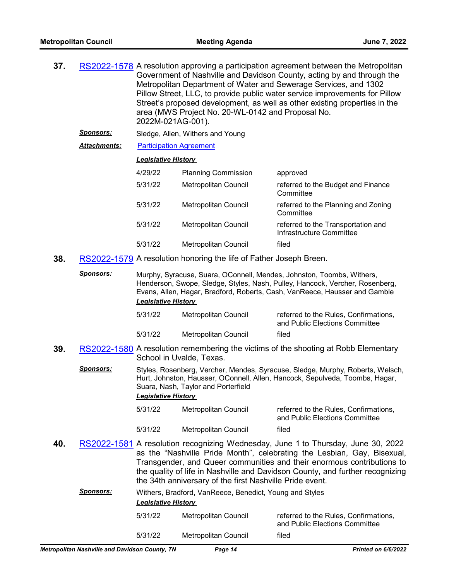| 37. |                  | RS2022-1578 A resolution approving a participation agreement between the Metropolitan<br>Government of Nashville and Davidson County, acting by and through the<br>Metropolitan Department of Water and Sewerage Services, and 1302<br>Pillow Street, LLC, to provide public water service improvements for Pillow<br>Street's proposed development, as well as other existing properties in the<br>area (MWS Project No. 20-WL-0142 and Proposal No.<br>2022M-021AG-001). |                                                                    |                                                                                                                                                                                                                           |  |
|-----|------------------|----------------------------------------------------------------------------------------------------------------------------------------------------------------------------------------------------------------------------------------------------------------------------------------------------------------------------------------------------------------------------------------------------------------------------------------------------------------------------|--------------------------------------------------------------------|---------------------------------------------------------------------------------------------------------------------------------------------------------------------------------------------------------------------------|--|
|     | Sponsors:        |                                                                                                                                                                                                                                                                                                                                                                                                                                                                            | Sledge, Allen, Withers and Young                                   |                                                                                                                                                                                                                           |  |
|     | Attachments:     | <b>Participation Agreement</b>                                                                                                                                                                                                                                                                                                                                                                                                                                             |                                                                    |                                                                                                                                                                                                                           |  |
|     |                  | Legislative History                                                                                                                                                                                                                                                                                                                                                                                                                                                        |                                                                    |                                                                                                                                                                                                                           |  |
|     |                  | 4/29/22                                                                                                                                                                                                                                                                                                                                                                                                                                                                    | <b>Planning Commission</b>                                         | approved                                                                                                                                                                                                                  |  |
|     |                  | 5/31/22                                                                                                                                                                                                                                                                                                                                                                                                                                                                    | Metropolitan Council                                               | referred to the Budget and Finance<br>Committee                                                                                                                                                                           |  |
|     |                  | 5/31/22                                                                                                                                                                                                                                                                                                                                                                                                                                                                    | Metropolitan Council                                               | referred to the Planning and Zoning<br>Committee                                                                                                                                                                          |  |
|     |                  | 5/31/22                                                                                                                                                                                                                                                                                                                                                                                                                                                                    | Metropolitan Council                                               | referred to the Transportation and<br>Infrastructure Committee                                                                                                                                                            |  |
|     |                  | 5/31/22                                                                                                                                                                                                                                                                                                                                                                                                                                                                    | Metropolitan Council                                               | filed                                                                                                                                                                                                                     |  |
| 38. |                  |                                                                                                                                                                                                                                                                                                                                                                                                                                                                            | RS2022-1579 A resolution honoring the life of Father Joseph Breen. |                                                                                                                                                                                                                           |  |
|     | <b>Sponsors:</b> |                                                                                                                                                                                                                                                                                                                                                                                                                                                                            |                                                                    | Murphy, Syracuse, Suara, OConnell, Mendes, Johnston, Toombs, Withers,<br>Henderson, Swope, Sledge, Styles, Nash, Pulley, Hancock, Vercher, Rosenberg,<br>. Allen Hanen Duschend Debeute Oach VenDesse Hausern and Oanskle |  |

Evans, Allen, Hagar, Bradford, Roberts, Cash, VanReece, Hausser and Gamble *Legislative History* 

| 5/31/22 | Metropolitan Council | referred to the Rules, Confirmations,<br>and Public Elections Committee |
|---------|----------------------|-------------------------------------------------------------------------|
| 5/31/22 | Metropolitan Council | filed                                                                   |

**39.** [RS2022-1580](http://nashville.legistar.com/gateway.aspx?m=l&id=/matter.aspx?key=14622) A resolution remembering the victims of the shooting at Robb Elementary School in Uvalde, Texas.

Sponsors: Styles, Rosenberg, Vercher, Mendes, Syracuse, Sledge, Murphy, Roberts, Welsch, Hurt, Johnston, Hausser, OConnell, Allen, Hancock, Sepulveda, Toombs, Hagar, Suara, Nash, Taylor and Porterfield

#### *Legislative History*

| 5/31/22 | Metropolitan Council | referred to the Rules, Confirmations,<br>and Public Elections Committee |
|---------|----------------------|-------------------------------------------------------------------------|
| 5/31/22 | Metropolitan Council | filed                                                                   |

**40.** [RS2022-1581](http://nashville.legistar.com/gateway.aspx?m=l&id=/matter.aspx?key=14617) A resolution recognizing Wednesday, June 1 to Thursday, June 30, 2022 as the "Nashville Pride Month", celebrating the Lesbian, Gay, Bisexual, Transgender, and Queer communities and their enormous contributions to the quality of life in Nashville and Davidson County, and further recognizing the 34th anniversary of the first Nashville Pride event.

| Sponsors: |         | Withers, Bradford, VanReece, Benedict, Young and Styles<br><b>Legislative History</b> |                                                                         |  |  |  |
|-----------|---------|---------------------------------------------------------------------------------------|-------------------------------------------------------------------------|--|--|--|
|           | 5/31/22 | Metropolitan Council                                                                  | referred to the Rules, Confirmations,<br>and Public Elections Committee |  |  |  |
|           | 5/31/22 | Metropolitan Council                                                                  | filed                                                                   |  |  |  |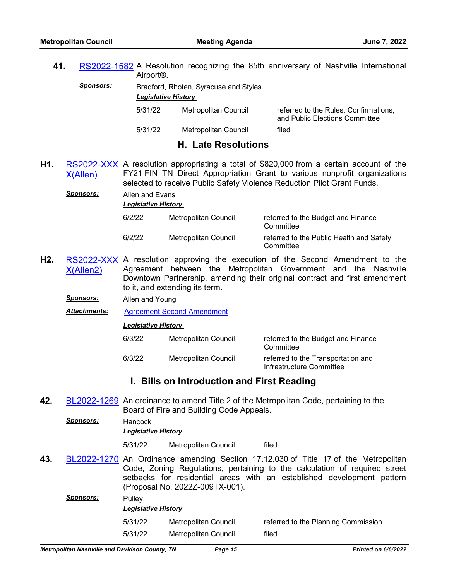**41.** [RS2022-1582](http://nashville.legistar.com/gateway.aspx?m=l&id=/matter.aspx?key=14621) A Resolution recognizing the 85th anniversary of Nashville International Airport®.

| <b>Sponsors:</b> | Bradford, Rhoten, Syracuse and Styles |                      |             |  |
|------------------|---------------------------------------|----------------------|-------------|--|
|                  | <b>Legislative History</b>            |                      |             |  |
|                  | 5/31/22                               | Metropolitan Council | refe<br>ond |  |

erred to the Rules, Confirmations, and Public Elections Committee

5/31/22 Metropolitan Council filed

# **H. Late Resolutions**

**H1.** [RS2022-XXX](http://nashville.legistar.com/gateway.aspx?m=l&id=/matter.aspx?key=14623) A resolution appropriating a total of \$820,000 from a certain account of the X(Allen) FY21 FIN TN Direct Appropriation Grant to various nonprofit organizations selected to receive Public Safety Violence Reduction Pilot Grant Funds.

*Sponsors:* Allen and Evans

*Legislative History* 

| 6/2/22 | Metropolitan Council | referred to the Budget and Finance<br>Committee       |
|--------|----------------------|-------------------------------------------------------|
| 6/2/22 | Metropolitan Council | referred to the Public Health and Safety<br>Committee |

- **H2.** [RS2022-XXX](http://nashville.legistar.com/gateway.aspx?m=l&id=/matter.aspx?key=14624) A resolution approving the execution of the Second Amendment to the X(Allen2) Agreement between the Metropolitan Government and the Nashville Downtown Partnership, amending their original contract and first amendment to it, and extending its term.
	- *Sponsors:* Allen and Young

*Attachments:* [Agreement Second Amendment](http://nashville.legistar.com/gateway.aspx?M=F&ID=b3d4935e-778f-4820-aec1-29d046a48a00.pdf)

## *Legislative History*

| 6/3/22 | Metropolitan Council | referred to the Budget and Finance<br>Committee                |
|--------|----------------------|----------------------------------------------------------------|
| 6/3/22 | Metropolitan Council | referred to the Transportation and<br>Infrastructure Committee |

# **I. Bills on Introduction and First Reading**

**42.** [BL2022-1269](http://nashville.legistar.com/gateway.aspx?m=l&id=/matter.aspx?key=14616) An ordinance to amend Title 2 of the Metropolitan Code, pertaining to the Board of Fire and Building Code Appeals.

*Sponsors:* Hancock

*Legislative History* 

5/31/22 Metropolitan Council filed

**43.** [BL2022-1270](http://nashville.legistar.com/gateway.aspx?m=l&id=/matter.aspx?key=14619) An Ordinance amending Section 17.12.030 of Title 17 of the Metropolitan Code, Zoning Regulations, pertaining to the calculation of required street setbacks for residential areas with an established development pattern (Proposal No. 2022Z-009TX-001).

| Sponsors: | Pulley  | <b>Legislative History</b> |                                     |  |  |  |
|-----------|---------|----------------------------|-------------------------------------|--|--|--|
|           | 5/31/22 | Metropolitan Council       | referred to the Planning Commission |  |  |  |
|           | 5/31/22 | Metropolitan Council       | filed                               |  |  |  |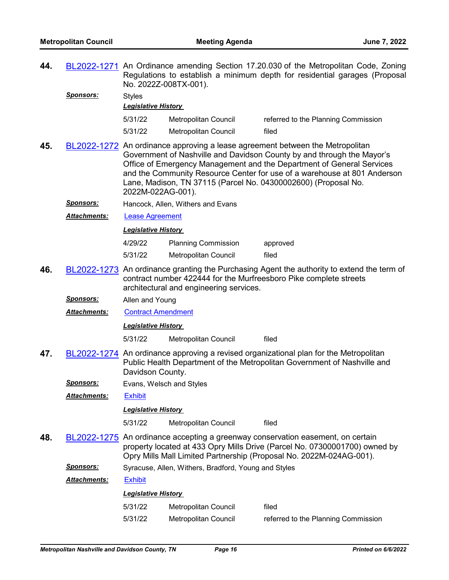| 44.                                                                                                                                                                                                                                                                                                                                                                                                        |                      | BL2022-1271 An Ordinance amending Section 17.20.030 of the Metropolitan Code, Zoning<br>Regulations to establish a minimum depth for residential garages (Proposal<br>No. 2022Z-008TX-001). |                                                      |                                                                                                                                                                                                                                      |  |
|------------------------------------------------------------------------------------------------------------------------------------------------------------------------------------------------------------------------------------------------------------------------------------------------------------------------------------------------------------------------------------------------------------|----------------------|---------------------------------------------------------------------------------------------------------------------------------------------------------------------------------------------|------------------------------------------------------|--------------------------------------------------------------------------------------------------------------------------------------------------------------------------------------------------------------------------------------|--|
|                                                                                                                                                                                                                                                                                                                                                                                                            | <u>Sponsors:</u>     | <b>Styles</b><br><b>Legislative History</b>                                                                                                                                                 |                                                      |                                                                                                                                                                                                                                      |  |
|                                                                                                                                                                                                                                                                                                                                                                                                            |                      | 5/31/22                                                                                                                                                                                     | Metropolitan Council                                 | referred to the Planning Commission                                                                                                                                                                                                  |  |
|                                                                                                                                                                                                                                                                                                                                                                                                            |                      | 5/31/22                                                                                                                                                                                     | Metropolitan Council                                 | filed                                                                                                                                                                                                                                |  |
| 45.<br>BL2022-1272 An ordinance approving a lease agreement between the Metropolitan<br>Government of Nashville and Davidson County by and through the Mayor's<br>Office of Emergency Management and the Department of General Services<br>and the Community Resource Center for use of a warehouse at 801 Anderson<br>Lane, Madison, TN 37115 (Parcel No. 04300002600) (Proposal No.<br>2022M-022AG-001). |                      |                                                                                                                                                                                             |                                                      |                                                                                                                                                                                                                                      |  |
|                                                                                                                                                                                                                                                                                                                                                                                                            | <b>Sponsors:</b>     |                                                                                                                                                                                             | Hancock, Allen, Withers and Evans                    |                                                                                                                                                                                                                                      |  |
|                                                                                                                                                                                                                                                                                                                                                                                                            | <b>Attachments:</b>  | <b>Lease Agreement</b>                                                                                                                                                                      |                                                      |                                                                                                                                                                                                                                      |  |
|                                                                                                                                                                                                                                                                                                                                                                                                            |                      | <b>Legislative History</b>                                                                                                                                                                  |                                                      |                                                                                                                                                                                                                                      |  |
|                                                                                                                                                                                                                                                                                                                                                                                                            |                      | 4/29/22                                                                                                                                                                                     | <b>Planning Commission</b>                           | approved                                                                                                                                                                                                                             |  |
|                                                                                                                                                                                                                                                                                                                                                                                                            |                      | 5/31/22                                                                                                                                                                                     | <b>Metropolitan Council</b>                          | filed                                                                                                                                                                                                                                |  |
| 46.                                                                                                                                                                                                                                                                                                                                                                                                        |                      |                                                                                                                                                                                             | architectural and engineering services.              | BL2022-1273 An ordinance granting the Purchasing Agent the authority to extend the term of<br>contract number 422444 for the Murfreesboro Pike complete streets                                                                      |  |
|                                                                                                                                                                                                                                                                                                                                                                                                            | <u>Sponsors:</u>     | Allen and Young                                                                                                                                                                             |                                                      |                                                                                                                                                                                                                                      |  |
|                                                                                                                                                                                                                                                                                                                                                                                                            | <b>Attachments:</b>  | <b>Contract Amendment</b>                                                                                                                                                                   |                                                      |                                                                                                                                                                                                                                      |  |
|                                                                                                                                                                                                                                                                                                                                                                                                            |                      | <b>Legislative History</b>                                                                                                                                                                  |                                                      |                                                                                                                                                                                                                                      |  |
|                                                                                                                                                                                                                                                                                                                                                                                                            |                      | 5/31/22                                                                                                                                                                                     | Metropolitan Council                                 | filed                                                                                                                                                                                                                                |  |
| 47.                                                                                                                                                                                                                                                                                                                                                                                                        |                      | Davidson County.                                                                                                                                                                            |                                                      | BL2022-1274 An ordinance approving a revised organizational plan for the Metropolitan<br>Public Health Department of the Metropolitan Government of Nashville and                                                                    |  |
|                                                                                                                                                                                                                                                                                                                                                                                                            | <b>Sponsors:</b>     | Evans, Welsch and Styles                                                                                                                                                                    |                                                      |                                                                                                                                                                                                                                      |  |
|                                                                                                                                                                                                                                                                                                                                                                                                            | Attachments:         | <b>Exhibit</b>                                                                                                                                                                              |                                                      |                                                                                                                                                                                                                                      |  |
|                                                                                                                                                                                                                                                                                                                                                                                                            |                      | <b>Legislative History</b>                                                                                                                                                                  |                                                      |                                                                                                                                                                                                                                      |  |
|                                                                                                                                                                                                                                                                                                                                                                                                            |                      | 5/31/22                                                                                                                                                                                     | <b>Metropolitan Council</b>                          | filed                                                                                                                                                                                                                                |  |
| 48.                                                                                                                                                                                                                                                                                                                                                                                                        |                      |                                                                                                                                                                                             |                                                      | BL2022-1275 An ordinance accepting a greenway conservation easement, on certain<br>property located at 433 Opry Mills Drive (Parcel No. 07300001700) owned by<br>Opry Mills Mall Limited Partnership (Proposal No. 2022M-024AG-001). |  |
|                                                                                                                                                                                                                                                                                                                                                                                                            | <b>Sponsors:</b>     |                                                                                                                                                                                             | Syracuse, Allen, Withers, Bradford, Young and Styles |                                                                                                                                                                                                                                      |  |
|                                                                                                                                                                                                                                                                                                                                                                                                            | <u> Attachments:</u> | <b>Exhibit</b>                                                                                                                                                                              |                                                      |                                                                                                                                                                                                                                      |  |
|                                                                                                                                                                                                                                                                                                                                                                                                            |                      | <b>Legislative History</b>                                                                                                                                                                  |                                                      |                                                                                                                                                                                                                                      |  |
|                                                                                                                                                                                                                                                                                                                                                                                                            |                      | 5/31/22                                                                                                                                                                                     | Metropolitan Council                                 | filed                                                                                                                                                                                                                                |  |
|                                                                                                                                                                                                                                                                                                                                                                                                            |                      | 5/31/22                                                                                                                                                                                     | Metropolitan Council                                 | referred to the Planning Commission                                                                                                                                                                                                  |  |
|                                                                                                                                                                                                                                                                                                                                                                                                            |                      |                                                                                                                                                                                             |                                                      |                                                                                                                                                                                                                                      |  |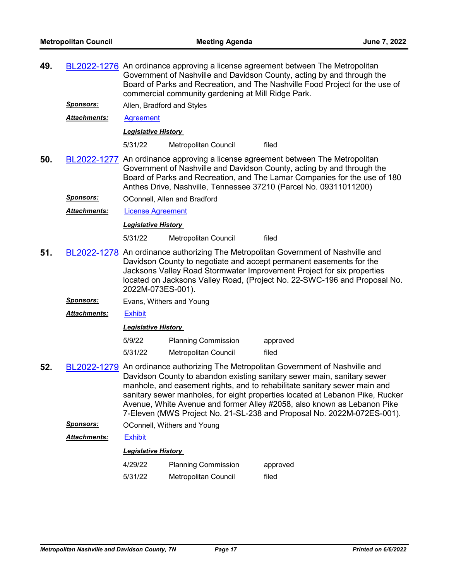|                                                                                                                                                                                                                                                                                                                                                                                                                                                                                        | BL2022-1276 An ordinance approving a license agreement between The Metropolitan<br>Government of Nashville and Davidson County, acting by and through the<br>Board of Parks and Recreation, and The Nashville Food Project for the use of<br>commercial community gardening at Mill Ridge Park.             |                            |                                                                                                                                                                                                                               |  |
|----------------------------------------------------------------------------------------------------------------------------------------------------------------------------------------------------------------------------------------------------------------------------------------------------------------------------------------------------------------------------------------------------------------------------------------------------------------------------------------|-------------------------------------------------------------------------------------------------------------------------------------------------------------------------------------------------------------------------------------------------------------------------------------------------------------|----------------------------|-------------------------------------------------------------------------------------------------------------------------------------------------------------------------------------------------------------------------------|--|
| <u>Sponsors:</u>                                                                                                                                                                                                                                                                                                                                                                                                                                                                       | Allen, Bradford and Styles                                                                                                                                                                                                                                                                                  |                            |                                                                                                                                                                                                                               |  |
| Attachments:                                                                                                                                                                                                                                                                                                                                                                                                                                                                           | <b>Agreement</b>                                                                                                                                                                                                                                                                                            |                            |                                                                                                                                                                                                                               |  |
|                                                                                                                                                                                                                                                                                                                                                                                                                                                                                        |                                                                                                                                                                                                                                                                                                             |                            |                                                                                                                                                                                                                               |  |
|                                                                                                                                                                                                                                                                                                                                                                                                                                                                                        | 5/31/22                                                                                                                                                                                                                                                                                                     | Metropolitan Council       | filed                                                                                                                                                                                                                         |  |
|                                                                                                                                                                                                                                                                                                                                                                                                                                                                                        | BL2022-1277 An ordinance approving a license agreement between The Metropolitan<br>Government of Nashville and Davidson County, acting by and through the<br>Board of Parks and Recreation, and The Lamar Companies for the use of 180<br>Anthes Drive, Nashville, Tennessee 37210 (Parcel No. 09311011200) |                            |                                                                                                                                                                                                                               |  |
| <u>Sponsors:</u>                                                                                                                                                                                                                                                                                                                                                                                                                                                                       |                                                                                                                                                                                                                                                                                                             |                            |                                                                                                                                                                                                                               |  |
| <u> Attachments:</u>                                                                                                                                                                                                                                                                                                                                                                                                                                                                   |                                                                                                                                                                                                                                                                                                             |                            |                                                                                                                                                                                                                               |  |
|                                                                                                                                                                                                                                                                                                                                                                                                                                                                                        |                                                                                                                                                                                                                                                                                                             |                            |                                                                                                                                                                                                                               |  |
|                                                                                                                                                                                                                                                                                                                                                                                                                                                                                        | 5/31/22                                                                                                                                                                                                                                                                                                     | Metropolitan Council       | filed                                                                                                                                                                                                                         |  |
| BL2022-1278 An ordinance authorizing The Metropolitan Government of Nashville and<br>51.<br>Davidson County to negotiate and accept permanent easements for the<br>Jacksons Valley Road Stormwater Improvement Project for six properties<br>located on Jacksons Valley Road, (Project No. 22-SWC-196 and Proposal No.                                                                                                                                                                 |                                                                                                                                                                                                                                                                                                             |                            |                                                                                                                                                                                                                               |  |
| <u>Sponsors:</u>                                                                                                                                                                                                                                                                                                                                                                                                                                                                       | Evans, Withers and Young                                                                                                                                                                                                                                                                                    |                            |                                                                                                                                                                                                                               |  |
| Attachments:                                                                                                                                                                                                                                                                                                                                                                                                                                                                           | <b>Exhibit</b>                                                                                                                                                                                                                                                                                              |                            |                                                                                                                                                                                                                               |  |
|                                                                                                                                                                                                                                                                                                                                                                                                                                                                                        |                                                                                                                                                                                                                                                                                                             |                            |                                                                                                                                                                                                                               |  |
|                                                                                                                                                                                                                                                                                                                                                                                                                                                                                        | 5/9/22                                                                                                                                                                                                                                                                                                      | <b>Planning Commission</b> | approved                                                                                                                                                                                                                      |  |
|                                                                                                                                                                                                                                                                                                                                                                                                                                                                                        | 5/31/22                                                                                                                                                                                                                                                                                                     | Metropolitan Council       | filed                                                                                                                                                                                                                         |  |
| 52.<br>BL2022-1279 An ordinance authorizing The Metropolitan Government of Nashville and<br>Davidson County to abandon existing sanitary sewer main, sanitary sewer<br>manhole, and easement rights, and to rehabilitate sanitary sewer main and<br>sanitary sewer manholes, for eight properties located at Lebanon Pike, Rucker<br>Avenue, White Avenue and former Alley #2058, also known as Lebanon Pike<br>7-Eleven (MWS Project No. 21-SL-238 and Proposal No. 2022M-072ES-001). |                                                                                                                                                                                                                                                                                                             |                            |                                                                                                                                                                                                                               |  |
|                                                                                                                                                                                                                                                                                                                                                                                                                                                                                        |                                                                                                                                                                                                                                                                                                             |                            |                                                                                                                                                                                                                               |  |
| <b>Attachments:</b>                                                                                                                                                                                                                                                                                                                                                                                                                                                                    | <b>Exhibit</b>                                                                                                                                                                                                                                                                                              |                            |                                                                                                                                                                                                                               |  |
|                                                                                                                                                                                                                                                                                                                                                                                                                                                                                        |                                                                                                                                                                                                                                                                                                             |                            |                                                                                                                                                                                                                               |  |
|                                                                                                                                                                                                                                                                                                                                                                                                                                                                                        | 4/29/22                                                                                                                                                                                                                                                                                                     | <b>Planning Commission</b> | approved                                                                                                                                                                                                                      |  |
|                                                                                                                                                                                                                                                                                                                                                                                                                                                                                        | 5/31/22                                                                                                                                                                                                                                                                                                     | Metropolitan Council       | filed                                                                                                                                                                                                                         |  |
|                                                                                                                                                                                                                                                                                                                                                                                                                                                                                        | <b>Sponsors:</b>                                                                                                                                                                                                                                                                                            |                            | Legislative History<br>OConnell, Allen and Bradford<br><b>License Agreement</b><br><b>Legislative History</b><br>2022M-073ES-001).<br><b>Legislative History</b><br>OConnell, Withers and Young<br><b>Legislative History</b> |  |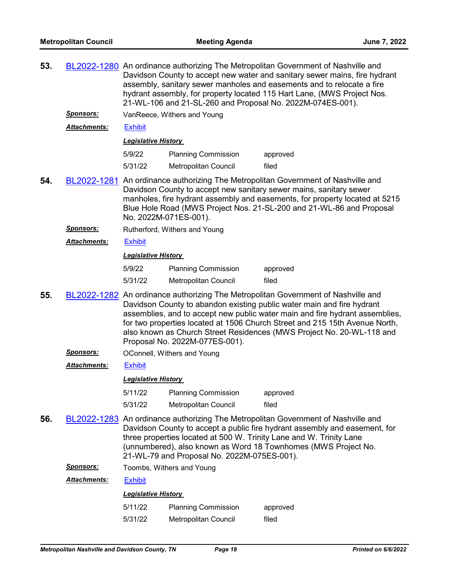| 53. |                     | BL2022-1280 An ordinance authorizing The Metropolitan Government of Nashville and<br>Davidson County to accept new water and sanitary sewer mains, fire hydrant<br>assembly, sanitary sewer manholes and easements and to relocate a fire<br>hydrant assembly, for property located 115 Hart Lane, (MWS Project Nos.<br>21-WL-106 and 21-SL-260 and Proposal No. 2022M-074ES-001).                                                    |                               |                                                                                                                                                                                                                                                                                                                |  |  |  |
|-----|---------------------|---------------------------------------------------------------------------------------------------------------------------------------------------------------------------------------------------------------------------------------------------------------------------------------------------------------------------------------------------------------------------------------------------------------------------------------|-------------------------------|----------------------------------------------------------------------------------------------------------------------------------------------------------------------------------------------------------------------------------------------------------------------------------------------------------------|--|--|--|
|     | <b>Sponsors:</b>    |                                                                                                                                                                                                                                                                                                                                                                                                                                       | VanReece, Withers and Young   |                                                                                                                                                                                                                                                                                                                |  |  |  |
|     | Attachments:        | <b>Exhibit</b>                                                                                                                                                                                                                                                                                                                                                                                                                        |                               |                                                                                                                                                                                                                                                                                                                |  |  |  |
|     |                     |                                                                                                                                                                                                                                                                                                                                                                                                                                       | <b>Legislative History</b>    |                                                                                                                                                                                                                                                                                                                |  |  |  |
|     |                     | 5/9/22                                                                                                                                                                                                                                                                                                                                                                                                                                | <b>Planning Commission</b>    | approved                                                                                                                                                                                                                                                                                                       |  |  |  |
|     |                     | 5/31/22                                                                                                                                                                                                                                                                                                                                                                                                                               | Metropolitan Council          | filed                                                                                                                                                                                                                                                                                                          |  |  |  |
| 54. |                     |                                                                                                                                                                                                                                                                                                                                                                                                                                       | No. 2022M-071ES-001).         | BL2022-1281 An ordinance authorizing The Metropolitan Government of Nashville and<br>Davidson County to accept new sanitary sewer mains, sanitary sewer<br>manholes, fire hydrant assembly and easements, for property located at 5215<br>Blue Hole Road (MWS Project Nos. 21-SL-200 and 21-WL-86 and Proposal |  |  |  |
|     | <u>Sponsors:</u>    |                                                                                                                                                                                                                                                                                                                                                                                                                                       | Rutherford, Withers and Young |                                                                                                                                                                                                                                                                                                                |  |  |  |
|     | Attachments:        | <b>Exhibit</b>                                                                                                                                                                                                                                                                                                                                                                                                                        |                               |                                                                                                                                                                                                                                                                                                                |  |  |  |
|     |                     | <b>Legislative History</b>                                                                                                                                                                                                                                                                                                                                                                                                            |                               |                                                                                                                                                                                                                                                                                                                |  |  |  |
|     |                     | 5/9/22                                                                                                                                                                                                                                                                                                                                                                                                                                | <b>Planning Commission</b>    | approved                                                                                                                                                                                                                                                                                                       |  |  |  |
|     |                     | 5/31/22                                                                                                                                                                                                                                                                                                                                                                                                                               | Metropolitan Council          | filed                                                                                                                                                                                                                                                                                                          |  |  |  |
| 55. |                     | BL2022-1282 An ordinance authorizing The Metropolitan Government of Nashville and<br>Davidson County to abandon existing public water main and fire hydrant<br>assemblies, and to accept new public water main and fire hydrant assemblies,<br>for two properties located at 1506 Church Street and 215 15th Avenue North,<br>also known as Church Street Residences (MWS Project No. 20-WL-118 and<br>Proposal No. 2022M-077ES-001). |                               |                                                                                                                                                                                                                                                                                                                |  |  |  |
|     | <u>Sponsors:</u>    |                                                                                                                                                                                                                                                                                                                                                                                                                                       | OConnell, Withers and Young   |                                                                                                                                                                                                                                                                                                                |  |  |  |
|     | <b>Attachments:</b> | <b>Exhibit</b>                                                                                                                                                                                                                                                                                                                                                                                                                        |                               |                                                                                                                                                                                                                                                                                                                |  |  |  |
|     |                     | <b>Legislative History</b>                                                                                                                                                                                                                                                                                                                                                                                                            |                               |                                                                                                                                                                                                                                                                                                                |  |  |  |
|     |                     | 5/11/22                                                                                                                                                                                                                                                                                                                                                                                                                               | <b>Planning Commission</b>    | approved                                                                                                                                                                                                                                                                                                       |  |  |  |
|     |                     | 5/31/22                                                                                                                                                                                                                                                                                                                                                                                                                               | Metropolitan Council          | filed                                                                                                                                                                                                                                                                                                          |  |  |  |
| 56. |                     | BL2022-1283 An ordinance authorizing The Metropolitan Government of Nashville and<br>Davidson County to accept a public fire hydrant assembly and easement, for<br>three properties located at 500 W. Trinity Lane and W. Trinity Lane<br>(unnumbered), also known as Word 18 Townhomes (MWS Project No.<br>21-WL-79 and Proposal No. 2022M-075ES-001).                                                                               |                               |                                                                                                                                                                                                                                                                                                                |  |  |  |
|     | <u>Sponsors:</u>    |                                                                                                                                                                                                                                                                                                                                                                                                                                       | Toombs, Withers and Young     |                                                                                                                                                                                                                                                                                                                |  |  |  |
|     | <b>Attachments:</b> | <b>Exhibit</b>                                                                                                                                                                                                                                                                                                                                                                                                                        |                               |                                                                                                                                                                                                                                                                                                                |  |  |  |
|     |                     | <b>Legislative History</b>                                                                                                                                                                                                                                                                                                                                                                                                            |                               |                                                                                                                                                                                                                                                                                                                |  |  |  |
|     |                     | 5/11/22                                                                                                                                                                                                                                                                                                                                                                                                                               | <b>Planning Commission</b>    | approved                                                                                                                                                                                                                                                                                                       |  |  |  |
|     |                     | 5/31/22                                                                                                                                                                                                                                                                                                                                                                                                                               | Metropolitan Council          | filed                                                                                                                                                                                                                                                                                                          |  |  |  |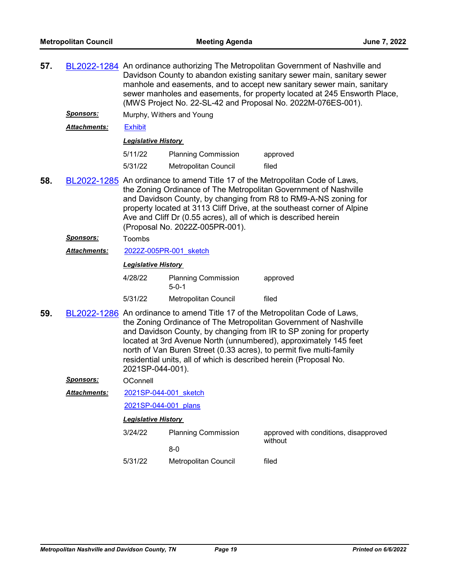| 57.                                                                                                                                                                                                                                                                                                                                                                                                         |                     | BL2022-1284 An ordinance authorizing The Metropolitan Government of Nashville and<br>Davidson County to abandon existing sanitary sewer main, sanitary sewer<br>manhole and easements, and to accept new sanitary sewer main, sanitary<br>sewer manholes and easements, for property located at 245 Ensworth Place,<br>(MWS Project No. 22-SL-42 and Proposal No. 2022M-076ES-001). |                                                                                                                                          |                                                                                                                                                                                                                                                                                            |  |  |  |
|-------------------------------------------------------------------------------------------------------------------------------------------------------------------------------------------------------------------------------------------------------------------------------------------------------------------------------------------------------------------------------------------------------------|---------------------|-------------------------------------------------------------------------------------------------------------------------------------------------------------------------------------------------------------------------------------------------------------------------------------------------------------------------------------------------------------------------------------|------------------------------------------------------------------------------------------------------------------------------------------|--------------------------------------------------------------------------------------------------------------------------------------------------------------------------------------------------------------------------------------------------------------------------------------------|--|--|--|
|                                                                                                                                                                                                                                                                                                                                                                                                             | <u>Sponsors:</u>    |                                                                                                                                                                                                                                                                                                                                                                                     | Murphy, Withers and Young                                                                                                                |                                                                                                                                                                                                                                                                                            |  |  |  |
|                                                                                                                                                                                                                                                                                                                                                                                                             | <b>Attachments:</b> | <b>Exhibit</b>                                                                                                                                                                                                                                                                                                                                                                      |                                                                                                                                          |                                                                                                                                                                                                                                                                                            |  |  |  |
|                                                                                                                                                                                                                                                                                                                                                                                                             |                     | <b>Legislative History</b>                                                                                                                                                                                                                                                                                                                                                          |                                                                                                                                          |                                                                                                                                                                                                                                                                                            |  |  |  |
|                                                                                                                                                                                                                                                                                                                                                                                                             |                     | 5/11/22                                                                                                                                                                                                                                                                                                                                                                             | <b>Planning Commission</b>                                                                                                               | approved                                                                                                                                                                                                                                                                                   |  |  |  |
|                                                                                                                                                                                                                                                                                                                                                                                                             |                     | 5/31/22                                                                                                                                                                                                                                                                                                                                                                             | <b>Metropolitan Council</b>                                                                                                              | filed                                                                                                                                                                                                                                                                                      |  |  |  |
| 58.<br>BL2022-1285 An ordinance to amend Title 17 of the Metropolitan Code of Laws,<br>the Zoning Ordinance of The Metropolitan Government of Nashville<br>and Davidson County, by changing from R8 to RM9-A-NS zoning for<br>property located at 3113 Cliff Drive, at the southeast corner of Alpine<br>Ave and Cliff Dr (0.55 acres), all of which is described herein<br>(Proposal No. 2022Z-005PR-001). |                     |                                                                                                                                                                                                                                                                                                                                                                                     |                                                                                                                                          |                                                                                                                                                                                                                                                                                            |  |  |  |
|                                                                                                                                                                                                                                                                                                                                                                                                             | Sponsors:           | Toombs                                                                                                                                                                                                                                                                                                                                                                              |                                                                                                                                          |                                                                                                                                                                                                                                                                                            |  |  |  |
|                                                                                                                                                                                                                                                                                                                                                                                                             | Attachments:        |                                                                                                                                                                                                                                                                                                                                                                                     | 2022Z-005PR-001 sketch                                                                                                                   |                                                                                                                                                                                                                                                                                            |  |  |  |
|                                                                                                                                                                                                                                                                                                                                                                                                             |                     | <b>Legislative History</b>                                                                                                                                                                                                                                                                                                                                                          |                                                                                                                                          |                                                                                                                                                                                                                                                                                            |  |  |  |
|                                                                                                                                                                                                                                                                                                                                                                                                             |                     | 4/28/22                                                                                                                                                                                                                                                                                                                                                                             | <b>Planning Commission</b><br>$5 - 0 - 1$                                                                                                | approved                                                                                                                                                                                                                                                                                   |  |  |  |
|                                                                                                                                                                                                                                                                                                                                                                                                             |                     | 5/31/22                                                                                                                                                                                                                                                                                                                                                                             | Metropolitan Council                                                                                                                     | filed                                                                                                                                                                                                                                                                                      |  |  |  |
| 59.                                                                                                                                                                                                                                                                                                                                                                                                         |                     | 2021SP-044-001).                                                                                                                                                                                                                                                                                                                                                                    | north of Van Buren Street (0.33 acres), to permit five multi-family<br>residential units, all of which is described herein (Proposal No. | BL2022-1286 An ordinance to amend Title 17 of the Metropolitan Code of Laws,<br>the Zoning Ordinance of The Metropolitan Government of Nashville<br>and Davidson County, by changing from IR to SP zoning for property<br>located at 3rd Avenue North (unnumbered), approximately 145 feet |  |  |  |
|                                                                                                                                                                                                                                                                                                                                                                                                             | <b>Sponsors:</b>    | OConnell                                                                                                                                                                                                                                                                                                                                                                            |                                                                                                                                          |                                                                                                                                                                                                                                                                                            |  |  |  |
|                                                                                                                                                                                                                                                                                                                                                                                                             | Attachments:        | 2021SP-044-001 sketch                                                                                                                                                                                                                                                                                                                                                               |                                                                                                                                          |                                                                                                                                                                                                                                                                                            |  |  |  |
|                                                                                                                                                                                                                                                                                                                                                                                                             |                     | 2021SP-044-001 plans                                                                                                                                                                                                                                                                                                                                                                |                                                                                                                                          |                                                                                                                                                                                                                                                                                            |  |  |  |
|                                                                                                                                                                                                                                                                                                                                                                                                             |                     | <b>Legislative History</b>                                                                                                                                                                                                                                                                                                                                                          |                                                                                                                                          |                                                                                                                                                                                                                                                                                            |  |  |  |
|                                                                                                                                                                                                                                                                                                                                                                                                             |                     | 3/24/22                                                                                                                                                                                                                                                                                                                                                                             | <b>Planning Commission</b>                                                                                                               | approved with conditions, disapproved<br>without                                                                                                                                                                                                                                           |  |  |  |
|                                                                                                                                                                                                                                                                                                                                                                                                             |                     |                                                                                                                                                                                                                                                                                                                                                                                     | $8-0$                                                                                                                                    |                                                                                                                                                                                                                                                                                            |  |  |  |
|                                                                                                                                                                                                                                                                                                                                                                                                             |                     | 5/31/22                                                                                                                                                                                                                                                                                                                                                                             | Metropolitan Council                                                                                                                     | filed                                                                                                                                                                                                                                                                                      |  |  |  |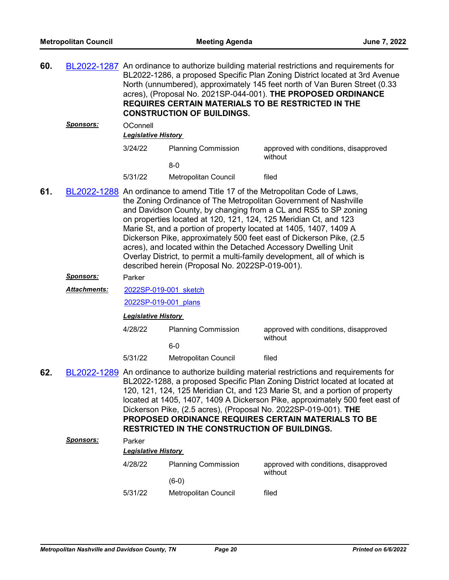| 60. |                  |                                                                                                                                                                                                                                                                                                                                                                                                                                                                                                                                                                                                                                       | <b>CONSTRUCTION OF BUILDINGS.</b>                                                                                                                                                                                                                                                                                                                                                                                                                                                                                               | BL2022-1287 An ordinance to authorize building material restrictions and requirements for<br>BL2022-1286, a proposed Specific Plan Zoning District located at 3rd Avenue<br>North (unnumbered), approximately 145 feet north of Van Buren Street (0.33<br>acres), (Proposal No. 2021SP-044-001). THE PROPOSED ORDINANCE<br><b>REQUIRES CERTAIN MATERIALS TO BE RESTRICTED IN THE</b> |  |
|-----|------------------|---------------------------------------------------------------------------------------------------------------------------------------------------------------------------------------------------------------------------------------------------------------------------------------------------------------------------------------------------------------------------------------------------------------------------------------------------------------------------------------------------------------------------------------------------------------------------------------------------------------------------------------|---------------------------------------------------------------------------------------------------------------------------------------------------------------------------------------------------------------------------------------------------------------------------------------------------------------------------------------------------------------------------------------------------------------------------------------------------------------------------------------------------------------------------------|--------------------------------------------------------------------------------------------------------------------------------------------------------------------------------------------------------------------------------------------------------------------------------------------------------------------------------------------------------------------------------------|--|
|     | <u>Sponsors:</u> | OConnell<br><b>Legislative History</b>                                                                                                                                                                                                                                                                                                                                                                                                                                                                                                                                                                                                |                                                                                                                                                                                                                                                                                                                                                                                                                                                                                                                                 |                                                                                                                                                                                                                                                                                                                                                                                      |  |
|     |                  | 3/24/22                                                                                                                                                                                                                                                                                                                                                                                                                                                                                                                                                                                                                               | <b>Planning Commission</b>                                                                                                                                                                                                                                                                                                                                                                                                                                                                                                      | approved with conditions, disapproved<br>without                                                                                                                                                                                                                                                                                                                                     |  |
|     |                  |                                                                                                                                                                                                                                                                                                                                                                                                                                                                                                                                                                                                                                       | $8-0$                                                                                                                                                                                                                                                                                                                                                                                                                                                                                                                           |                                                                                                                                                                                                                                                                                                                                                                                      |  |
|     |                  | 5/31/22                                                                                                                                                                                                                                                                                                                                                                                                                                                                                                                                                                                                                               | Metropolitan Council                                                                                                                                                                                                                                                                                                                                                                                                                                                                                                            | filed                                                                                                                                                                                                                                                                                                                                                                                |  |
| 61. |                  | BL2022-1288 An ordinance to amend Title 17 of the Metropolitan Code of Laws,<br>the Zoning Ordinance of The Metropolitan Government of Nashville<br>and Davidson County, by changing from a CL and RS5 to SP zoning<br>on properties located at 120, 121, 124, 125 Meridian Ct, and 123<br>Marie St, and a portion of property located at 1405, 1407, 1409 A<br>Dickerson Pike, approximately 500 feet east of Dickerson Pike, (2.5)<br>acres), and located within the Detached Accessory Dwelling Unit<br>Overlay District, to permit a multi-family development, all of which is<br>described herein (Proposal No. 2022SP-019-001). |                                                                                                                                                                                                                                                                                                                                                                                                                                                                                                                                 |                                                                                                                                                                                                                                                                                                                                                                                      |  |
|     | Sponsors:        | Parker                                                                                                                                                                                                                                                                                                                                                                                                                                                                                                                                                                                                                                |                                                                                                                                                                                                                                                                                                                                                                                                                                                                                                                                 |                                                                                                                                                                                                                                                                                                                                                                                      |  |
|     | Attachments:     | 2022SP-019-001 sketch                                                                                                                                                                                                                                                                                                                                                                                                                                                                                                                                                                                                                 |                                                                                                                                                                                                                                                                                                                                                                                                                                                                                                                                 |                                                                                                                                                                                                                                                                                                                                                                                      |  |
|     |                  | 2022SP-019-001 plans                                                                                                                                                                                                                                                                                                                                                                                                                                                                                                                                                                                                                  |                                                                                                                                                                                                                                                                                                                                                                                                                                                                                                                                 |                                                                                                                                                                                                                                                                                                                                                                                      |  |
|     |                  | <b>Legislative History</b>                                                                                                                                                                                                                                                                                                                                                                                                                                                                                                                                                                                                            |                                                                                                                                                                                                                                                                                                                                                                                                                                                                                                                                 |                                                                                                                                                                                                                                                                                                                                                                                      |  |
|     |                  | 4/28/22                                                                                                                                                                                                                                                                                                                                                                                                                                                                                                                                                                                                                               | <b>Planning Commission</b>                                                                                                                                                                                                                                                                                                                                                                                                                                                                                                      | approved with conditions, disapproved<br>without                                                                                                                                                                                                                                                                                                                                     |  |
|     |                  |                                                                                                                                                                                                                                                                                                                                                                                                                                                                                                                                                                                                                                       | $6-0$                                                                                                                                                                                                                                                                                                                                                                                                                                                                                                                           |                                                                                                                                                                                                                                                                                                                                                                                      |  |
|     |                  | 5/31/22                                                                                                                                                                                                                                                                                                                                                                                                                                                                                                                                                                                                                               | <b>Metropolitan Council</b>                                                                                                                                                                                                                                                                                                                                                                                                                                                                                                     | filed                                                                                                                                                                                                                                                                                                                                                                                |  |
| 62. |                  |                                                                                                                                                                                                                                                                                                                                                                                                                                                                                                                                                                                                                                       | BL2022-1289 An ordinance to authorize building material restrictions and requirements for<br>BL2022-1288, a proposed Specific Plan Zoning District located at located at<br>120, 121, 124, 125 Meridian Ct, and 123 Marie St, and a portion of property<br>located at 1405, 1407, 1409 A Dickerson Pike, approximately 500 feet east of<br>Dickerson Pike, (2.5 acres), (Proposal No. 2022SP-019-001). THE<br><b>PROPOSED ORDINANCE REQUIRES CERTAIN MATERIALS TO BE</b><br><b>RESTRICTED IN THE CONSTRUCTION OF BUILDINGS.</b> |                                                                                                                                                                                                                                                                                                                                                                                      |  |
|     | <u>Sponsors:</u> | Parker                                                                                                                                                                                                                                                                                                                                                                                                                                                                                                                                                                                                                                |                                                                                                                                                                                                                                                                                                                                                                                                                                                                                                                                 |                                                                                                                                                                                                                                                                                                                                                                                      |  |
|     |                  | <b>Legislative History</b>                                                                                                                                                                                                                                                                                                                                                                                                                                                                                                                                                                                                            |                                                                                                                                                                                                                                                                                                                                                                                                                                                                                                                                 |                                                                                                                                                                                                                                                                                                                                                                                      |  |
|     |                  | 4/28/22                                                                                                                                                                                                                                                                                                                                                                                                                                                                                                                                                                                                                               | <b>Planning Commission</b><br>$(6-0)$                                                                                                                                                                                                                                                                                                                                                                                                                                                                                           | approved with conditions, disapproved<br>without                                                                                                                                                                                                                                                                                                                                     |  |
|     |                  | 5/31/22                                                                                                                                                                                                                                                                                                                                                                                                                                                                                                                                                                                                                               | Metropolitan Council                                                                                                                                                                                                                                                                                                                                                                                                                                                                                                            | filed                                                                                                                                                                                                                                                                                                                                                                                |  |
|     |                  |                                                                                                                                                                                                                                                                                                                                                                                                                                                                                                                                                                                                                                       |                                                                                                                                                                                                                                                                                                                                                                                                                                                                                                                                 |                                                                                                                                                                                                                                                                                                                                                                                      |  |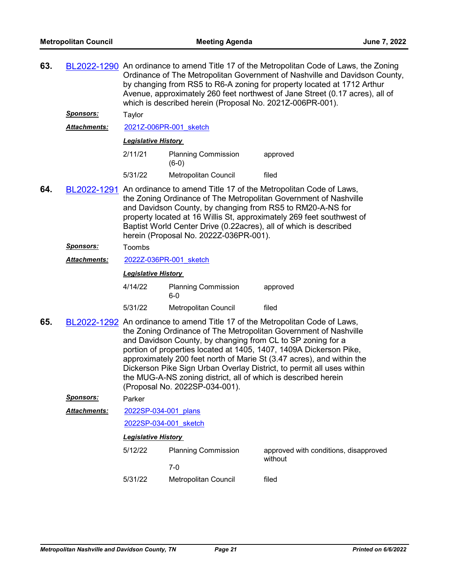| 63. |                  | BL2022-1290 An ordinance to amend Title 17 of the Metropolitan Code of Laws, the Zoning<br>Ordinance of The Metropolitan Government of Nashville and Davidson County,<br>by changing from RS5 to R6-A zoning for property located at 1712 Arthur<br>Avenue, approximately 260 feet northwest of Jane Street (0.17 acres), all of<br>which is described herein (Proposal No. 2021Z-006PR-001).                                                                                                                                               |                                       |                                                  |  |  |
|-----|------------------|---------------------------------------------------------------------------------------------------------------------------------------------------------------------------------------------------------------------------------------------------------------------------------------------------------------------------------------------------------------------------------------------------------------------------------------------------------------------------------------------------------------------------------------------|---------------------------------------|--------------------------------------------------|--|--|
|     | <u>Sponsors:</u> | Taylor                                                                                                                                                                                                                                                                                                                                                                                                                                                                                                                                      |                                       |                                                  |  |  |
|     | Attachments:     | 2021Z-006PR-001 sketch                                                                                                                                                                                                                                                                                                                                                                                                                                                                                                                      |                                       |                                                  |  |  |
|     |                  | <b>Legislative History</b>                                                                                                                                                                                                                                                                                                                                                                                                                                                                                                                  |                                       |                                                  |  |  |
|     |                  | 2/11/21                                                                                                                                                                                                                                                                                                                                                                                                                                                                                                                                     | <b>Planning Commission</b><br>$(6-0)$ | approved                                         |  |  |
|     |                  | 5/31/22                                                                                                                                                                                                                                                                                                                                                                                                                                                                                                                                     | Metropolitan Council                  | filed                                            |  |  |
| 64. |                  | BL2022-1291 An ordinance to amend Title 17 of the Metropolitan Code of Laws,<br>the Zoning Ordinance of The Metropolitan Government of Nashville<br>and Davidson County, by changing from RS5 to RM20-A-NS for<br>property located at 16 Willis St, approximately 269 feet southwest of<br>Baptist World Center Drive (0.22acres), all of which is described<br>herein (Proposal No. 2022Z-036PR-001).                                                                                                                                      |                                       |                                                  |  |  |
|     | <b>Sponsors:</b> | Toombs                                                                                                                                                                                                                                                                                                                                                                                                                                                                                                                                      |                                       |                                                  |  |  |
|     | Attachments:     | 2022Z-036PR-001 sketch                                                                                                                                                                                                                                                                                                                                                                                                                                                                                                                      |                                       |                                                  |  |  |
|     |                  | <b>Legislative History</b>                                                                                                                                                                                                                                                                                                                                                                                                                                                                                                                  |                                       |                                                  |  |  |
|     |                  | 4/14/22                                                                                                                                                                                                                                                                                                                                                                                                                                                                                                                                     | <b>Planning Commission</b><br>$6-0$   | approved                                         |  |  |
|     |                  | 5/31/22                                                                                                                                                                                                                                                                                                                                                                                                                                                                                                                                     | Metropolitan Council                  | filed                                            |  |  |
| 65. |                  | BL2022-1292 An ordinance to amend Title 17 of the Metropolitan Code of Laws,<br>the Zoning Ordinance of The Metropolitan Government of Nashville<br>and Davidson County, by changing from CL to SP zoning for a<br>portion of properties located at 1405, 1407, 1409A Dickerson Pike,<br>approximately 200 feet north of Marie St (3.47 acres), and within the<br>Dickerson Pike Sign Urban Overlay District, to permit all uses within<br>the MUG-A-NS zoning district, all of which is described herein<br>(Proposal No. 2022SP-034-001). |                                       |                                                  |  |  |
|     | <u>Sponsors:</u> | Parker                                                                                                                                                                                                                                                                                                                                                                                                                                                                                                                                      |                                       |                                                  |  |  |
|     | Attachments:     | 2022SP-034-001 plans                                                                                                                                                                                                                                                                                                                                                                                                                                                                                                                        |                                       |                                                  |  |  |
|     |                  | 2022SP-034-001 sketch                                                                                                                                                                                                                                                                                                                                                                                                                                                                                                                       |                                       |                                                  |  |  |
|     |                  | <b>Legislative History</b>                                                                                                                                                                                                                                                                                                                                                                                                                                                                                                                  |                                       |                                                  |  |  |
|     |                  | 5/12/22                                                                                                                                                                                                                                                                                                                                                                                                                                                                                                                                     | <b>Planning Commission</b><br>$7-0$   | approved with conditions, disapproved<br>without |  |  |
|     |                  | 5/31/22                                                                                                                                                                                                                                                                                                                                                                                                                                                                                                                                     | Metropolitan Council                  | filed                                            |  |  |
|     |                  |                                                                                                                                                                                                                                                                                                                                                                                                                                                                                                                                             |                                       |                                                  |  |  |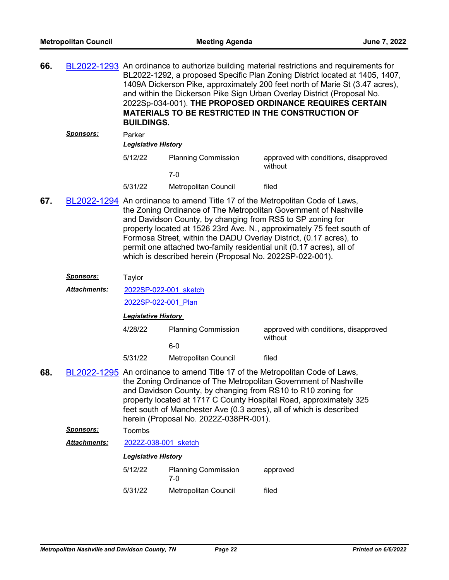| 66. |                     | <b>BUILDINGS.</b>                                                                                                                                                                                                                                                                                                                                                                                                                                                                                 |                                     | BL2022-1293 An ordinance to authorize building material restrictions and requirements for<br>BL2022-1292, a proposed Specific Plan Zoning District located at 1405, 1407,<br>1409A Dickerson Pike, approximately 200 feet north of Marie St (3.47 acres),<br>and within the Dickerson Pike Sign Urban Overlay District (Proposal No.<br>2022Sp-034-001). THE PROPOSED ORDINANCE REQUIRES CERTAIN<br><b>MATERIALS TO BE RESTRICTED IN THE CONSTRUCTION OF</b> |  |
|-----|---------------------|---------------------------------------------------------------------------------------------------------------------------------------------------------------------------------------------------------------------------------------------------------------------------------------------------------------------------------------------------------------------------------------------------------------------------------------------------------------------------------------------------|-------------------------------------|--------------------------------------------------------------------------------------------------------------------------------------------------------------------------------------------------------------------------------------------------------------------------------------------------------------------------------------------------------------------------------------------------------------------------------------------------------------|--|
|     | <u>Sponsors:</u>    | Parker                                                                                                                                                                                                                                                                                                                                                                                                                                                                                            |                                     |                                                                                                                                                                                                                                                                                                                                                                                                                                                              |  |
|     |                     | <b>Legislative History</b>                                                                                                                                                                                                                                                                                                                                                                                                                                                                        |                                     |                                                                                                                                                                                                                                                                                                                                                                                                                                                              |  |
|     |                     | 5/12/22                                                                                                                                                                                                                                                                                                                                                                                                                                                                                           | <b>Planning Commission</b><br>$7-0$ | approved with conditions, disapproved<br>without                                                                                                                                                                                                                                                                                                                                                                                                             |  |
|     |                     | 5/31/22                                                                                                                                                                                                                                                                                                                                                                                                                                                                                           | Metropolitan Council                | filed                                                                                                                                                                                                                                                                                                                                                                                                                                                        |  |
| 67. |                     | BL2022-1294 An ordinance to amend Title 17 of the Metropolitan Code of Laws,<br>the Zoning Ordinance of The Metropolitan Government of Nashville<br>and Davidson County, by changing from RS5 to SP zoning for<br>property located at 1526 23rd Ave. N., approximately 75 feet south of<br>Formosa Street, within the DADU Overlay District, (0.17 acres), to<br>permit one attached two-family residential unit (0.17 acres), all of<br>which is described herein (Proposal No. 2022SP-022-001). |                                     |                                                                                                                                                                                                                                                                                                                                                                                                                                                              |  |
|     | <u>Sponsors:</u>    | Taylor                                                                                                                                                                                                                                                                                                                                                                                                                                                                                            |                                     |                                                                                                                                                                                                                                                                                                                                                                                                                                                              |  |
|     | Attachments:        | 2022SP-022-001 sketch                                                                                                                                                                                                                                                                                                                                                                                                                                                                             |                                     |                                                                                                                                                                                                                                                                                                                                                                                                                                                              |  |
|     |                     | 2022SP-022-001 Plan                                                                                                                                                                                                                                                                                                                                                                                                                                                                               |                                     |                                                                                                                                                                                                                                                                                                                                                                                                                                                              |  |
|     |                     | <b>Legislative History</b>                                                                                                                                                                                                                                                                                                                                                                                                                                                                        |                                     |                                                                                                                                                                                                                                                                                                                                                                                                                                                              |  |
|     |                     | 4/28/22                                                                                                                                                                                                                                                                                                                                                                                                                                                                                           | <b>Planning Commission</b>          | approved with conditions, disapproved<br>without                                                                                                                                                                                                                                                                                                                                                                                                             |  |
|     |                     |                                                                                                                                                                                                                                                                                                                                                                                                                                                                                                   | $6-0$                               |                                                                                                                                                                                                                                                                                                                                                                                                                                                              |  |
|     |                     | 5/31/22                                                                                                                                                                                                                                                                                                                                                                                                                                                                                           | Metropolitan Council                | filed                                                                                                                                                                                                                                                                                                                                                                                                                                                        |  |
| 68. |                     | BL2022-1295 An ordinance to amend Title 17 of the Metropolitan Code of Laws,<br>the Zoning Ordinance of The Metropolitan Government of Nashville<br>and Davidson County, by changing from RS10 to R10 zoning for<br>property located at 1717 C County Hospital Road, approximately 325<br>feet south of Manchester Ave (0.3 acres), all of which is described<br>herein (Proposal No. 2022Z-038PR-001).                                                                                           |                                     |                                                                                                                                                                                                                                                                                                                                                                                                                                                              |  |
|     | <u>Sponsors:</u>    | Toombs                                                                                                                                                                                                                                                                                                                                                                                                                                                                                            |                                     |                                                                                                                                                                                                                                                                                                                                                                                                                                                              |  |
|     | <b>Attachments:</b> | 2022Z-038-001 sketch                                                                                                                                                                                                                                                                                                                                                                                                                                                                              |                                     |                                                                                                                                                                                                                                                                                                                                                                                                                                                              |  |
|     |                     | <b>Legislative History</b>                                                                                                                                                                                                                                                                                                                                                                                                                                                                        |                                     |                                                                                                                                                                                                                                                                                                                                                                                                                                                              |  |
|     |                     | 5/12/22                                                                                                                                                                                                                                                                                                                                                                                                                                                                                           | <b>Planning Commission</b><br>$7-0$ | approved                                                                                                                                                                                                                                                                                                                                                                                                                                                     |  |
|     |                     | 5/31/22                                                                                                                                                                                                                                                                                                                                                                                                                                                                                           | Metropolitan Council                | filed                                                                                                                                                                                                                                                                                                                                                                                                                                                        |  |
|     |                     |                                                                                                                                                                                                                                                                                                                                                                                                                                                                                                   |                                     |                                                                                                                                                                                                                                                                                                                                                                                                                                                              |  |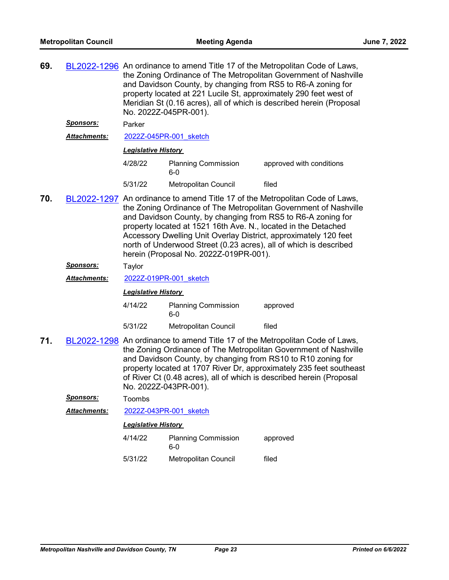| 69. |                                                                                                                                                                                                                                                                                                                                                                                          | BL2022-1296 An ordinance to amend Title 17 of the Metropolitan Code of Laws,<br>the Zoning Ordinance of The Metropolitan Government of Nashville<br>and Davidson County, by changing from RS5 to R6-A zoning for<br>property located at 221 Lucile St, approximately 290 feet west of<br>Meridian St (0.16 acres), all of which is described herein (Proposal<br>No. 2022Z-045PR-001).                                                                                |                                     |                          |  |  |
|-----|------------------------------------------------------------------------------------------------------------------------------------------------------------------------------------------------------------------------------------------------------------------------------------------------------------------------------------------------------------------------------------------|-----------------------------------------------------------------------------------------------------------------------------------------------------------------------------------------------------------------------------------------------------------------------------------------------------------------------------------------------------------------------------------------------------------------------------------------------------------------------|-------------------------------------|--------------------------|--|--|
|     | <u>Sponsors:</u>                                                                                                                                                                                                                                                                                                                                                                         | Parker                                                                                                                                                                                                                                                                                                                                                                                                                                                                |                                     |                          |  |  |
|     | <b>Attachments:</b>                                                                                                                                                                                                                                                                                                                                                                      |                                                                                                                                                                                                                                                                                                                                                                                                                                                                       | 2022Z-045PR-001 sketch              |                          |  |  |
|     |                                                                                                                                                                                                                                                                                                                                                                                          |                                                                                                                                                                                                                                                                                                                                                                                                                                                                       | <b>Legislative History</b>          |                          |  |  |
|     |                                                                                                                                                                                                                                                                                                                                                                                          | 4/28/22                                                                                                                                                                                                                                                                                                                                                                                                                                                               | <b>Planning Commission</b><br>6-0   | approved with conditions |  |  |
|     |                                                                                                                                                                                                                                                                                                                                                                                          | 5/31/22                                                                                                                                                                                                                                                                                                                                                                                                                                                               | Metropolitan Council                | filed                    |  |  |
| 70. |                                                                                                                                                                                                                                                                                                                                                                                          | BL2022-1297 An ordinance to amend Title 17 of the Metropolitan Code of Laws,<br>the Zoning Ordinance of The Metropolitan Government of Nashville<br>and Davidson County, by changing from RS5 to R6-A zoning for<br>property located at 1521 16th Ave. N., located in the Detached<br>Accessory Dwelling Unit Overlay District, approximately 120 feet<br>north of Underwood Street (0.23 acres), all of which is described<br>herein (Proposal No. 2022Z-019PR-001). |                                     |                          |  |  |
|     | Sponsors:                                                                                                                                                                                                                                                                                                                                                                                | Taylor                                                                                                                                                                                                                                                                                                                                                                                                                                                                |                                     |                          |  |  |
|     | <b>Attachments:</b>                                                                                                                                                                                                                                                                                                                                                                      |                                                                                                                                                                                                                                                                                                                                                                                                                                                                       | 2022Z-019PR-001 sketch              |                          |  |  |
|     |                                                                                                                                                                                                                                                                                                                                                                                          | <b>Legislative History</b>                                                                                                                                                                                                                                                                                                                                                                                                                                            |                                     |                          |  |  |
|     |                                                                                                                                                                                                                                                                                                                                                                                          | 4/14/22                                                                                                                                                                                                                                                                                                                                                                                                                                                               | <b>Planning Commission</b><br>$6-0$ | approved                 |  |  |
|     |                                                                                                                                                                                                                                                                                                                                                                                          | 5/31/22                                                                                                                                                                                                                                                                                                                                                                                                                                                               | Metropolitan Council                | filed                    |  |  |
| 71. | BL2022-1298 An ordinance to amend Title 17 of the Metropolitan Code of Laws,<br>the Zoning Ordinance of The Metropolitan Government of Nashville<br>and Davidson County, by changing from RS10 to R10 zoning for<br>property located at 1707 River Dr, approximately 235 feet southeast<br>of River Ct (0.48 acres), all of which is described herein (Proposal<br>No. 2022Z-043PR-001). |                                                                                                                                                                                                                                                                                                                                                                                                                                                                       |                                     |                          |  |  |
|     | <u>Sponsors:</u>                                                                                                                                                                                                                                                                                                                                                                         | Toombs                                                                                                                                                                                                                                                                                                                                                                                                                                                                |                                     |                          |  |  |
|     | <b>Attachments:</b>                                                                                                                                                                                                                                                                                                                                                                      | 2022Z-043PR-001 sketch                                                                                                                                                                                                                                                                                                                                                                                                                                                |                                     |                          |  |  |

| 4/14/22<br><b>Planning Commission</b><br>6-0 |                      | approved |  |
|----------------------------------------------|----------------------|----------|--|
| 5/31/22                                      | Metropolitan Council | filed    |  |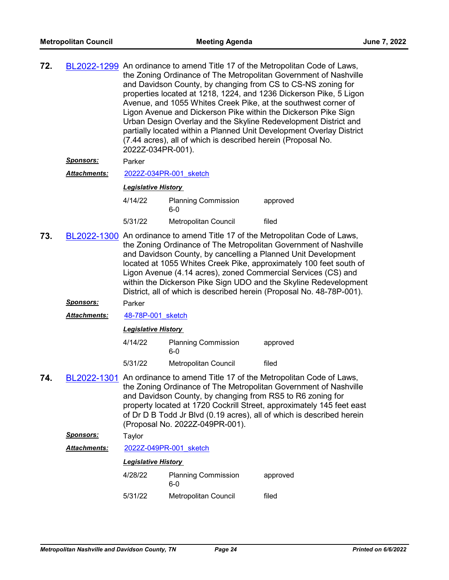| 72. | BL2022-1299 An ordinance to amend Title 17 of the Metropolitan Code of Laws,<br>the Zoning Ordinance of The Metropolitan Government of Nashville<br>and Davidson County, by changing from CS to CS-NS zoning for<br>properties located at 1218, 1224, and 1236 Dickerson Pike, 5 Ligon<br>Avenue, and 1055 Whites Creek Pike, at the southwest corner of<br>Ligon Avenue and Dickerson Pike within the Dickerson Pike Sign<br>Urban Design Overlay and the Skyline Redevelopment District and |
|-----|-----------------------------------------------------------------------------------------------------------------------------------------------------------------------------------------------------------------------------------------------------------------------------------------------------------------------------------------------------------------------------------------------------------------------------------------------------------------------------------------------|
|     | partially located within a Planned Unit Development Overlay District<br>(7.44 acres), all of which is described herein (Proposal No.<br>2022Z-034PR-001).                                                                                                                                                                                                                                                                                                                                     |

## *Sponsors:* Parker

*Attachments:* [2022Z-034PR-001\\_sketch](http://nashville.legistar.com/gateway.aspx?M=F&ID=833edd45-3baa-46e8-8673-6a42d036c3ee.docx)

#### *Legislative History*

4/14/22 Planning Commission approved 6-0 5/31/22 Metropolitan Council filed

- **73.** [BL2022-1300](http://nashville.legistar.com/gateway.aspx?m=l&id=/matter.aspx?key=14546) An ordinance to amend Title 17 of the Metropolitan Code of Laws, the Zoning Ordinance of The Metropolitan Government of Nashville and Davidson County, by cancelling a Planned Unit Development located at 1055 Whites Creek Pike, approximately 100 feet south of Ligon Avenue (4.14 acres), zoned Commercial Services (CS) and within the Dickerson Pike Sign UDO and the Skyline Redevelopment District, all of which is described herein (Proposal No. 48-78P-001).
	- *Sponsors:* Parker
	- *Attachments:* [48-78P-001\\_sketch](http://nashville.legistar.com/gateway.aspx?M=F&ID=e17a0942-001c-4c9a-ad7a-78e7fce116c1.docx)

#### *Legislative History*

| 4/14/22<br><b>Planning Commission</b><br>6-0 |                             | approved |
|----------------------------------------------|-----------------------------|----------|
| 5/31/22                                      | <b>Metropolitan Council</b> | filed    |

**74.** [BL2022-1301](http://nashville.legistar.com/gateway.aspx?m=l&id=/matter.aspx?key=14563) An ordinance to amend Title 17 of the Metropolitan Code of Laws, the Zoning Ordinance of The Metropolitan Government of Nashville and Davidson County, by changing from RS5 to R6 zoning for property located at 1720 Cockrill Street, approximately 145 feet east of Dr D B Todd Jr Blvd (0.19 acres), all of which is described herein (Proposal No. 2022Z-049PR-001).

#### *Sponsors:* Taylor

#### *Attachments:* [2022Z-049PR-001\\_sketch](http://nashville.legistar.com/gateway.aspx?M=F&ID=374fe945-cb3d-48a2-b5fb-6cb49e46a87c.docx)

| 4/28/22<br><b>Planning Commission</b><br>6-0 |                      | approved |
|----------------------------------------------|----------------------|----------|
| 5/31/22                                      | Metropolitan Council | filed    |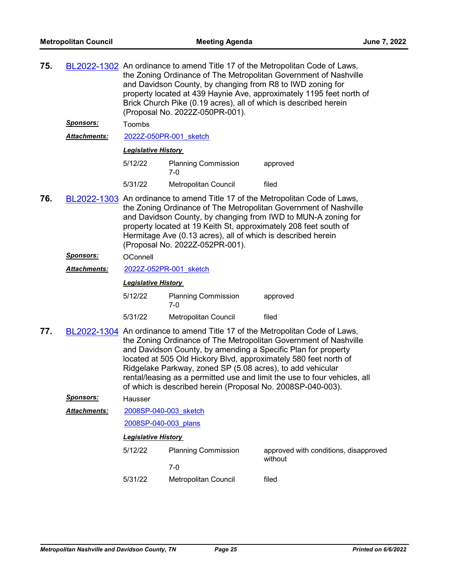| 75. |                     | BL2022-1302 An ordinance to amend Title 17 of the Metropolitan Code of Laws,<br>the Zoning Ordinance of The Metropolitan Government of Nashville<br>and Davidson County, by changing from R8 to IWD zoning for<br>property located at 439 Haynie Ave, approximately 1195 feet north of<br>Brick Church Pike (0.19 acres), all of which is described herein<br>(Proposal No. 2022Z-050PR-001).                                                                                                   |                                     |                                                  |  |
|-----|---------------------|-------------------------------------------------------------------------------------------------------------------------------------------------------------------------------------------------------------------------------------------------------------------------------------------------------------------------------------------------------------------------------------------------------------------------------------------------------------------------------------------------|-------------------------------------|--------------------------------------------------|--|
|     | <u>Sponsors:</u>    | Toombs                                                                                                                                                                                                                                                                                                                                                                                                                                                                                          |                                     |                                                  |  |
|     | <b>Attachments:</b> |                                                                                                                                                                                                                                                                                                                                                                                                                                                                                                 | 2022Z-050PR-001 sketch              |                                                  |  |
|     |                     | <b>Legislative History</b>                                                                                                                                                                                                                                                                                                                                                                                                                                                                      |                                     |                                                  |  |
|     |                     | 5/12/22                                                                                                                                                                                                                                                                                                                                                                                                                                                                                         | <b>Planning Commission</b><br>7-0   | approved                                         |  |
|     |                     | 5/31/22                                                                                                                                                                                                                                                                                                                                                                                                                                                                                         | Metropolitan Council                | filed                                            |  |
| 76. |                     | BL2022-1303 An ordinance to amend Title 17 of the Metropolitan Code of Laws,<br>the Zoning Ordinance of The Metropolitan Government of Nashville<br>and Davidson County, by changing from IWD to MUN-A zoning for<br>property located at 19 Keith St, approximately 208 feet south of<br>Hermitage Ave (0.13 acres), all of which is described herein<br>(Proposal No. 2022Z-052PR-001).                                                                                                        |                                     |                                                  |  |
|     | <b>Sponsors:</b>    | OConnell                                                                                                                                                                                                                                                                                                                                                                                                                                                                                        |                                     |                                                  |  |
|     | Attachments:        | 2022Z-052PR-001 sketch                                                                                                                                                                                                                                                                                                                                                                                                                                                                          |                                     |                                                  |  |
|     |                     | <b>Legislative History</b>                                                                                                                                                                                                                                                                                                                                                                                                                                                                      |                                     |                                                  |  |
|     |                     | 5/12/22                                                                                                                                                                                                                                                                                                                                                                                                                                                                                         | <b>Planning Commission</b><br>$7-0$ | approved                                         |  |
|     |                     | 5/31/22                                                                                                                                                                                                                                                                                                                                                                                                                                                                                         | Metropolitan Council                | filed                                            |  |
| 77. |                     | BL2022-1304 An ordinance to amend Title 17 of the Metropolitan Code of Laws,<br>the Zoning Ordinance of The Metropolitan Government of Nashville<br>and Davidson County, by amending a Specific Plan for property<br>located at 505 Old Hickory Blvd, approximately 580 feet north of<br>Ridgelake Parkway, zoned SP (5.08 acres), to add vehicular<br>rental/leasing as a permitted use and limit the use to four vehicles, all<br>of which is described herein (Proposal No. 2008SP-040-003). |                                     |                                                  |  |
|     | <u>Sponsors:</u>    | Hausser                                                                                                                                                                                                                                                                                                                                                                                                                                                                                         |                                     |                                                  |  |
|     | Attachments:        | 2008SP-040-003 sketch                                                                                                                                                                                                                                                                                                                                                                                                                                                                           |                                     |                                                  |  |
|     |                     | 2008SP-040-003 plans                                                                                                                                                                                                                                                                                                                                                                                                                                                                            |                                     |                                                  |  |
|     |                     | <b>Legislative History</b>                                                                                                                                                                                                                                                                                                                                                                                                                                                                      |                                     |                                                  |  |
|     |                     | 5/12/22                                                                                                                                                                                                                                                                                                                                                                                                                                                                                         | <b>Planning Commission</b>          | approved with conditions, disapproved<br>without |  |
|     |                     |                                                                                                                                                                                                                                                                                                                                                                                                                                                                                                 | $7 - 0$                             |                                                  |  |
|     |                     | 5/31/22                                                                                                                                                                                                                                                                                                                                                                                                                                                                                         | Metropolitan Council                | filed                                            |  |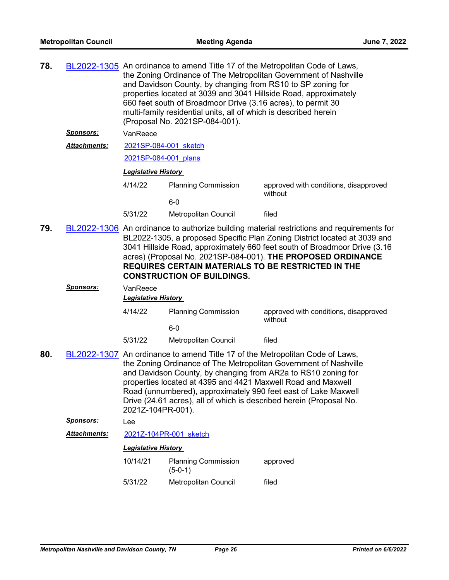| 78. |                     | BL2022-1305 An ordinance to amend Title 17 of the Metropolitan Code of Laws,<br>the Zoning Ordinance of The Metropolitan Government of Nashville<br>and Davidson County, by changing from RS10 to SP zoning for<br>properties located at 3039 and 3041 Hillside Road, approximately<br>660 feet south of Broadmoor Drive (3.16 acres), to permit 30<br>multi-family residential units, all of which is described herein<br>(Proposal No. 2021SP-084-001). |                                         |                                                  |  |  |
|-----|---------------------|-----------------------------------------------------------------------------------------------------------------------------------------------------------------------------------------------------------------------------------------------------------------------------------------------------------------------------------------------------------------------------------------------------------------------------------------------------------|-----------------------------------------|--------------------------------------------------|--|--|
|     | <u>Sponsors:</u>    | VanReece                                                                                                                                                                                                                                                                                                                                                                                                                                                  |                                         |                                                  |  |  |
|     | <b>Attachments:</b> | 2021SP-084-001 sketch                                                                                                                                                                                                                                                                                                                                                                                                                                     |                                         |                                                  |  |  |
|     |                     | 2021SP-084-001 plans                                                                                                                                                                                                                                                                                                                                                                                                                                      |                                         |                                                  |  |  |
|     |                     | <b>Legislative History</b>                                                                                                                                                                                                                                                                                                                                                                                                                                |                                         |                                                  |  |  |
|     |                     | 4/14/22                                                                                                                                                                                                                                                                                                                                                                                                                                                   | <b>Planning Commission</b>              | approved with conditions, disapproved            |  |  |
|     |                     |                                                                                                                                                                                                                                                                                                                                                                                                                                                           | $6-0$                                   | without                                          |  |  |
|     |                     | 5/31/22                                                                                                                                                                                                                                                                                                                                                                                                                                                   | Metropolitan Council                    | filed                                            |  |  |
| 79. |                     | BL2022-1306 An ordinance to authorize building material restrictions and requirements for<br>BL2022-1305, a proposed Specific Plan Zoning District located at 3039 and<br>3041 Hillside Road, approximately 660 feet south of Broadmoor Drive (3.16<br>acres) (Proposal No. 2021SP-084-001). THE PROPOSED ORDINANCE<br><b>REQUIRES CERTAIN MATERIALS TO BE RESTRICTED IN THE</b><br><b>CONSTRUCTION OF BUILDINGS.</b>                                     |                                         |                                                  |  |  |
|     | <u>Sponsors:</u>    | VanReece                                                                                                                                                                                                                                                                                                                                                                                                                                                  |                                         |                                                  |  |  |
|     |                     | <b>Legislative History</b>                                                                                                                                                                                                                                                                                                                                                                                                                                |                                         |                                                  |  |  |
|     |                     | 4/14/22                                                                                                                                                                                                                                                                                                                                                                                                                                                   | <b>Planning Commission</b><br>$6-0$     | approved with conditions, disapproved<br>without |  |  |
|     |                     | 5/31/22                                                                                                                                                                                                                                                                                                                                                                                                                                                   | Metropolitan Council                    | filed                                            |  |  |
| 80. |                     | BL2022-1307 An ordinance to amend Title 17 of the Metropolitan Code of Laws,<br>the Zoning Ordinance of The Metropolitan Government of Nashville<br>and Davidson County, by changing from AR2a to RS10 zoning for<br>properties located at 4395 and 4421 Maxwell Road and Maxwell<br>Road (unnumbered), approximately 990 feet east of Lake Maxwell<br>Drive (24.61 acres), all of which is described herein (Proposal No.<br>2021Z-104PR-001).           |                                         |                                                  |  |  |
|     | Sponsors:           | Lee                                                                                                                                                                                                                                                                                                                                                                                                                                                       |                                         |                                                  |  |  |
|     | <b>Attachments:</b> | 2021Z-104PR-001 sketch                                                                                                                                                                                                                                                                                                                                                                                                                                    |                                         |                                                  |  |  |
|     |                     | <b>Legislative History</b>                                                                                                                                                                                                                                                                                                                                                                                                                                |                                         |                                                  |  |  |
|     |                     | 10/14/21                                                                                                                                                                                                                                                                                                                                                                                                                                                  | <b>Planning Commission</b><br>$(5-0-1)$ | approved                                         |  |  |
|     |                     | 5/31/22                                                                                                                                                                                                                                                                                                                                                                                                                                                   | Metropolitan Council                    | filed                                            |  |  |
|     |                     |                                                                                                                                                                                                                                                                                                                                                                                                                                                           |                                         |                                                  |  |  |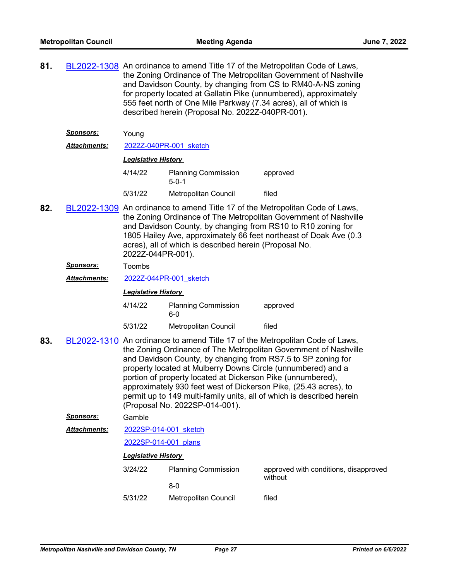**81.** [BL2022-1308](http://nashville.legistar.com/gateway.aspx?m=l&id=/matter.aspx?key=14553) An ordinance to amend Title 17 of the Metropolitan Code of Laws, the Zoning Ordinance of The Metropolitan Government of Nashville and Davidson County, by changing from CS to RM40-A-NS zoning for property located at Gallatin Pike (unnumbered), approximately 555 feet north of One Mile Parkway (7.34 acres), all of which is described herein (Proposal No. 2022Z-040PR-001).

| <b>Sponsors:</b>    | Young                      |                                           |          |  |
|---------------------|----------------------------|-------------------------------------------|----------|--|
| <b>Attachments:</b> | 2022Z-040PR-001 sketch     |                                           |          |  |
|                     | <b>Legislative History</b> |                                           |          |  |
|                     | 4/14/22                    | <b>Planning Commission</b><br>$5 - 0 - 1$ | approved |  |

5/31/22 Metropolitan Council filed

- **82.** [BL2022-1309](http://nashville.legistar.com/gateway.aspx?m=l&id=/matter.aspx?key=14555) An ordinance to amend Title 17 of the Metropolitan Code of Laws, the Zoning Ordinance of The Metropolitan Government of Nashville and Davidson County, by changing from RS10 to R10 zoning for 1805 Hailey Ave, approximately 66 feet northeast of Doak Ave (0.3 acres), all of which is described herein (Proposal No. 2022Z-044PR-001).
	- *Sponsors:* Toombs
	- *Attachments:* [2022Z-044PR-001\\_sketch](http://nashville.legistar.com/gateway.aspx?M=F&ID=90d8e367-710d-45c3-931d-2f007a573c51.docx)

#### *Legislative History*

- 4/14/22 Planning Commission approved 6-0
- 5/31/22 Metropolitan Council filed
- **83.** [BL2022-1310](http://nashville.legistar.com/gateway.aspx?m=l&id=/matter.aspx?key=14530) An ordinance to amend Title 17 of the Metropolitan Code of Laws, the Zoning Ordinance of The Metropolitan Government of Nashville and Davidson County, by changing from RS7.5 to SP zoning for property located at Mulberry Downs Circle (unnumbered) and a portion of property located at Dickerson Pike (unnumbered), approximately 930 feet west of Dickerson Pike, (25.43 acres), to permit up to 149 multi-family units, all of which is described herein (Proposal No. 2022SP-014-001).

#### *Sponsors:* Gamble

[2022SP-014-001\\_sketch](http://nashville.legistar.com/gateway.aspx?M=F&ID=7c554ec5-7800-4b8b-a4af-140751fddc01.docx) *Attachments:*

#### [2022SP-014-001\\_plans](http://nashville.legistar.com/gateway.aspx?M=F&ID=689ef602-8ee3-4089-be29-0eeded9c3e7c.pdf)

| 3/24/22 | <b>Planning Commission</b> | approved with conditions, disapproved<br>without |
|---------|----------------------------|--------------------------------------------------|
|         | 8-0                        |                                                  |
| 5/31/22 | Metropolitan Council       | filed                                            |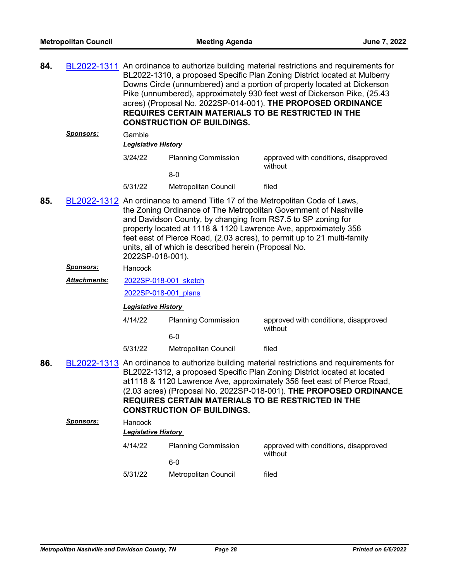| 84. | <u>Sponsors:</u>    | BL2022-1311 An ordinance to authorize building material restrictions and requirements for<br>BL2022-1310, a proposed Specific Plan Zoning District located at Mulberry<br>Downs Circle (unnumbered) and a portion of property located at Dickerson<br>Pike (unnumbered), approximately 930 feet west of Dickerson Pike, (25.43<br>acres) (Proposal No. 2022SP-014-001). THE PROPOSED ORDINANCE<br><b>REQUIRES CERTAIN MATERIALS TO BE RESTRICTED IN THE</b><br><b>CONSTRUCTION OF BUILDINGS.</b><br>Gamble<br><b>Legislative History</b> |                            |                                                  |  |  |
|-----|---------------------|------------------------------------------------------------------------------------------------------------------------------------------------------------------------------------------------------------------------------------------------------------------------------------------------------------------------------------------------------------------------------------------------------------------------------------------------------------------------------------------------------------------------------------------|----------------------------|--------------------------------------------------|--|--|
|     |                     | 3/24/22                                                                                                                                                                                                                                                                                                                                                                                                                                                                                                                                  | <b>Planning Commission</b> | approved with conditions, disapproved            |  |  |
|     |                     |                                                                                                                                                                                                                                                                                                                                                                                                                                                                                                                                          | $8-0$                      | without                                          |  |  |
|     |                     | 5/31/22                                                                                                                                                                                                                                                                                                                                                                                                                                                                                                                                  | Metropolitan Council       | filed                                            |  |  |
| 85. |                     | BL2022-1312 An ordinance to amend Title 17 of the Metropolitan Code of Laws,<br>the Zoning Ordinance of The Metropolitan Government of Nashville<br>and Davidson County, by changing from RS7.5 to SP zoning for<br>property located at 1118 & 1120 Lawrence Ave, approximately 356<br>feet east of Pierce Road, (2.03 acres), to permit up to 21 multi-family<br>units, all of which is described herein (Proposal No.<br>2022SP-018-001).                                                                                              |                            |                                                  |  |  |
|     | <b>Sponsors:</b>    | Hancock                                                                                                                                                                                                                                                                                                                                                                                                                                                                                                                                  |                            |                                                  |  |  |
|     | <b>Attachments:</b> | 2022SP-018-001 sketch                                                                                                                                                                                                                                                                                                                                                                                                                                                                                                                    |                            |                                                  |  |  |
|     |                     | 2022SP-018-001 plans                                                                                                                                                                                                                                                                                                                                                                                                                                                                                                                     |                            |                                                  |  |  |
|     |                     | <b>Legislative History</b>                                                                                                                                                                                                                                                                                                                                                                                                                                                                                                               |                            |                                                  |  |  |
|     |                     | 4/14/22                                                                                                                                                                                                                                                                                                                                                                                                                                                                                                                                  | <b>Planning Commission</b> | approved with conditions, disapproved            |  |  |
|     |                     |                                                                                                                                                                                                                                                                                                                                                                                                                                                                                                                                          | $6-0$                      | without                                          |  |  |
|     |                     | 5/31/22                                                                                                                                                                                                                                                                                                                                                                                                                                                                                                                                  | Metropolitan Council       | filed                                            |  |  |
| 86. |                     | BL2022-1313 An ordinance to authorize building material restrictions and requirements for<br>BL2022-1312, a proposed Specific Plan Zoning District located at located<br>at1118 & 1120 Lawrence Ave, approximately 356 feet east of Pierce Road,<br>(2.03 acres) (Proposal No. 2022SP-018-001). THE PROPOSED ORDINANCE<br><b>REQUIRES CERTAIN MATERIALS TO BE RESTRICTED IN THE</b><br><b>CONSTRUCTION OF BUILDINGS.</b>                                                                                                                 |                            |                                                  |  |  |
|     | Sponsors:           | Hancock                                                                                                                                                                                                                                                                                                                                                                                                                                                                                                                                  |                            |                                                  |  |  |
|     |                     |                                                                                                                                                                                                                                                                                                                                                                                                                                                                                                                                          | <b>Legislative History</b> |                                                  |  |  |
|     |                     | 4/14/22                                                                                                                                                                                                                                                                                                                                                                                                                                                                                                                                  | <b>Planning Commission</b> | approved with conditions, disapproved<br>without |  |  |
|     |                     |                                                                                                                                                                                                                                                                                                                                                                                                                                                                                                                                          | $6-0$                      |                                                  |  |  |
|     |                     | 5/31/22                                                                                                                                                                                                                                                                                                                                                                                                                                                                                                                                  | Metropolitan Council       | filed                                            |  |  |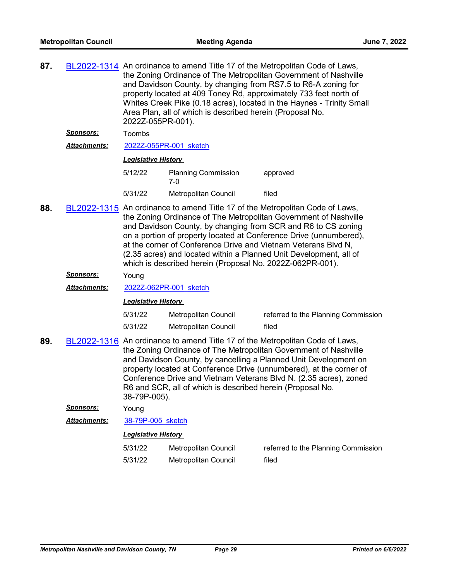| 87.     |                     | BL2022-1314 An ordinance to amend Title 17 of the Metropolitan Code of Laws,<br>the Zoning Ordinance of The Metropolitan Government of Nashville<br>and Davidson County, by changing from RS7.5 to R6-A zoning for<br>property located at 409 Toney Rd, approximately 733 feet north of<br>Whites Creek Pike (0.18 acres), located in the Haynes - Trinity Small<br>Area Plan, all of which is described herein (Proposal No.<br>2022Z-055PR-001).                                           |                                     |                                     |  |
|---------|---------------------|----------------------------------------------------------------------------------------------------------------------------------------------------------------------------------------------------------------------------------------------------------------------------------------------------------------------------------------------------------------------------------------------------------------------------------------------------------------------------------------------|-------------------------------------|-------------------------------------|--|
|         | <u>Sponsors:</u>    | Toombs                                                                                                                                                                                                                                                                                                                                                                                                                                                                                       |                                     |                                     |  |
|         | <b>Attachments:</b> | 2022Z-055PR-001 sketch                                                                                                                                                                                                                                                                                                                                                                                                                                                                       |                                     |                                     |  |
|         |                     | <b>Legislative History</b>                                                                                                                                                                                                                                                                                                                                                                                                                                                                   |                                     |                                     |  |
|         |                     | 5/12/22                                                                                                                                                                                                                                                                                                                                                                                                                                                                                      | <b>Planning Commission</b><br>$7-0$ | approved                            |  |
|         |                     | 5/31/22                                                                                                                                                                                                                                                                                                                                                                                                                                                                                      | <b>Metropolitan Council</b>         | filed                               |  |
| 88.     |                     | BL2022-1315 An ordinance to amend Title 17 of the Metropolitan Code of Laws,<br>the Zoning Ordinance of The Metropolitan Government of Nashville<br>and Davidson County, by changing from SCR and R6 to CS zoning<br>on a portion of property located at Conference Drive (unnumbered),<br>at the corner of Conference Drive and Vietnam Veterans Blvd N,<br>(2.35 acres) and located within a Planned Unit Development, all of<br>which is described herein (Proposal No. 2022Z-062PR-001). |                                     |                                     |  |
|         | <u>Sponsors:</u>    | Young                                                                                                                                                                                                                                                                                                                                                                                                                                                                                        |                                     |                                     |  |
|         | <b>Attachments:</b> | 2022Z-062PR-001 sketch                                                                                                                                                                                                                                                                                                                                                                                                                                                                       |                                     |                                     |  |
|         |                     | <b>Legislative History</b>                                                                                                                                                                                                                                                                                                                                                                                                                                                                   |                                     |                                     |  |
|         |                     | 5/31/22                                                                                                                                                                                                                                                                                                                                                                                                                                                                                      | Metropolitan Council                | referred to the Planning Commission |  |
|         |                     | 5/31/22                                                                                                                                                                                                                                                                                                                                                                                                                                                                                      | <b>Metropolitan Council</b>         | filed                               |  |
| 89.     |                     | BL2022-1316 An ordinance to amend Title 17 of the Metropolitan Code of Laws,<br>the Zoning Ordinance of The Metropolitan Government of Nashville<br>and Davidson County, by cancelling a Planned Unit Development on<br>property located at Conference Drive (unnumbered), at the corner of<br>Conference Drive and Vietnam Veterans Blvd N. (2.35 acres), zoned<br>R6 and SCR, all of which is described herein (Proposal No.<br>38-79P-005).                                               |                                     |                                     |  |
|         | <b>Sponsors:</b>    | Young                                                                                                                                                                                                                                                                                                                                                                                                                                                                                        |                                     |                                     |  |
|         | Attachments:        | 38-79P-005 sketch                                                                                                                                                                                                                                                                                                                                                                                                                                                                            |                                     |                                     |  |
|         |                     | <b>Legislative History</b>                                                                                                                                                                                                                                                                                                                                                                                                                                                                   |                                     |                                     |  |
|         |                     | 5/31/22                                                                                                                                                                                                                                                                                                                                                                                                                                                                                      | <b>Metropolitan Council</b>         | referred to the Planning Commission |  |
| 5/31/22 |                     |                                                                                                                                                                                                                                                                                                                                                                                                                                                                                              | Metropolitan Council                | filed                               |  |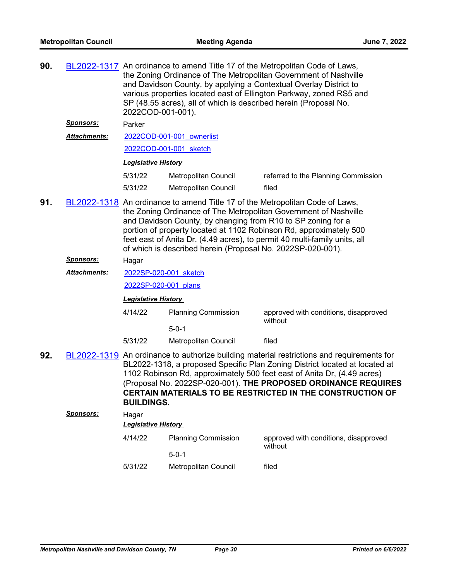| 90.                                                                                                                   | <u>Sponsors:</u><br><b>Attachments:</b> | BL2022-1317 An ordinance to amend Title 17 of the Metropolitan Code of Laws,<br>the Zoning Ordinance of The Metropolitan Government of Nashville<br>and Davidson County, by applying a Contextual Overlay District to<br>various properties located east of Ellington Parkway, zoned RS5 and<br>SP (48.55 acres), all of which is described herein (Proposal No.<br>2022COD-001-001).<br>Parker<br>2022COD-001-001 ownerlist<br>2022COD-001-001 sketch<br><b>Legislative History</b> |                                                                                                                                                                                                                                                                                       |                                                  |  |  |
|-----------------------------------------------------------------------------------------------------------------------|-----------------------------------------|--------------------------------------------------------------------------------------------------------------------------------------------------------------------------------------------------------------------------------------------------------------------------------------------------------------------------------------------------------------------------------------------------------------------------------------------------------------------------------------|---------------------------------------------------------------------------------------------------------------------------------------------------------------------------------------------------------------------------------------------------------------------------------------|--------------------------------------------------|--|--|
|                                                                                                                       |                                         | 5/31/22                                                                                                                                                                                                                                                                                                                                                                                                                                                                              | Metropolitan Council                                                                                                                                                                                                                                                                  | referred to the Planning Commission              |  |  |
|                                                                                                                       |                                         | 5/31/22                                                                                                                                                                                                                                                                                                                                                                                                                                                                              | Metropolitan Council                                                                                                                                                                                                                                                                  | filed                                            |  |  |
| 91.                                                                                                                   |                                         | BL2022-1318 An ordinance to amend Title 17 of the Metropolitan Code of Laws,<br>the Zoning Ordinance of The Metropolitan Government of Nashville<br>and Davidson County, by changing from R10 to SP zoning for a<br>portion of property located at 1102 Robinson Rd, approximately 500<br>feet east of Anita Dr, (4.49 acres), to permit 40 multi-family units, all<br>of which is described herein (Proposal No. 2022SP-020-001).                                                   |                                                                                                                                                                                                                                                                                       |                                                  |  |  |
|                                                                                                                       | <u>Sponsors:</u>                        | Hagar                                                                                                                                                                                                                                                                                                                                                                                                                                                                                |                                                                                                                                                                                                                                                                                       |                                                  |  |  |
|                                                                                                                       | <b>Attachments:</b>                     | 2022SP-020-001 sketch                                                                                                                                                                                                                                                                                                                                                                                                                                                                |                                                                                                                                                                                                                                                                                       |                                                  |  |  |
|                                                                                                                       |                                         | 2022SP-020-001 plans                                                                                                                                                                                                                                                                                                                                                                                                                                                                 |                                                                                                                                                                                                                                                                                       |                                                  |  |  |
|                                                                                                                       |                                         | <b>Legislative History</b>                                                                                                                                                                                                                                                                                                                                                                                                                                                           |                                                                                                                                                                                                                                                                                       |                                                  |  |  |
|                                                                                                                       |                                         | 4/14/22                                                                                                                                                                                                                                                                                                                                                                                                                                                                              | <b>Planning Commission</b><br>$5 - 0 - 1$                                                                                                                                                                                                                                             | approved with conditions, disapproved<br>without |  |  |
|                                                                                                                       |                                         | 5/31/22                                                                                                                                                                                                                                                                                                                                                                                                                                                                              | Metropolitan Council                                                                                                                                                                                                                                                                  | filed                                            |  |  |
| BL2022-1319 An ordinance to authorize building material restrictions and requirements for<br>92.<br><b>BUILDINGS.</b> |                                         |                                                                                                                                                                                                                                                                                                                                                                                                                                                                                      | BL2022-1318, a proposed Specific Plan Zoning District located at located at<br>1102 Robinson Rd, approximately 500 feet east of Anita Dr, (4.49 acres)<br>(Proposal No. 2022SP-020-001). THE PROPOSED ORDINANCE REQUIRES<br>CERTAIN MATERIALS TO BE RESTRICTED IN THE CONSTRUCTION OF |                                                  |  |  |
|                                                                                                                       | <u>Sponsors:</u>                        | Hagar<br><b>Legislative History</b>                                                                                                                                                                                                                                                                                                                                                                                                                                                  |                                                                                                                                                                                                                                                                                       |                                                  |  |  |
|                                                                                                                       |                                         | 4/14/22                                                                                                                                                                                                                                                                                                                                                                                                                                                                              |                                                                                                                                                                                                                                                                                       | approved with conditions, disapproved            |  |  |
|                                                                                                                       |                                         |                                                                                                                                                                                                                                                                                                                                                                                                                                                                                      | <b>Planning Commission</b><br>without                                                                                                                                                                                                                                                 |                                                  |  |  |
|                                                                                                                       |                                         |                                                                                                                                                                                                                                                                                                                                                                                                                                                                                      | $5 - 0 - 1$                                                                                                                                                                                                                                                                           |                                                  |  |  |
|                                                                                                                       |                                         | 5/31/22                                                                                                                                                                                                                                                                                                                                                                                                                                                                              | Metropolitan Council                                                                                                                                                                                                                                                                  | filed                                            |  |  |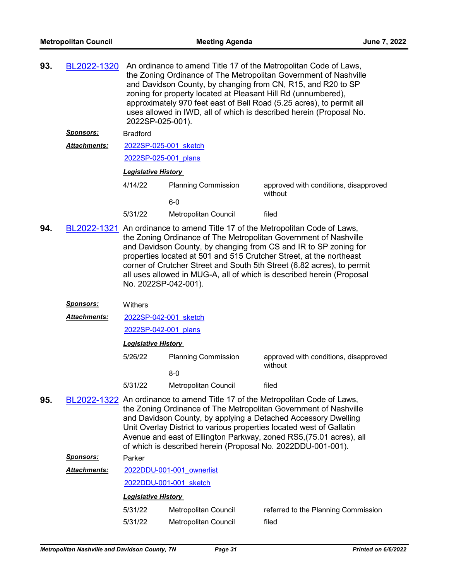| 93. | BL2022-1320          | An ordinance to amend Title 17 of the Metropolitan Code of Laws,<br>the Zoning Ordinance of The Metropolitan Government of Nashville<br>and Davidson County, by changing from CN, R15, and R20 to SP<br>zoning for property located at Pleasant Hill Rd (unnumbered),<br>approximately 970 feet east of Bell Road (5.25 acres), to permit all<br>uses allowed in IWD, all of which is described herein (Proposal No.<br>2022SP-025-001).                                          |                                     |                                                  |  |  |
|-----|----------------------|-----------------------------------------------------------------------------------------------------------------------------------------------------------------------------------------------------------------------------------------------------------------------------------------------------------------------------------------------------------------------------------------------------------------------------------------------------------------------------------|-------------------------------------|--------------------------------------------------|--|--|
|     | <u>Sponsors:</u>     | <b>Bradford</b>                                                                                                                                                                                                                                                                                                                                                                                                                                                                   |                                     |                                                  |  |  |
|     | <b>Attachments:</b>  | 2022SP-025-001 sketch                                                                                                                                                                                                                                                                                                                                                                                                                                                             |                                     |                                                  |  |  |
|     |                      | 2022SP-025-001 plans                                                                                                                                                                                                                                                                                                                                                                                                                                                              |                                     |                                                  |  |  |
|     |                      | <b>Legislative History</b>                                                                                                                                                                                                                                                                                                                                                                                                                                                        |                                     |                                                  |  |  |
|     |                      | 4/14/22                                                                                                                                                                                                                                                                                                                                                                                                                                                                           | <b>Planning Commission</b>          | approved with conditions, disapproved<br>without |  |  |
|     |                      |                                                                                                                                                                                                                                                                                                                                                                                                                                                                                   | $6-0$                               |                                                  |  |  |
|     |                      | 5/31/22                                                                                                                                                                                                                                                                                                                                                                                                                                                                           | Metropolitan Council                | filed                                            |  |  |
| 94. |                      | BL2022-1321 An ordinance to amend Title 17 of the Metropolitan Code of Laws,<br>the Zoning Ordinance of The Metropolitan Government of Nashville<br>and Davidson County, by changing from CS and IR to SP zoning for<br>properties located at 501 and 515 Crutcher Street, at the northeast<br>corner of Crutcher Street and South 5th Street (6.82 acres), to permit<br>all uses allowed in MUG-A, all of which is described herein (Proposal<br>No. 2022SP-042-001).<br>Withers |                                     |                                                  |  |  |
|     | <u>Sponsors:</u>     |                                                                                                                                                                                                                                                                                                                                                                                                                                                                                   |                                     |                                                  |  |  |
|     | Attachments:         | 2022SP-042-001 sketch                                                                                                                                                                                                                                                                                                                                                                                                                                                             |                                     |                                                  |  |  |
|     |                      | 2022SP-042-001 plans                                                                                                                                                                                                                                                                                                                                                                                                                                                              |                                     |                                                  |  |  |
|     |                      | <b>Legislative History</b>                                                                                                                                                                                                                                                                                                                                                                                                                                                        |                                     |                                                  |  |  |
|     |                      | 5/26/22                                                                                                                                                                                                                                                                                                                                                                                                                                                                           | <b>Planning Commission</b><br>$8-0$ | approved with conditions, disapproved<br>without |  |  |
|     |                      | 5/31/22                                                                                                                                                                                                                                                                                                                                                                                                                                                                           | <b>Metropolitan Council</b>         | filed                                            |  |  |
| 95. |                      | BL2022-1322 An ordinance to amend Title 17 of the Metropolitan Code of Laws,<br>the Zoning Ordinance of The Metropolitan Government of Nashville<br>and Davidson County, by applying a Detached Accessory Dwelling<br>Unit Overlay District to various properties located west of Gallatin<br>Avenue and east of Ellington Parkway, zoned RS5, (75.01 acres), all<br>of which is described herein (Proposal No. 2022DDU-001-001).                                                 |                                     |                                                  |  |  |
|     | <b>Sponsors:</b>     | Parker                                                                                                                                                                                                                                                                                                                                                                                                                                                                            |                                     |                                                  |  |  |
|     | <u> Attachments:</u> |                                                                                                                                                                                                                                                                                                                                                                                                                                                                                   | 2022DDU-001-001 ownerlist           |                                                  |  |  |
|     |                      |                                                                                                                                                                                                                                                                                                                                                                                                                                                                                   | 2022DDU-001-001 sketch              |                                                  |  |  |
|     |                      | <b>Legislative History</b>                                                                                                                                                                                                                                                                                                                                                                                                                                                        |                                     |                                                  |  |  |
|     |                      | 5/31/22                                                                                                                                                                                                                                                                                                                                                                                                                                                                           | Metropolitan Council                | referred to the Planning Commission              |  |  |
|     |                      | 5/31/22                                                                                                                                                                                                                                                                                                                                                                                                                                                                           | Metropolitan Council                | filed                                            |  |  |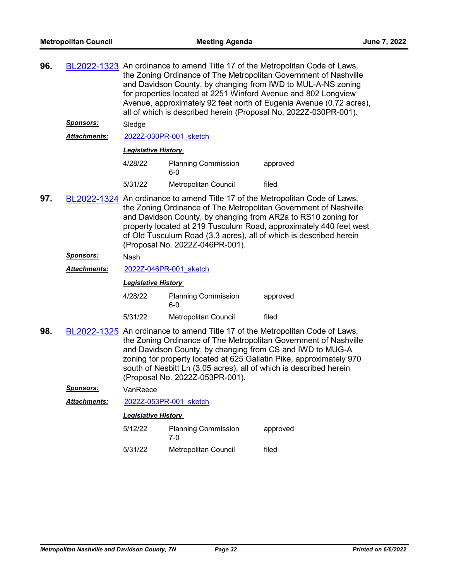| 96. | <u>Sponsors:</u>    | BL2022-1323 An ordinance to amend Title 17 of the Metropolitan Code of Laws,<br>the Zoning Ordinance of The Metropolitan Government of Nashville<br>and Davidson County, by changing from IWD to MUL-A-NS zoning<br>for properties located at 2251 Winford Avenue and 802 Longview<br>Avenue, approximately 92 feet north of Eugenia Avenue (0.72 acres),<br>all of which is described herein (Proposal No. 2022Z-030PR-001). |                                                                                                                                                                    |                                                                                                                                                                                                                         |  |
|-----|---------------------|-------------------------------------------------------------------------------------------------------------------------------------------------------------------------------------------------------------------------------------------------------------------------------------------------------------------------------------------------------------------------------------------------------------------------------|--------------------------------------------------------------------------------------------------------------------------------------------------------------------|-------------------------------------------------------------------------------------------------------------------------------------------------------------------------------------------------------------------------|--|
|     | <b>Attachments:</b> | Sledge                                                                                                                                                                                                                                                                                                                                                                                                                        | 2022Z-030PR-001 sketch                                                                                                                                             |                                                                                                                                                                                                                         |  |
|     |                     | <b>Legislative History</b>                                                                                                                                                                                                                                                                                                                                                                                                    |                                                                                                                                                                    |                                                                                                                                                                                                                         |  |
|     |                     |                                                                                                                                                                                                                                                                                                                                                                                                                               |                                                                                                                                                                    |                                                                                                                                                                                                                         |  |
|     |                     | 4/28/22                                                                                                                                                                                                                                                                                                                                                                                                                       | <b>Planning Commission</b><br>6-0                                                                                                                                  | approved                                                                                                                                                                                                                |  |
|     |                     | 5/31/22                                                                                                                                                                                                                                                                                                                                                                                                                       | Metropolitan Council                                                                                                                                               | filed                                                                                                                                                                                                                   |  |
| 97. |                     | BL2022-1324 An ordinance to amend Title 17 of the Metropolitan Code of Laws,<br>the Zoning Ordinance of The Metropolitan Government of Nashville<br>and Davidson County, by changing from AR2a to RS10 zoning for<br>property located at 219 Tusculum Road, approximately 440 feet west<br>of Old Tusculum Road (3.3 acres), all of which is described herein<br>(Proposal No. 2022Z-046PR-001).                              |                                                                                                                                                                    |                                                                                                                                                                                                                         |  |
|     | <u>Sponsors:</u>    | Nash                                                                                                                                                                                                                                                                                                                                                                                                                          |                                                                                                                                                                    |                                                                                                                                                                                                                         |  |
|     | Attachments:        | 2022Z-046PR-001 sketch                                                                                                                                                                                                                                                                                                                                                                                                        |                                                                                                                                                                    |                                                                                                                                                                                                                         |  |
|     |                     | <b>Legislative History</b>                                                                                                                                                                                                                                                                                                                                                                                                    |                                                                                                                                                                    |                                                                                                                                                                                                                         |  |
|     |                     | 4/28/22                                                                                                                                                                                                                                                                                                                                                                                                                       | <b>Planning Commission</b><br>$6-0$                                                                                                                                | approved                                                                                                                                                                                                                |  |
|     |                     | 5/31/22                                                                                                                                                                                                                                                                                                                                                                                                                       | Metropolitan Council                                                                                                                                               | filed                                                                                                                                                                                                                   |  |
| 98. |                     |                                                                                                                                                                                                                                                                                                                                                                                                                               | and Davidson County, by changing from CS and IWD to MUG-A<br>south of Nesbitt Ln (3.05 acres), all of which is described herein<br>(Proposal No. 2022Z-053PR-001). | BL2022-1325 An ordinance to amend Title 17 of the Metropolitan Code of Laws,<br>the Zoning Ordinance of The Metropolitan Government of Nashville<br>zoning for property located at 625 Gallatin Pike, approximately 970 |  |
|     | <b>Sponsors:</b>    | VanReece                                                                                                                                                                                                                                                                                                                                                                                                                      |                                                                                                                                                                    |                                                                                                                                                                                                                         |  |
|     | Attachments:        |                                                                                                                                                                                                                                                                                                                                                                                                                               | 2022Z-053PR-001 sketch                                                                                                                                             |                                                                                                                                                                                                                         |  |
|     |                     | <b>Legislative History</b>                                                                                                                                                                                                                                                                                                                                                                                                    |                                                                                                                                                                    |                                                                                                                                                                                                                         |  |
|     |                     | 5/12/22                                                                                                                                                                                                                                                                                                                                                                                                                       | <b>Planning Commission</b><br>7-0                                                                                                                                  | approved                                                                                                                                                                                                                |  |
|     |                     | 5/31/22                                                                                                                                                                                                                                                                                                                                                                                                                       | Metropolitan Council                                                                                                                                               | filed                                                                                                                                                                                                                   |  |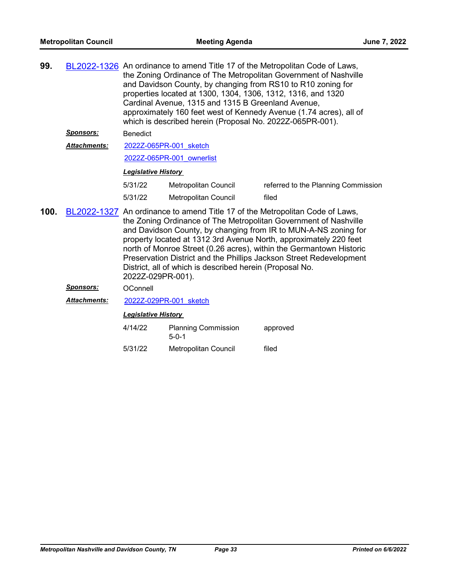| 99.  |                     | BL2022-1326 An ordinance to amend Title 17 of the Metropolitan Code of Laws,<br>the Zoning Ordinance of The Metropolitan Government of Nashville<br>and Davidson County, by changing from RS10 to R10 zoning for<br>properties located at 1300, 1304, 1306, 1312, 1316, and 1320<br>Cardinal Avenue, 1315 and 1315 B Greenland Avenue,<br>approximately 160 feet west of Kennedy Avenue (1.74 acres), all of<br>which is described herein (Proposal No. 2022Z-065PR-001).                                               |                        |                                     |  |  |
|------|---------------------|-------------------------------------------------------------------------------------------------------------------------------------------------------------------------------------------------------------------------------------------------------------------------------------------------------------------------------------------------------------------------------------------------------------------------------------------------------------------------------------------------------------------------|------------------------|-------------------------------------|--|--|
|      | <u>Sponsors:</u>    | <b>Benedict</b>                                                                                                                                                                                                                                                                                                                                                                                                                                                                                                         |                        |                                     |  |  |
|      | <b>Attachments:</b> |                                                                                                                                                                                                                                                                                                                                                                                                                                                                                                                         | 2022Z-065PR-001 sketch |                                     |  |  |
|      |                     | 2022Z-065PR-001 ownerlist                                                                                                                                                                                                                                                                                                                                                                                                                                                                                               |                        |                                     |  |  |
|      |                     | <b>Legislative History</b>                                                                                                                                                                                                                                                                                                                                                                                                                                                                                              |                        |                                     |  |  |
|      |                     | 5/31/22                                                                                                                                                                                                                                                                                                                                                                                                                                                                                                                 | Metropolitan Council   | referred to the Planning Commission |  |  |
|      |                     | 5/31/22                                                                                                                                                                                                                                                                                                                                                                                                                                                                                                                 | Metropolitan Council   | filed                               |  |  |
| 100. |                     | BL2022-1327 An ordinance to amend Title 17 of the Metropolitan Code of Laws,<br>the Zoning Ordinance of The Metropolitan Government of Nashville<br>and Davidson County, by changing from IR to MUN-A-NS zoning for<br>property located at 1312 3rd Avenue North, approximately 220 feet<br>north of Monroe Street (0.26 acres), within the Germantown Historic<br>Preservation District and the Phillips Jackson Street Redevelopment<br>District, all of which is described herein (Proposal No.<br>2022Z-029PR-001). |                        |                                     |  |  |
|      | <b>Sponsors:</b>    | <b>OConnell</b>                                                                                                                                                                                                                                                                                                                                                                                                                                                                                                         |                        |                                     |  |  |

*Attachments:* [2022Z-029PR-001\\_sketch](http://nashville.legistar.com/gateway.aspx?M=F&ID=14a20145-de5e-46af-901a-745a66680e80.docx)

| 4/14/22 | <b>Planning Commission</b><br>$5-0-1$ | approved |
|---------|---------------------------------------|----------|
| 5/31/22 | <b>Metropolitan Council</b>           | filed    |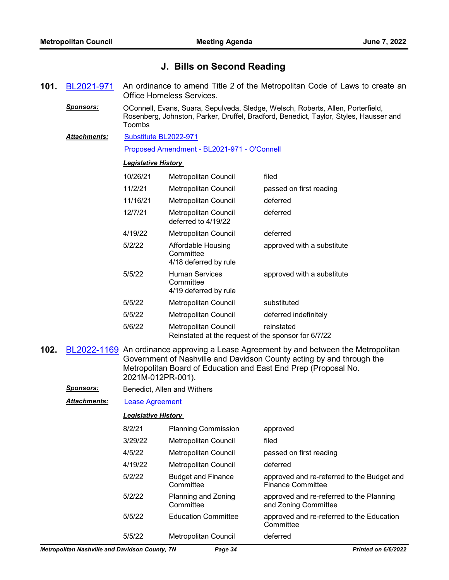# **J. Bills on Second Reading**

- **101.** [BL2021-971](http://nashville.legistar.com/gateway.aspx?m=l&id=/matter.aspx?key=13734) An ordinance to amend Title 2 of the Metropolitan Code of Laws to create an Office Homeless Services.
	- *Sponsors:* OConnell, Evans, Suara, Sepulveda, Sledge, Welsch, Roberts, Allen, Porterfield, Rosenberg, Johnston, Parker, Druffel, Bradford, Benedict, Taylor, Styles, Hausser and Toombs
	- [Substitute BL2022-971](http://nashville.legistar.com/gateway.aspx?M=F&ID=73887e9a-5719-4c4b-8e73-235e9445c186.docx) *Attachments:*

[Proposed Amendment - BL2021-971 - O'Connell](http://nashville.legistar.com/gateway.aspx?M=F&ID=76a99df6-51fc-4b39-9ec9-57ec85c31ad6.docx)

## *Legislative History*

| 10/26/21 | <b>Metropolitan Council</b>                                                 | filed                      |
|----------|-----------------------------------------------------------------------------|----------------------------|
| 11/2/21  | Metropolitan Council                                                        | passed on first reading    |
| 11/16/21 | Metropolitan Council                                                        | deferred                   |
| 12/7/21  | Metropolitan Council<br>deferred to 4/19/22                                 | deferred                   |
| 4/19/22  | Metropolitan Council                                                        | deferred                   |
| 5/2/22   | Affordable Housing<br>Committee<br>4/18 deferred by rule                    | approved with a substitute |
| 5/5/22   | <b>Human Services</b><br>Committee<br>4/19 deferred by rule                 | approved with a substitute |
| 5/5/22   | <b>Metropolitan Council</b>                                                 | substituted                |
| 5/5/22   | Metropolitan Council                                                        | deferred indefinitely      |
| 5/6/22   | Metropolitan Council<br>Reinstated at the request of the sponsor for 6/7/22 | reinstated                 |

- **102.** [BL2022-1169](http://nashville.legistar.com/gateway.aspx?m=l&id=/matter.aspx?key=14261) An ordinance approving a Lease Agreement by and between the Metropolitan Government of Nashville and Davidson County acting by and through the Metropolitan Board of Education and East End Prep (Proposal No. 2021M-012PR-001).
	- **Sponsors:** Benedict, Allen and Withers

*Attachments:* [Lease Agreement](http://nashville.legistar.com/gateway.aspx?M=F&ID=e7deaabc-865e-4072-9df7-486593ad76a6.pdf)

| 8/2/21  | <b>Planning Commission</b>             | approved                                                               |
|---------|----------------------------------------|------------------------------------------------------------------------|
| 3/29/22 | Metropolitan Council                   | filed                                                                  |
| 4/5/22  | Metropolitan Council                   | passed on first reading                                                |
| 4/19/22 | Metropolitan Council                   | deferred                                                               |
| 5/2/22  | <b>Budget and Finance</b><br>Committee | approved and re-referred to the Budget and<br><b>Finance Committee</b> |
| 5/2/22  | Planning and Zoning<br>Committee       | approved and re-referred to the Planning<br>and Zoning Committee       |
| 5/5/22  | <b>Education Committee</b>             | approved and re-referred to the Education<br>Committee                 |
| 5/5/22  | Metropolitan Council                   | deferred                                                               |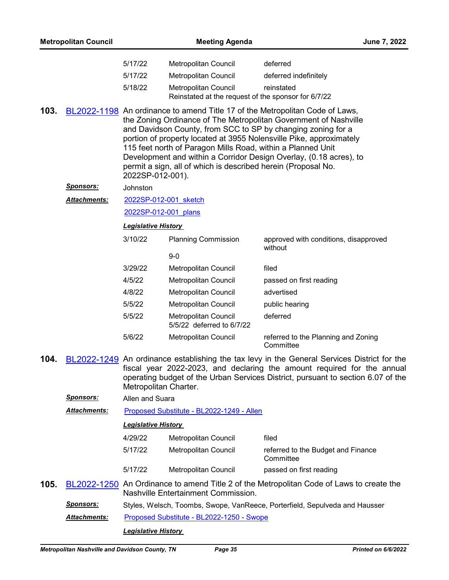|      |                     | 5/17/22                                                                                                                                                                                                                                                                                                                                                                                                                                                                                                           | Metropolitan Council                                                               | deferred                                                                                                                                                                                                                                                   |  |
|------|---------------------|-------------------------------------------------------------------------------------------------------------------------------------------------------------------------------------------------------------------------------------------------------------------------------------------------------------------------------------------------------------------------------------------------------------------------------------------------------------------------------------------------------------------|------------------------------------------------------------------------------------|------------------------------------------------------------------------------------------------------------------------------------------------------------------------------------------------------------------------------------------------------------|--|
|      |                     | 5/17/22                                                                                                                                                                                                                                                                                                                                                                                                                                                                                                           | <b>Metropolitan Council</b>                                                        | deferred indefinitely                                                                                                                                                                                                                                      |  |
|      |                     | 5/18/22                                                                                                                                                                                                                                                                                                                                                                                                                                                                                                           | <b>Metropolitan Council</b><br>Reinstated at the request of the sponsor for 6/7/22 | reinstated                                                                                                                                                                                                                                                 |  |
| 103. |                     | BL2022-1198 An ordinance to amend Title 17 of the Metropolitan Code of Laws,<br>the Zoning Ordinance of The Metropolitan Government of Nashville<br>and Davidson County, from SCC to SP by changing zoning for a<br>portion of property located at 3955 Nolensville Pike, approximately<br>115 feet north of Paragon Mills Road, within a Planned Unit<br>Development and within a Corridor Design Overlay, (0.18 acres), to<br>permit a sign, all of which is described herein (Proposal No.<br>2022SP-012-001). |                                                                                    |                                                                                                                                                                                                                                                            |  |
|      | <u>Sponsors:</u>    | Johnston                                                                                                                                                                                                                                                                                                                                                                                                                                                                                                          |                                                                                    |                                                                                                                                                                                                                                                            |  |
|      | <b>Attachments:</b> | 2022SP-012-001 sketch                                                                                                                                                                                                                                                                                                                                                                                                                                                                                             |                                                                                    |                                                                                                                                                                                                                                                            |  |
|      |                     | 2022SP-012-001 plans                                                                                                                                                                                                                                                                                                                                                                                                                                                                                              |                                                                                    |                                                                                                                                                                                                                                                            |  |
|      |                     | <b>Legislative History</b>                                                                                                                                                                                                                                                                                                                                                                                                                                                                                        |                                                                                    |                                                                                                                                                                                                                                                            |  |
|      |                     | 3/10/22                                                                                                                                                                                                                                                                                                                                                                                                                                                                                                           | <b>Planning Commission</b>                                                         | approved with conditions, disapproved<br>without                                                                                                                                                                                                           |  |
|      |                     |                                                                                                                                                                                                                                                                                                                                                                                                                                                                                                                   | $9-0$                                                                              |                                                                                                                                                                                                                                                            |  |
|      |                     | 3/29/22                                                                                                                                                                                                                                                                                                                                                                                                                                                                                                           | Metropolitan Council                                                               | filed                                                                                                                                                                                                                                                      |  |
|      |                     | 4/5/22                                                                                                                                                                                                                                                                                                                                                                                                                                                                                                            | Metropolitan Council                                                               | passed on first reading                                                                                                                                                                                                                                    |  |
|      |                     | 4/8/22                                                                                                                                                                                                                                                                                                                                                                                                                                                                                                            | <b>Metropolitan Council</b>                                                        | advertised                                                                                                                                                                                                                                                 |  |
|      |                     | 5/5/22                                                                                                                                                                                                                                                                                                                                                                                                                                                                                                            | Metropolitan Council                                                               | public hearing                                                                                                                                                                                                                                             |  |
|      |                     | 5/5/22                                                                                                                                                                                                                                                                                                                                                                                                                                                                                                            | Metropolitan Council<br>5/5/22 deferred to 6/7/22                                  | deferred                                                                                                                                                                                                                                                   |  |
|      |                     | 5/6/22                                                                                                                                                                                                                                                                                                                                                                                                                                                                                                            | Metropolitan Council                                                               | referred to the Planning and Zoning<br>Committee                                                                                                                                                                                                           |  |
| 104. |                     | Metropolitan Charter.                                                                                                                                                                                                                                                                                                                                                                                                                                                                                             |                                                                                    | BL2022-1249 An ordinance establishing the tax levy in the General Services District for the<br>fiscal year 2022-2023, and declaring the amount required for the annual<br>operating budget of the Urban Services District, pursuant to section 6.07 of the |  |
|      | Sponsors:           | Allen and Suara                                                                                                                                                                                                                                                                                                                                                                                                                                                                                                   |                                                                                    |                                                                                                                                                                                                                                                            |  |
|      | Attachments:        |                                                                                                                                                                                                                                                                                                                                                                                                                                                                                                                   | Proposed Substitute - BL2022-1249 - Allen                                          |                                                                                                                                                                                                                                                            |  |
|      |                     | <b>Legislative History</b>                                                                                                                                                                                                                                                                                                                                                                                                                                                                                        |                                                                                    |                                                                                                                                                                                                                                                            |  |
|      |                     | 4/29/22                                                                                                                                                                                                                                                                                                                                                                                                                                                                                                           | Metropolitan Council                                                               | filed                                                                                                                                                                                                                                                      |  |
|      |                     | 5/17/22                                                                                                                                                                                                                                                                                                                                                                                                                                                                                                           | Metropolitan Council                                                               | referred to the Budget and Finance<br>Committee                                                                                                                                                                                                            |  |
|      |                     | 5/17/22                                                                                                                                                                                                                                                                                                                                                                                                                                                                                                           | Metropolitan Council                                                               | passed on first reading                                                                                                                                                                                                                                    |  |
| 105. |                     |                                                                                                                                                                                                                                                                                                                                                                                                                                                                                                                   | Nashville Entertainment Commission.                                                | BL2022-1250 An Ordinance to amend Title 2 of the Metropolitan Code of Laws to create the                                                                                                                                                                   |  |
|      | Sponsors:           |                                                                                                                                                                                                                                                                                                                                                                                                                                                                                                                   |                                                                                    | Styles, Welsch, Toombs, Swope, VanReece, Porterfield, Sepulveda and Hausser                                                                                                                                                                                |  |
|      | Attachments:        |                                                                                                                                                                                                                                                                                                                                                                                                                                                                                                                   | Proposed Substitute - BL2022-1250 - Swope                                          |                                                                                                                                                                                                                                                            |  |
|      |                     |                                                                                                                                                                                                                                                                                                                                                                                                                                                                                                                   | <b>Legislative History</b>                                                         |                                                                                                                                                                                                                                                            |  |

**Metropolitan Council Meeting Agenda Meeting Agenda June 7, 2022**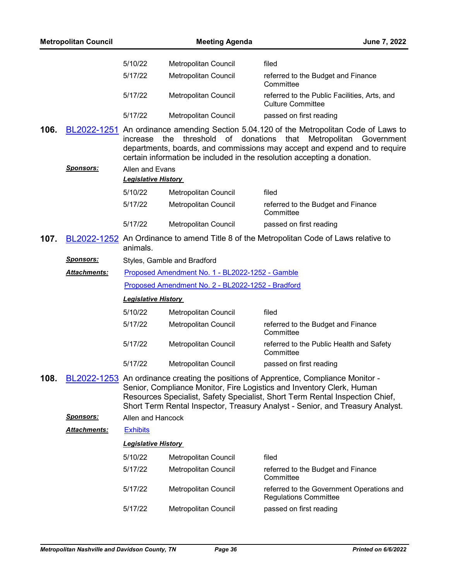|      | <b>Metropolitan Council</b> |                            | <b>Meeting Agenda</b>                             |                                                                                                                                                                                                                                                                                                                               | June 7, 2022 |
|------|-----------------------------|----------------------------|---------------------------------------------------|-------------------------------------------------------------------------------------------------------------------------------------------------------------------------------------------------------------------------------------------------------------------------------------------------------------------------------|--------------|
|      |                             |                            |                                                   |                                                                                                                                                                                                                                                                                                                               |              |
|      |                             | 5/10/22                    | Metropolitan Council                              | filed                                                                                                                                                                                                                                                                                                                         |              |
|      |                             | 5/17/22                    | Metropolitan Council                              | referred to the Budget and Finance<br>Committee                                                                                                                                                                                                                                                                               |              |
|      |                             | 5/17/22                    | Metropolitan Council                              | referred to the Public Facilities, Arts, and<br><b>Culture Committee</b>                                                                                                                                                                                                                                                      |              |
|      |                             | 5/17/22                    | Metropolitan Council                              | passed on first reading                                                                                                                                                                                                                                                                                                       |              |
| 106. |                             | increase                   | threshold<br>of donations<br>the                  | BL2022-1251 An ordinance amending Section 5.04.120 of the Metropolitan Code of Laws to<br>that<br>Metropolitan<br>departments, boards, and commissions may accept and expend and to require<br>certain information be included in the resolution accepting a donation.                                                        | Government   |
|      | <u>Sponsors:</u>            | Allen and Evans            |                                                   |                                                                                                                                                                                                                                                                                                                               |              |
|      |                             | <b>Legislative History</b> |                                                   |                                                                                                                                                                                                                                                                                                                               |              |
|      |                             | 5/10/22                    | Metropolitan Council                              | filed                                                                                                                                                                                                                                                                                                                         |              |
|      |                             | 5/17/22                    | Metropolitan Council                              | referred to the Budget and Finance<br>Committee                                                                                                                                                                                                                                                                               |              |
|      |                             | 5/17/22                    | Metropolitan Council                              | passed on first reading                                                                                                                                                                                                                                                                                                       |              |
| 107. |                             | animals.                   |                                                   | BL2022-1252 An Ordinance to amend Title 8 of the Metropolitan Code of Laws relative to                                                                                                                                                                                                                                        |              |
|      | <u>Sponsors:</u>            |                            | Styles, Gamble and Bradford                       |                                                                                                                                                                                                                                                                                                                               |              |
|      | <b>Attachments:</b>         |                            | Proposed Amendment No. 1 - BL2022-1252 - Gamble   |                                                                                                                                                                                                                                                                                                                               |              |
|      |                             |                            | Proposed Amendment No. 2 - BL2022-1252 - Bradford |                                                                                                                                                                                                                                                                                                                               |              |
|      |                             | <b>Legislative History</b> |                                                   |                                                                                                                                                                                                                                                                                                                               |              |
|      |                             | 5/10/22                    | Metropolitan Council                              | filed                                                                                                                                                                                                                                                                                                                         |              |
|      |                             | 5/17/22                    | Metropolitan Council                              | referred to the Budget and Finance<br>Committee                                                                                                                                                                                                                                                                               |              |
|      |                             | 5/17/22                    | Metropolitan Council                              | referred to the Public Health and Safety<br>Committee                                                                                                                                                                                                                                                                         |              |
|      |                             | 5/17/22                    | Metropolitan Council                              | passed on first reading                                                                                                                                                                                                                                                                                                       |              |
| 108. |                             |                            |                                                   | BL2022-1253 An ordinance creating the positions of Apprentice, Compliance Monitor -<br>Senior, Compliance Monitor, Fire Logistics and Inventory Clerk, Human<br>Resources Specialist, Safety Specialist, Short Term Rental Inspection Chief,<br>Short Term Rental Inspector, Treasury Analyst - Senior, and Treasury Analyst. |              |
|      | <u>Sponsors:</u>            | Allen and Hancock          |                                                   |                                                                                                                                                                                                                                                                                                                               |              |
|      | Attachments:                | <b>Exhibits</b>            |                                                   |                                                                                                                                                                                                                                                                                                                               |              |
|      |                             | <b>Legislative History</b> |                                                   |                                                                                                                                                                                                                                                                                                                               |              |
|      |                             | 5/10/22                    | Metropolitan Council                              | filed                                                                                                                                                                                                                                                                                                                         |              |
|      |                             | 5/17/22                    | Metropolitan Council                              | referred to the Budget and Finance<br>Committee                                                                                                                                                                                                                                                                               |              |
|      |                             | 5/17/22                    | Metropolitan Council                              | referred to the Government Operations and<br><b>Regulations Committee</b>                                                                                                                                                                                                                                                     |              |
|      |                             | 5/17/22                    | Metropolitan Council                              | passed on first reading                                                                                                                                                                                                                                                                                                       |              |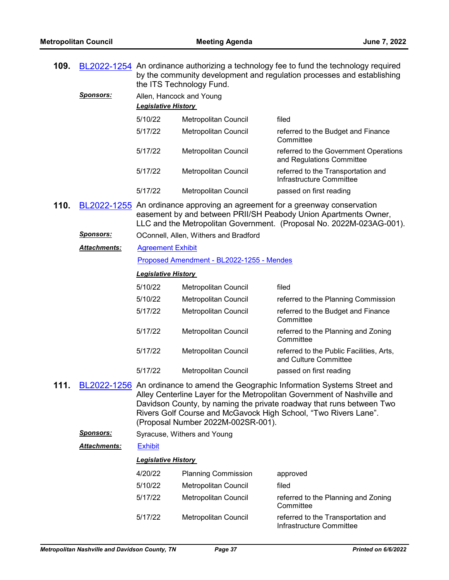**109.** [BL2022-1254](http://nashville.legistar.com/gateway.aspx?m=l&id=/matter.aspx?key=14478) An ordinance authorizing a technology fee to fund the technology required

|      |                     | by the community development and regulation processes and establishing<br>the ITS Technology Fund. |                                           |                                                                                                                                                                                                                                                                                                       |  |  |  |
|------|---------------------|----------------------------------------------------------------------------------------------------|-------------------------------------------|-------------------------------------------------------------------------------------------------------------------------------------------------------------------------------------------------------------------------------------------------------------------------------------------------------|--|--|--|
|      | <u>Sponsors:</u>    | Allen, Hancock and Young                                                                           |                                           |                                                                                                                                                                                                                                                                                                       |  |  |  |
|      |                     | <b>Legislative History</b>                                                                         |                                           |                                                                                                                                                                                                                                                                                                       |  |  |  |
|      |                     | 5/10/22                                                                                            | Metropolitan Council                      | filed                                                                                                                                                                                                                                                                                                 |  |  |  |
|      |                     | 5/17/22                                                                                            | Metropolitan Council                      | referred to the Budget and Finance<br>Committee                                                                                                                                                                                                                                                       |  |  |  |
|      |                     | 5/17/22                                                                                            | <b>Metropolitan Council</b>               | referred to the Government Operations<br>and Regulations Committee                                                                                                                                                                                                                                    |  |  |  |
|      |                     | 5/17/22                                                                                            | Metropolitan Council                      | referred to the Transportation and<br>Infrastructure Committee                                                                                                                                                                                                                                        |  |  |  |
|      |                     | 5/17/22                                                                                            | Metropolitan Council                      | passed on first reading                                                                                                                                                                                                                                                                               |  |  |  |
| 110. |                     |                                                                                                    |                                           | BL2022-1255 An ordinance approving an agreement for a greenway conservation<br>easement by and between PRII/SH Peabody Union Apartments Owner,<br>LLC and the Metropolitan Government. (Proposal No. 2022M-023AG-001).                                                                                |  |  |  |
|      | <u>Sponsors:</u>    |                                                                                                    | OConnell, Allen, Withers and Bradford     |                                                                                                                                                                                                                                                                                                       |  |  |  |
|      | <b>Attachments:</b> | <b>Agreement Exhibit</b>                                                                           |                                           |                                                                                                                                                                                                                                                                                                       |  |  |  |
|      |                     |                                                                                                    | Proposed Amendment - BL2022-1255 - Mendes |                                                                                                                                                                                                                                                                                                       |  |  |  |
|      |                     | <b>Legislative History</b>                                                                         |                                           |                                                                                                                                                                                                                                                                                                       |  |  |  |
|      |                     | 5/10/22                                                                                            | Metropolitan Council                      | filed                                                                                                                                                                                                                                                                                                 |  |  |  |
|      |                     | 5/10/22                                                                                            | Metropolitan Council                      | referred to the Planning Commission                                                                                                                                                                                                                                                                   |  |  |  |
|      |                     | 5/17/22                                                                                            | Metropolitan Council                      | referred to the Budget and Finance<br>Committee                                                                                                                                                                                                                                                       |  |  |  |
|      |                     | 5/17/22                                                                                            | Metropolitan Council                      | referred to the Planning and Zoning<br>Committee                                                                                                                                                                                                                                                      |  |  |  |
|      |                     | 5/17/22                                                                                            | Metropolitan Council                      | referred to the Public Facilities, Arts,<br>and Culture Committee                                                                                                                                                                                                                                     |  |  |  |
|      |                     | 5/17/22                                                                                            | Metropolitan Council                      | passed on first reading                                                                                                                                                                                                                                                                               |  |  |  |
| 111. |                     |                                                                                                    | (Proposal Number 2022M-002SR-001).        | BL2022-1256 An ordinance to amend the Geographic Information Systems Street and<br>Alley Centerline Layer for the Metropolitan Government of Nashville and<br>Davidson County, by naming the private roadway that runs between Two<br>Rivers Golf Course and McGavock High School, "Two Rivers Lane". |  |  |  |
|      | <u>Sponsors:</u>    |                                                                                                    | Syracuse, Withers and Young               |                                                                                                                                                                                                                                                                                                       |  |  |  |
|      | Attachments:        | <b>Exhibit</b>                                                                                     |                                           |                                                                                                                                                                                                                                                                                                       |  |  |  |
|      |                     | <b>Legislative History</b>                                                                         |                                           |                                                                                                                                                                                                                                                                                                       |  |  |  |
|      |                     | 4/20/22                                                                                            | <b>Planning Commission</b>                | approved                                                                                                                                                                                                                                                                                              |  |  |  |
|      |                     | 5/10/22                                                                                            | Metropolitan Council                      | filed                                                                                                                                                                                                                                                                                                 |  |  |  |
|      |                     | 5/17/22                                                                                            | Metropolitan Council                      | referred to the Planning and Zoning<br>Committee                                                                                                                                                                                                                                                      |  |  |  |
|      |                     | 5/17/22                                                                                            | Metropolitan Council                      | referred to the Transportation and<br>Infrastructure Committee                                                                                                                                                                                                                                        |  |  |  |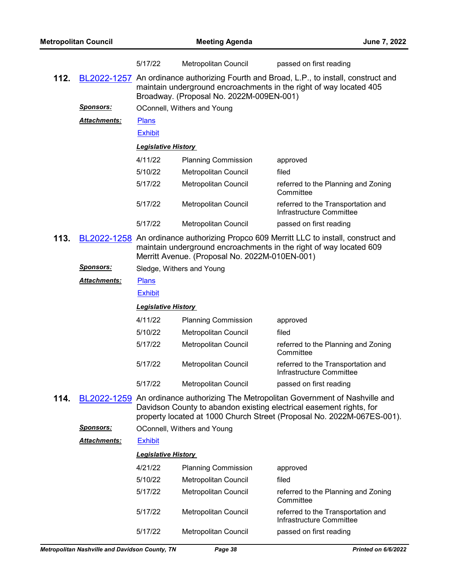|      |                     | 5/17/22                    | Metropolitan Council                           | passed on first reading                                                                                                                                                                                                            |  |
|------|---------------------|----------------------------|------------------------------------------------|------------------------------------------------------------------------------------------------------------------------------------------------------------------------------------------------------------------------------------|--|
| 112. |                     |                            | Broadway. (Proposal No. 2022M-009EN-001)       | BL2022-1257 An ordinance authorizing Fourth and Broad, L.P., to install, construct and<br>maintain underground encroachments in the right of way located 405                                                                       |  |
|      | <b>Sponsors:</b>    |                            | OConnell, Withers and Young                    |                                                                                                                                                                                                                                    |  |
|      | <b>Attachments:</b> | <b>Plans</b>               |                                                |                                                                                                                                                                                                                                    |  |
|      |                     | <b>Exhibit</b>             |                                                |                                                                                                                                                                                                                                    |  |
|      |                     | <b>Legislative History</b> |                                                |                                                                                                                                                                                                                                    |  |
|      |                     | 4/11/22                    | <b>Planning Commission</b>                     | approved                                                                                                                                                                                                                           |  |
|      |                     | 5/10/22                    | Metropolitan Council                           | filed                                                                                                                                                                                                                              |  |
|      |                     | 5/17/22                    | Metropolitan Council                           | referred to the Planning and Zoning<br>Committee                                                                                                                                                                                   |  |
|      |                     | 5/17/22                    | Metropolitan Council                           | referred to the Transportation and<br>Infrastructure Committee                                                                                                                                                                     |  |
|      |                     | 5/17/22                    | Metropolitan Council                           | passed on first reading                                                                                                                                                                                                            |  |
| 113. |                     |                            | Merritt Avenue. (Proposal No. 2022M-010EN-001) | BL2022-1258 An ordinance authorizing Propco 609 Merritt LLC to install, construct and<br>maintain underground encroachments in the right of way located 609                                                                        |  |
|      | <u>Sponsors:</u>    | Sledge, Withers and Young  |                                                |                                                                                                                                                                                                                                    |  |
|      | <b>Attachments:</b> | <b>Plans</b>               |                                                |                                                                                                                                                                                                                                    |  |
|      |                     | <b>Exhibit</b>             |                                                |                                                                                                                                                                                                                                    |  |
|      |                     | <b>Legislative History</b> |                                                |                                                                                                                                                                                                                                    |  |
|      |                     | 4/11/22                    | <b>Planning Commission</b>                     | approved                                                                                                                                                                                                                           |  |
|      |                     | 5/10/22                    | Metropolitan Council                           | filed                                                                                                                                                                                                                              |  |
|      |                     | 5/17/22                    | <b>Metropolitan Council</b>                    | referred to the Planning and Zoning<br>Committee                                                                                                                                                                                   |  |
|      |                     | 5/17/22                    | <b>Metropolitan Council</b>                    | referred to the Transportation and<br>Infrastructure Committee                                                                                                                                                                     |  |
|      |                     | 5/17/22                    | Metropolitan Council                           | passed on first reading                                                                                                                                                                                                            |  |
| 114. |                     |                            |                                                | BL2022-1259 An ordinance authorizing The Metropolitan Government of Nashville and<br>Davidson County to abandon existing electrical easement rights, for<br>property located at 1000 Church Street (Proposal No. 2022M-067ES-001). |  |
|      | <u>Sponsors:</u>    |                            | OConnell, Withers and Young                    |                                                                                                                                                                                                                                    |  |
|      | <b>Attachments:</b> | <b>Exhibit</b>             |                                                |                                                                                                                                                                                                                                    |  |
|      |                     | <b>Legislative History</b> |                                                |                                                                                                                                                                                                                                    |  |
|      |                     | 4/21/22                    | <b>Planning Commission</b>                     | approved                                                                                                                                                                                                                           |  |
|      |                     | 5/10/22                    | Metropolitan Council                           | filed                                                                                                                                                                                                                              |  |
|      |                     | 5/17/22                    | Metropolitan Council                           | referred to the Planning and Zoning<br>Committee                                                                                                                                                                                   |  |
|      |                     | 5/17/22                    | Metropolitan Council                           | referred to the Transportation and<br>Infrastructure Committee                                                                                                                                                                     |  |
|      |                     | 5/17/22                    | Metropolitan Council                           | passed on first reading                                                                                                                                                                                                            |  |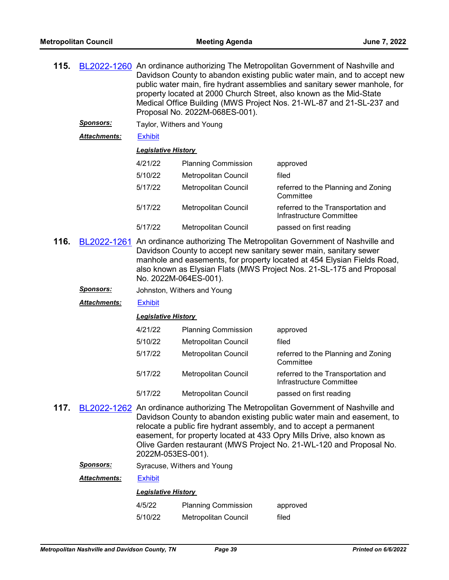| 115. |                     | BL2022-1260 An ordinance authorizing The Metropolitan Government of Nashville and<br>Davidson County to abandon existing public water main, and to accept new<br>public water main, fire hydrant assemblies and sanitary sewer manhole, for<br>property located at 2000 Church Street, also known as the Mid-State<br>Medical Office Building (MWS Project Nos. 21-WL-87 and 21-SL-237 and<br>Proposal No. 2022M-068ES-001). |                             |                                                                |  |  |
|------|---------------------|------------------------------------------------------------------------------------------------------------------------------------------------------------------------------------------------------------------------------------------------------------------------------------------------------------------------------------------------------------------------------------------------------------------------------|-----------------------------|----------------------------------------------------------------|--|--|
|      | <b>Sponsors:</b>    | Taylor, Withers and Young                                                                                                                                                                                                                                                                                                                                                                                                    |                             |                                                                |  |  |
|      | <b>Attachments:</b> | <b>Exhibit</b>                                                                                                                                                                                                                                                                                                                                                                                                               |                             |                                                                |  |  |
|      |                     |                                                                                                                                                                                                                                                                                                                                                                                                                              | <b>Legislative History</b>  |                                                                |  |  |
|      |                     | 4/21/22                                                                                                                                                                                                                                                                                                                                                                                                                      | <b>Planning Commission</b>  | approved                                                       |  |  |
|      |                     | 5/10/22                                                                                                                                                                                                                                                                                                                                                                                                                      | <b>Metropolitan Council</b> | filed                                                          |  |  |
|      |                     | 5/17/22                                                                                                                                                                                                                                                                                                                                                                                                                      | <b>Metropolitan Council</b> | referred to the Planning and Zoning<br>Committee               |  |  |
|      |                     | 5/17/22                                                                                                                                                                                                                                                                                                                                                                                                                      | Metropolitan Council        | referred to the Transportation and<br>Infrastructure Committee |  |  |
|      |                     | 5/17/22                                                                                                                                                                                                                                                                                                                                                                                                                      | <b>Metropolitan Council</b> | passed on first reading                                        |  |  |
| 116. |                     | BL2022-1261 An ordinance authorizing The Metropolitan Government of Nashville and<br>Davidson County to accept new sanitary sewer main, sanitary sewer<br>manhole and easements, for property located at 454 Elysian Fields Road,<br>also known as Elysian Flats (MWS Project Nos. 21-SL-175 and Proposal<br>No. 2022M-064ES-001).                                                                                           |                             |                                                                |  |  |

*Sponsors:* Johnston, Withers and Young

*Attachments:* [Exhibit](http://nashville.legistar.com/gateway.aspx?M=F&ID=9dcba2a7-6156-4e53-b3f8-558c1f4cbb51.pdf)

*Legislative History* 

| 4/21/22 | <b>Planning Commission</b>  | approved                                                       |
|---------|-----------------------------|----------------------------------------------------------------|
| 5/10/22 | <b>Metropolitan Council</b> | filed                                                          |
| 5/17/22 | Metropolitan Council        | referred to the Planning and Zoning<br>Committee               |
| 5/17/22 | Metropolitan Council        | referred to the Transportation and<br>Infrastructure Committee |
| 5/17/22 | <b>Metropolitan Council</b> | passed on first reading                                        |

**117.** [BL2022-1262](http://nashville.legistar.com/gateway.aspx?m=l&id=/matter.aspx?key=14471) An ordinance authorizing The Metropolitan Government of Nashville and Davidson County to abandon existing public water main and easement, to relocate a public fire hydrant assembly, and to accept a permanent easement, for property located at 433 Opry Mills Drive, also known as Olive Garden restaurant (MWS Project No. 21-WL-120 and Proposal No. 2022M-053ES-001).

**Sponsors:** Syracuse, Withers and Young

*Attachments:* [Exhibit](http://nashville.legistar.com/gateway.aspx?M=F&ID=63d23605-61ad-473f-964d-1abec6295848.pdf)

| 4/5/22  | <b>Planning Commission</b> | approved |
|---------|----------------------------|----------|
| 5/10/22 | Metropolitan Council       | filed    |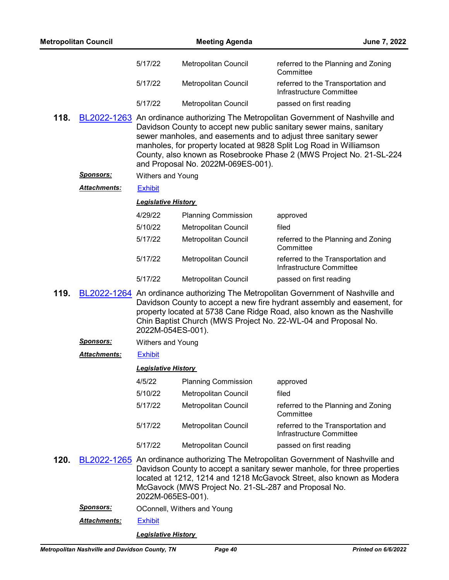| <b>Metropolitan Council</b> |                     |                            | <b>Meeting Agenda</b>                                | June 7, 2022                                                                                                                                                                                                                                                                                                                                                               |
|-----------------------------|---------------------|----------------------------|------------------------------------------------------|----------------------------------------------------------------------------------------------------------------------------------------------------------------------------------------------------------------------------------------------------------------------------------------------------------------------------------------------------------------------------|
|                             |                     | 5/17/22                    | Metropolitan Council                                 | referred to the Planning and Zoning<br>Committee                                                                                                                                                                                                                                                                                                                           |
|                             |                     | 5/17/22                    | Metropolitan Council                                 | referred to the Transportation and<br>Infrastructure Committee                                                                                                                                                                                                                                                                                                             |
|                             |                     | 5/17/22                    | Metropolitan Council                                 | passed on first reading                                                                                                                                                                                                                                                                                                                                                    |
| 118.                        |                     |                            | and Proposal No. 2022M-069ES-001).                   | BL2022-1263 An ordinance authorizing The Metropolitan Government of Nashville and<br>Davidson County to accept new public sanitary sewer mains, sanitary<br>sewer manholes, and easements and to adjust three sanitary sewer<br>manholes, for property located at 9828 Split Log Road in Williamson<br>County, also known as Rosebrooke Phase 2 (MWS Project No. 21-SL-224 |
|                             | <u>Sponsors:</u>    | Withers and Young          |                                                      |                                                                                                                                                                                                                                                                                                                                                                            |
|                             | <b>Attachments:</b> | <b>Exhibit</b>             |                                                      |                                                                                                                                                                                                                                                                                                                                                                            |
|                             |                     | <b>Legislative History</b> |                                                      |                                                                                                                                                                                                                                                                                                                                                                            |
|                             |                     | 4/29/22                    | <b>Planning Commission</b>                           | approved                                                                                                                                                                                                                                                                                                                                                                   |
|                             |                     | 5/10/22                    | Metropolitan Council                                 | filed                                                                                                                                                                                                                                                                                                                                                                      |
|                             |                     | 5/17/22                    | Metropolitan Council                                 | referred to the Planning and Zoning<br>Committee                                                                                                                                                                                                                                                                                                                           |
|                             |                     | 5/17/22                    | Metropolitan Council                                 | referred to the Transportation and<br>Infrastructure Committee                                                                                                                                                                                                                                                                                                             |
|                             |                     | 5/17/22                    | Metropolitan Council                                 | passed on first reading                                                                                                                                                                                                                                                                                                                                                    |
| 119.                        |                     | 2022M-054ES-001).          |                                                      | BL2022-1264 An ordinance authorizing The Metropolitan Government of Nashville and<br>Davidson County to accept a new fire hydrant assembly and easement, for<br>property located at 5738 Cane Ridge Road, also known as the Nashville<br>Chin Baptist Church (MWS Project No. 22-WL-04 and Proposal No.                                                                    |
|                             | <u>Sponsors:</u>    | Withers and Young          |                                                      |                                                                                                                                                                                                                                                                                                                                                                            |
|                             | <b>Attachments:</b> | <b>Exhibit</b>             |                                                      |                                                                                                                                                                                                                                                                                                                                                                            |
|                             |                     | <b>Legislative History</b> |                                                      |                                                                                                                                                                                                                                                                                                                                                                            |
|                             |                     | 4/5/22                     | <b>Planning Commission</b>                           | approved                                                                                                                                                                                                                                                                                                                                                                   |
|                             |                     | 5/10/22                    | Metropolitan Council                                 | filed                                                                                                                                                                                                                                                                                                                                                                      |
|                             |                     | 5/17/22                    | Metropolitan Council                                 | referred to the Planning and Zoning<br>Committee                                                                                                                                                                                                                                                                                                                           |
|                             |                     | 5/17/22                    | Metropolitan Council                                 | referred to the Transportation and<br>Infrastructure Committee                                                                                                                                                                                                                                                                                                             |
|                             |                     | 5/17/22                    | Metropolitan Council                                 | passed on first reading                                                                                                                                                                                                                                                                                                                                                    |
| 120.                        |                     | 2022M-065ES-001).          | McGavock (MWS Project No. 21-SL-287 and Proposal No. | BL2022-1265 An ordinance authorizing The Metropolitan Government of Nashville and<br>Davidson County to accept a sanitary sewer manhole, for three properties<br>located at 1212, 1214 and 1218 McGavock Street, also known as Modera                                                                                                                                      |
|                             | <u>Sponsors:</u>    |                            | OConnell, Withers and Young                          |                                                                                                                                                                                                                                                                                                                                                                            |
|                             | <b>Attachments:</b> | <b>Exhibit</b>             |                                                      |                                                                                                                                                                                                                                                                                                                                                                            |
|                             |                     | <b>Legislative History</b> |                                                      |                                                                                                                                                                                                                                                                                                                                                                            |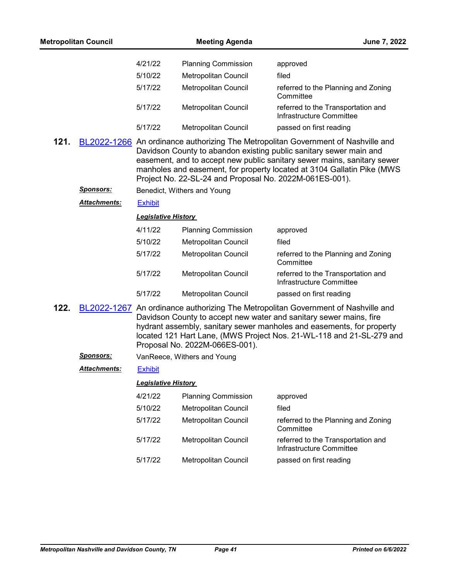|      | <b>Metropolitan Council</b> |                            | <b>Meeting Agenda</b>                                   | June 7, 2022                                                                                                                                                                                                                                                                                                 |
|------|-----------------------------|----------------------------|---------------------------------------------------------|--------------------------------------------------------------------------------------------------------------------------------------------------------------------------------------------------------------------------------------------------------------------------------------------------------------|
|      |                             | 4/21/22                    | <b>Planning Commission</b>                              | approved                                                                                                                                                                                                                                                                                                     |
|      |                             | 5/10/22                    | Metropolitan Council                                    | filed                                                                                                                                                                                                                                                                                                        |
|      |                             | 5/17/22                    | Metropolitan Council                                    | referred to the Planning and Zoning<br>Committee                                                                                                                                                                                                                                                             |
|      |                             | 5/17/22                    | <b>Metropolitan Council</b>                             | referred to the Transportation and<br>Infrastructure Committee                                                                                                                                                                                                                                               |
|      |                             | 5/17/22                    | Metropolitan Council                                    | passed on first reading                                                                                                                                                                                                                                                                                      |
| 121. |                             |                            | Project No. 22-SL-24 and Proposal No. 2022M-061ES-001). | BL2022-1266 An ordinance authorizing The Metropolitan Government of Nashville and<br>Davidson County to abandon existing public sanitary sewer main and<br>easement, and to accept new public sanitary sewer mains, sanitary sewer<br>manholes and easement, for property located at 3104 Gallatin Pike (MWS |
|      | <u>Sponsors:</u>            |                            | Benedict, Withers and Young                             |                                                                                                                                                                                                                                                                                                              |
|      | Attachments:                | <b>Exhibit</b>             |                                                         |                                                                                                                                                                                                                                                                                                              |
|      |                             | <b>Legislative History</b> |                                                         |                                                                                                                                                                                                                                                                                                              |
|      |                             | 4/11/22                    | <b>Planning Commission</b>                              | approved                                                                                                                                                                                                                                                                                                     |
|      |                             | 5/10/22                    | Metropolitan Council                                    | filed                                                                                                                                                                                                                                                                                                        |
|      |                             | 5/17/22                    | Metropolitan Council                                    | referred to the Planning and Zoning<br>Committee                                                                                                                                                                                                                                                             |
|      |                             | 5/17/22                    | Metropolitan Council                                    | referred to the Transportation and<br>Infrastructure Committee                                                                                                                                                                                                                                               |
|      |                             | 5/17/22                    | Metropolitan Council                                    | passed on first reading                                                                                                                                                                                                                                                                                      |
| 122. |                             |                            | Proposal No. 2022M-066ES-001).                          | BL2022-1267 An ordinance authorizing The Metropolitan Government of Nashville and<br>Davidson County to accept new water and sanitary sewer mains, fire<br>hydrant assembly, sanitary sewer manholes and easements, for property<br>located 121 Hart Lane, (MWS Project Nos. 21-WL-118 and 21-SL-279 and     |
|      | <b>Sponsors:</b>            |                            | VanReece, Withers and Young                             |                                                                                                                                                                                                                                                                                                              |
|      | <b>Attachments:</b>         | <b>Exhibit</b>             |                                                         |                                                                                                                                                                                                                                                                                                              |
|      |                             | <b>Legislative History</b> |                                                         |                                                                                                                                                                                                                                                                                                              |
|      |                             | 4/21/22                    | <b>Planning Commission</b>                              | approved                                                                                                                                                                                                                                                                                                     |
|      |                             | 5/10/22                    | Metropolitan Council                                    | filed                                                                                                                                                                                                                                                                                                        |
|      |                             | 5/17/22                    | Metropolitan Council                                    | referred to the Planning and Zoning<br>Committee                                                                                                                                                                                                                                                             |
|      |                             | 5/17/22                    | Metropolitan Council                                    | referred to the Transportation and<br>Infrastructure Committee                                                                                                                                                                                                                                               |
|      |                             | 5/17/22                    | Metropolitan Council                                    | passed on first reading                                                                                                                                                                                                                                                                                      |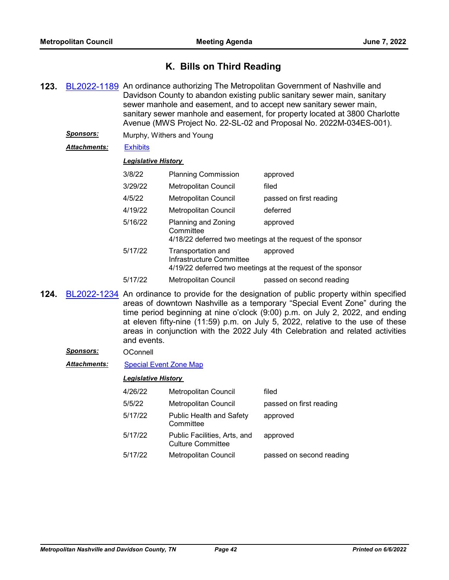# **K. Bills on Third Reading**

- **123.** [BL2022-1189](http://nashville.legistar.com/gateway.aspx?m=l&id=/matter.aspx?key=14282) An ordinance authorizing The Metropolitan Government of Nashville and Davidson County to abandon existing public sanitary sewer main, sanitary sewer manhole and easement, and to accept new sanitary sewer main, sanitary sewer manhole and easement, for property located at 3800 Charlotte Avenue (MWS Project No. 22-SL-02 and Proposal No. 2022M-034ES-001).
	- *Sponsors:* Murphy, Withers and Young

## *Attachments:* [Exhibits](http://nashville.legistar.com/gateway.aspx?M=F&ID=879d1234-3e04-4c13-9dd7-4faa504e8f63.pdf)

## *Legislative History*

| 3/8/22  | <b>Planning Commission</b>                     | approved                                                                |
|---------|------------------------------------------------|-------------------------------------------------------------------------|
| 3/29/22 | Metropolitan Council                           | filed                                                                   |
| 4/5/22  | Metropolitan Council                           | passed on first reading                                                 |
| 4/19/22 | <b>Metropolitan Council</b>                    | deferred                                                                |
| 5/16/22 | Planning and Zoning<br>Committee               | approved<br>4/18/22 deferred two meetings at the request of the sponsor |
| 5/17/22 | Transportation and<br>Infrastructure Committee | approved<br>4/19/22 deferred two meetings at the request of the sponsor |
|         |                                                |                                                                         |

- 5/17/22 Metropolitan Council passed on second reading
- **124.** [BL2022-1234](http://nashville.legistar.com/gateway.aspx?m=l&id=/matter.aspx?key=14433) An ordinance to provide for the designation of public property within specified areas of downtown Nashville as a temporary "Special Event Zone" during the time period beginning at nine o'clock (9:00) p.m. on July 2, 2022, and ending at eleven fifty-nine (11:59) p.m. on July 5, 2022, relative to the use of these areas in conjunction with the 2022 July 4th Celebration and related activities and events.

## *Sponsors:* OConnell

*Attachments:* [Special Event Zone Map](http://nashville.legistar.com/gateway.aspx?M=F&ID=8101b1c5-296b-45bf-86a0-30fea2c4a76d.pdf)

| 4/26/22 | Metropolitan Council                                     | filed                    |
|---------|----------------------------------------------------------|--------------------------|
| 5/5/22  | <b>Metropolitan Council</b>                              | passed on first reading  |
| 5/17/22 | <b>Public Health and Safety</b><br>Committee             | approved                 |
| 5/17/22 | Public Facilities, Arts, and<br><b>Culture Committee</b> | approved                 |
| 5/17/22 | <b>Metropolitan Council</b>                              | passed on second reading |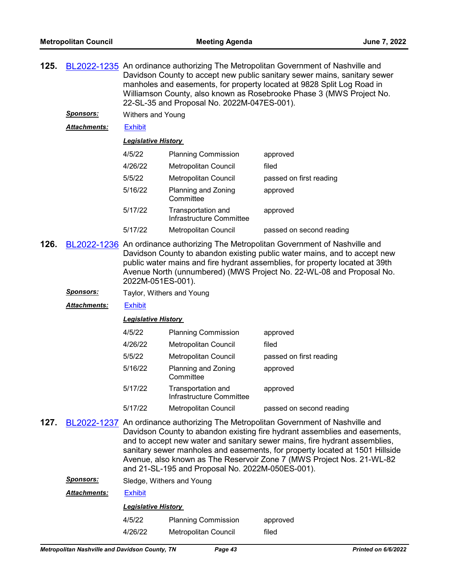| 125. | BL2022-1235 An ordinance authorizing The Metropolitan Government of Nashville and |
|------|-----------------------------------------------------------------------------------|
|      | Davidson County to accept new public sanitary sewer mains, sanitary sewer         |
|      | manholes and easements, for property located at 9828 Split Log Road in            |
|      | Williamson County, also known as Rosebrooke Phase 3 (MWS Project No.              |
|      | 22-SL-35 and Proposal No. 2022M-047ES-001).                                       |
|      |                                                                                   |

*Sponsors:* Withers and Young

*Attachments:* [Exhibit](http://nashville.legistar.com/gateway.aspx?M=F&ID=85ced0df-c692-4839-b5fd-9780f92c2138.pdf)

### *Legislative History*

| 4/5/22  | <b>Planning Commission</b>                     | approved                 |
|---------|------------------------------------------------|--------------------------|
| 4/26/22 | Metropolitan Council                           | filed                    |
| 5/5/22  | <b>Metropolitan Council</b>                    | passed on first reading  |
| 5/16/22 | Planning and Zoning<br>Committee               | approved                 |
| 5/17/22 | Transportation and<br>Infrastructure Committee | approved                 |
| 5/17/22 | <b>Metropolitan Council</b>                    | passed on second reading |

- **126.** [BL2022-1236](http://nashville.legistar.com/gateway.aspx?m=l&id=/matter.aspx?key=14407) An ordinance authorizing The Metropolitan Government of Nashville and Davidson County to abandon existing public water mains, and to accept new public water mains and fire hydrant assemblies, for property located at 39th Avenue North (unnumbered) (MWS Project No. 22-WL-08 and Proposal No. 2022M-051ES-001).
	- *Sponsors:* Taylor, Withers and Young
	- *Attachments:* [Exhibit](http://nashville.legistar.com/gateway.aspx?M=F&ID=de4e3b51-bcfe-4383-9fc3-f1af7ed55e68.pdf)

#### *Legislative History*

| 4/5/22  | <b>Planning Commission</b>                     | approved                 |
|---------|------------------------------------------------|--------------------------|
| 4/26/22 | Metropolitan Council                           | filed                    |
| 5/5/22  | <b>Metropolitan Council</b>                    | passed on first reading  |
| 5/16/22 | Planning and Zoning<br>Committee               | approved                 |
| 5/17/22 | Transportation and<br>Infrastructure Committee | approved                 |
| 5/17/22 | <b>Metropolitan Council</b>                    | passed on second reading |

- **127.** [BL2022-1237](http://nashville.legistar.com/gateway.aspx?m=l&id=/matter.aspx?key=14408) An ordinance authorizing The Metropolitan Government of Nashville and Davidson County to abandon existing fire hydrant assemblies and easements, and to accept new water and sanitary sewer mains, fire hydrant assemblies, sanitary sewer manholes and easements, for property located at 1501 Hillside Avenue, also known as The Reservoir Zone 7 (MWS Project Nos. 21-WL-82 and 21-SL-195 and Proposal No. 2022M-050ES-001).
	- *Sponsors:* Sledge, Withers and Young

*Attachments:* [Exhibit](http://nashville.legistar.com/gateway.aspx?M=F&ID=8c531bdc-c87d-4f09-a30b-187fcddd361f.pdf)

| 4/5/22  | <b>Planning Commission</b> | approved |
|---------|----------------------------|----------|
| 4/26/22 | Metropolitan Council       | filed    |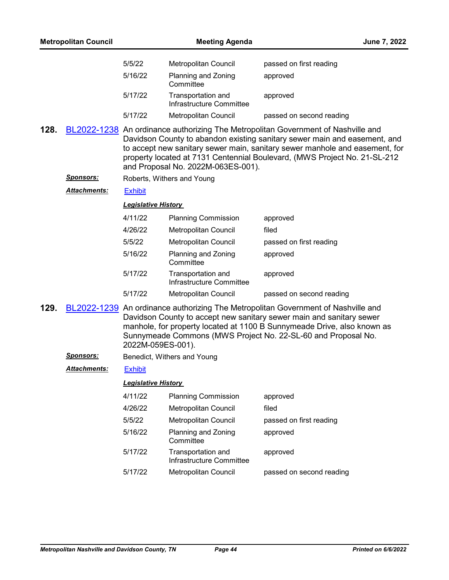|      | <b>Metropolitan Council</b> |                            | <b>Meeting Agenda</b>                          | June 7, 2022                                                                                                                                                                                                                                                                                                               |
|------|-----------------------------|----------------------------|------------------------------------------------|----------------------------------------------------------------------------------------------------------------------------------------------------------------------------------------------------------------------------------------------------------------------------------------------------------------------------|
|      |                             | 5/5/22                     | Metropolitan Council                           | passed on first reading                                                                                                                                                                                                                                                                                                    |
|      |                             | 5/16/22                    | Planning and Zoning<br>Committee               | approved                                                                                                                                                                                                                                                                                                                   |
|      |                             | 5/17/22                    | Transportation and<br>Infrastructure Committee | approved                                                                                                                                                                                                                                                                                                                   |
|      |                             | 5/17/22                    | <b>Metropolitan Council</b>                    | passed on second reading                                                                                                                                                                                                                                                                                                   |
| 128. |                             |                            | and Proposal No. 2022M-063ES-001).             | BL2022-1238 An ordinance authorizing The Metropolitan Government of Nashville and<br>Davidson County to abandon existing sanitary sewer main and easement, and<br>to accept new sanitary sewer main, sanitary sewer manhole and easement, for<br>property located at 7131 Centennial Boulevard, (MWS Project No. 21-SL-212 |
|      | <u>Sponsors:</u>            |                            | Roberts, Withers and Young                     |                                                                                                                                                                                                                                                                                                                            |
|      | <b>Attachments:</b>         | <b>Exhibit</b>             |                                                |                                                                                                                                                                                                                                                                                                                            |
|      |                             | <b>Legislative History</b> |                                                |                                                                                                                                                                                                                                                                                                                            |
|      |                             | 4/11/22                    | <b>Planning Commission</b>                     | approved                                                                                                                                                                                                                                                                                                                   |
|      |                             | 4/26/22                    | Metropolitan Council                           | filed                                                                                                                                                                                                                                                                                                                      |
|      |                             | 5/5/22                     | Metropolitan Council                           | passed on first reading                                                                                                                                                                                                                                                                                                    |
|      |                             | 5/16/22                    | Planning and Zoning<br>Committee               | approved                                                                                                                                                                                                                                                                                                                   |
|      |                             | 5/17/22                    | Transportation and<br>Infrastructure Committee | approved                                                                                                                                                                                                                                                                                                                   |
|      |                             | 5/17/22                    | Metropolitan Council                           | passed on second reading                                                                                                                                                                                                                                                                                                   |
| 129. |                             | 2022M-059ES-001).          |                                                | BL2022-1239 An ordinance authorizing The Metropolitan Government of Nashville and<br>Davidson County to accept new sanitary sewer main and sanitary sewer<br>manhole, for property located at 1100 B Sunnymeade Drive, also known as<br>Sunnymeade Commons (MWS Project No. 22-SL-60 and Proposal No.                      |
|      | <b>Sponsors:</b>            |                            | Benedict, Withers and Young                    |                                                                                                                                                                                                                                                                                                                            |
|      | Attachments:                | <b>Exhibit</b>             |                                                |                                                                                                                                                                                                                                                                                                                            |
|      |                             | <b>Legislative History</b> |                                                |                                                                                                                                                                                                                                                                                                                            |
|      |                             | 4/11/22                    | <b>Planning Commission</b>                     | approved                                                                                                                                                                                                                                                                                                                   |
|      |                             | 4/26/22                    | Metropolitan Council                           | filed                                                                                                                                                                                                                                                                                                                      |
|      |                             | 5/5/22                     | Metropolitan Council                           | passed on first reading                                                                                                                                                                                                                                                                                                    |
|      |                             | 5/16/22                    | Planning and Zoning<br>Committee               | approved                                                                                                                                                                                                                                                                                                                   |
|      |                             | 5/17/22                    | Transportation and<br>Infrastructure Committee | approved                                                                                                                                                                                                                                                                                                                   |
|      |                             | 5/17/22                    | Metropolitan Council                           | passed on second reading                                                                                                                                                                                                                                                                                                   |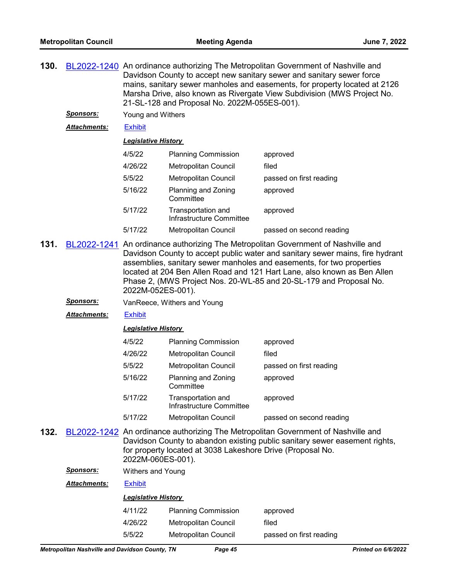| 130. |                                                                                                                                                                                                                                                    | BL2022-1240 An ordinance authorizing The Metropolitan Government of Nashville and<br>Davidson County to accept new sanitary sewer and sanitary sewer force<br>mains, sanitary sewer manholes and easements, for property located at 2126<br>Marsha Drive, also known as Rivergate View Subdivision (MWS Project No.<br>21-SL-128 and Proposal No. 2022M-055ES-001).                                                |                                                |                          |  |  |
|------|----------------------------------------------------------------------------------------------------------------------------------------------------------------------------------------------------------------------------------------------------|--------------------------------------------------------------------------------------------------------------------------------------------------------------------------------------------------------------------------------------------------------------------------------------------------------------------------------------------------------------------------------------------------------------------|------------------------------------------------|--------------------------|--|--|
|      | <u>Sponsors:</u>                                                                                                                                                                                                                                   |                                                                                                                                                                                                                                                                                                                                                                                                                    | Young and Withers                              |                          |  |  |
|      | <b>Attachments:</b>                                                                                                                                                                                                                                | <b>Exhibit</b>                                                                                                                                                                                                                                                                                                                                                                                                     |                                                |                          |  |  |
|      |                                                                                                                                                                                                                                                    |                                                                                                                                                                                                                                                                                                                                                                                                                    | <b>Legislative History</b>                     |                          |  |  |
|      |                                                                                                                                                                                                                                                    | 4/5/22                                                                                                                                                                                                                                                                                                                                                                                                             | <b>Planning Commission</b>                     | approved                 |  |  |
|      |                                                                                                                                                                                                                                                    | 4/26/22                                                                                                                                                                                                                                                                                                                                                                                                            | Metropolitan Council                           | filed                    |  |  |
|      |                                                                                                                                                                                                                                                    | 5/5/22                                                                                                                                                                                                                                                                                                                                                                                                             | <b>Metropolitan Council</b>                    | passed on first reading  |  |  |
|      |                                                                                                                                                                                                                                                    | 5/16/22                                                                                                                                                                                                                                                                                                                                                                                                            | Planning and Zoning<br>Committee               | approved                 |  |  |
|      |                                                                                                                                                                                                                                                    | 5/17/22                                                                                                                                                                                                                                                                                                                                                                                                            | Transportation and<br>Infrastructure Committee | approved                 |  |  |
|      |                                                                                                                                                                                                                                                    | 5/17/22                                                                                                                                                                                                                                                                                                                                                                                                            | <b>Metropolitan Council</b>                    | passed on second reading |  |  |
| 131. |                                                                                                                                                                                                                                                    | BL2022-1241 An ordinance authorizing The Metropolitan Government of Nashville and<br>Davidson County to accept public water and sanitary sewer mains, fire hydrant<br>assemblies, sanitary sewer manholes and easements, for two properties<br>located at 204 Ben Allen Road and 121 Hart Lane, also known as Ben Allen<br>Phase 2, (MWS Project Nos. 20-WL-85 and 20-SL-179 and Proposal No.<br>2022M-052ES-001). |                                                |                          |  |  |
|      | <b>Sponsors:</b>                                                                                                                                                                                                                                   |                                                                                                                                                                                                                                                                                                                                                                                                                    | VanReece, Withers and Young                    |                          |  |  |
|      | Attachments:                                                                                                                                                                                                                                       | <b>Exhibit</b>                                                                                                                                                                                                                                                                                                                                                                                                     |                                                |                          |  |  |
|      |                                                                                                                                                                                                                                                    | <u> Legislative History</u>                                                                                                                                                                                                                                                                                                                                                                                        |                                                |                          |  |  |
|      |                                                                                                                                                                                                                                                    | 4/5/22                                                                                                                                                                                                                                                                                                                                                                                                             | <b>Planning Commission</b>                     | approved                 |  |  |
|      |                                                                                                                                                                                                                                                    | 4/26/22                                                                                                                                                                                                                                                                                                                                                                                                            | Metropolitan Council                           | filed                    |  |  |
|      |                                                                                                                                                                                                                                                    | 5/5/22                                                                                                                                                                                                                                                                                                                                                                                                             | Metropolitan Council                           | passed on first reading  |  |  |
|      |                                                                                                                                                                                                                                                    | 5/16/22                                                                                                                                                                                                                                                                                                                                                                                                            | Planning and Zoning<br>Committee               | approved                 |  |  |
|      |                                                                                                                                                                                                                                                    | 5/17/22                                                                                                                                                                                                                                                                                                                                                                                                            | Transportation and<br>Infrastructure Committee | approved                 |  |  |
|      |                                                                                                                                                                                                                                                    | 5/17/22                                                                                                                                                                                                                                                                                                                                                                                                            | Metropolitan Council                           | passed on second reading |  |  |
| 132. | BL2022-1242 An ordinance authorizing The Metropolitan Government of Nashville and<br>Davidson County to abandon existing public sanitary sewer easement rights,<br>for property located at 3038 Lakeshore Drive (Proposal No.<br>2022M-060ES-001). |                                                                                                                                                                                                                                                                                                                                                                                                                    |                                                |                          |  |  |
|      | <u>Sponsors:</u>                                                                                                                                                                                                                                   | Withers and Young                                                                                                                                                                                                                                                                                                                                                                                                  |                                                |                          |  |  |
|      | <u> Attachments:</u>                                                                                                                                                                                                                               | <b>Exhibit</b>                                                                                                                                                                                                                                                                                                                                                                                                     |                                                |                          |  |  |
|      | <b>Legislative History</b>                                                                                                                                                                                                                         |                                                                                                                                                                                                                                                                                                                                                                                                                    |                                                |                          |  |  |

# 4/11/22 Planning Commission approved 4/26/22 Metropolitan Council filed 5/5/22 Metropolitan Council passed on first reading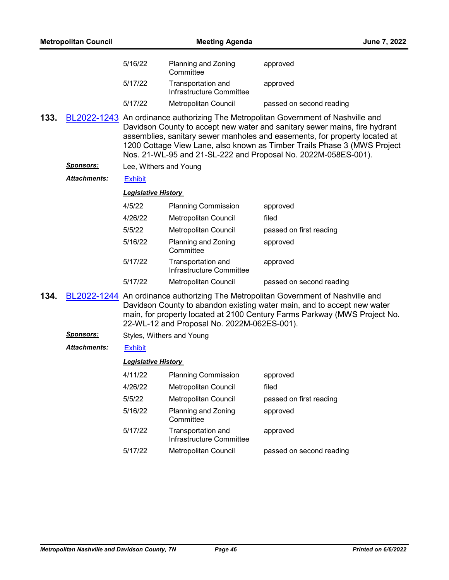|      | <b>Metropolitan Council</b> |                            | <b>Meeting Agenda</b>                          |                                                                                                                                                                                                                                                                                                                                                                                             | June 7, 2022 |
|------|-----------------------------|----------------------------|------------------------------------------------|---------------------------------------------------------------------------------------------------------------------------------------------------------------------------------------------------------------------------------------------------------------------------------------------------------------------------------------------------------------------------------------------|--------------|
|      |                             | 5/16/22                    | Planning and Zoning<br>Committee               | approved                                                                                                                                                                                                                                                                                                                                                                                    |              |
|      |                             | 5/17/22                    | Transportation and<br>Infrastructure Committee | approved                                                                                                                                                                                                                                                                                                                                                                                    |              |
|      |                             | 5/17/22                    | Metropolitan Council                           | passed on second reading                                                                                                                                                                                                                                                                                                                                                                    |              |
| 133. |                             |                            |                                                | BL2022-1243 An ordinance authorizing The Metropolitan Government of Nashville and<br>Davidson County to accept new water and sanitary sewer mains, fire hydrant<br>assemblies, sanitary sewer manholes and easements, for property located at<br>1200 Cottage View Lane, also known as Timber Trails Phase 3 (MWS Project<br>Nos. 21-WL-95 and 21-SL-222 and Proposal No. 2022M-058ES-001). |              |
|      | <u>Sponsors:</u>            | Lee, Withers and Young     |                                                |                                                                                                                                                                                                                                                                                                                                                                                             |              |
|      | <u> Attachments:</u>        | <b>Exhibit</b>             |                                                |                                                                                                                                                                                                                                                                                                                                                                                             |              |
|      |                             | <b>Legislative History</b> |                                                |                                                                                                                                                                                                                                                                                                                                                                                             |              |
|      |                             | 4/5/22                     | <b>Planning Commission</b>                     | approved                                                                                                                                                                                                                                                                                                                                                                                    |              |
|      |                             | 4/26/22                    | Metropolitan Council                           | filed                                                                                                                                                                                                                                                                                                                                                                                       |              |
|      |                             | 5/5/22                     | Metropolitan Council                           | passed on first reading                                                                                                                                                                                                                                                                                                                                                                     |              |
|      |                             | 5/16/22                    | Planning and Zoning<br>Committee               | approved                                                                                                                                                                                                                                                                                                                                                                                    |              |
|      |                             | 5/17/22                    | Transportation and<br>Infrastructure Committee | approved                                                                                                                                                                                                                                                                                                                                                                                    |              |
|      |                             | 5/17/22                    | <b>Metropolitan Council</b>                    | passed on second reading                                                                                                                                                                                                                                                                                                                                                                    |              |
| 134. |                             |                            | 22-WL-12 and Proposal No. 2022M-062ES-001).    | BL2022-1244 An ordinance authorizing The Metropolitan Government of Nashville and<br>Davidson County to abandon existing water main, and to accept new water<br>main, for property located at 2100 Century Farms Parkway (MWS Project No.                                                                                                                                                   |              |
|      | <u>Sponsors:</u>            | Styles, Withers and Young  |                                                |                                                                                                                                                                                                                                                                                                                                                                                             |              |
|      | <b>Attachments:</b>         | <b>Exhibit</b>             |                                                |                                                                                                                                                                                                                                                                                                                                                                                             |              |
|      |                             | <b>Legislative History</b> |                                                |                                                                                                                                                                                                                                                                                                                                                                                             |              |
|      |                             | 4/11/22                    | <b>Planning Commission</b>                     | approved                                                                                                                                                                                                                                                                                                                                                                                    |              |
|      |                             | 4/26/22                    | <b>Metropolitan Council</b>                    | filed                                                                                                                                                                                                                                                                                                                                                                                       |              |
|      |                             | 5/5/22                     | Metropolitan Council                           | passed on first reading                                                                                                                                                                                                                                                                                                                                                                     |              |
|      |                             | 5/16/22                    | Planning and Zoning<br>Committee               | approved                                                                                                                                                                                                                                                                                                                                                                                    |              |
|      |                             | 5/17/22                    | Transportation and<br>Infrastructure Committee | approved                                                                                                                                                                                                                                                                                                                                                                                    |              |
|      |                             | 5/17/22                    | Metropolitan Council                           | passed on second reading                                                                                                                                                                                                                                                                                                                                                                    |              |